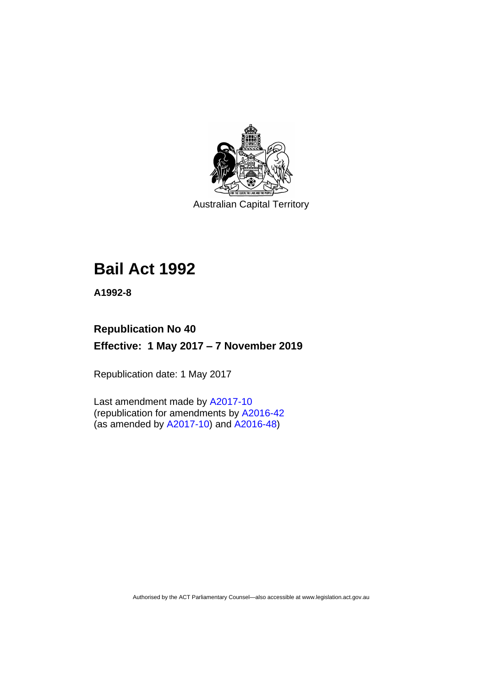

Australian Capital Territory

# **Bail Act 1992**

**A1992-8**

## **Republication No 40 Effective: 1 May 2017 – 7 November 2019**

Republication date: 1 May 2017

Last amendment made by [A2017-10](http://www.legislation.act.gov.au/a/2017-10/default.asp) (republication for amendments by [A2016-42](http://www.legislation.act.gov.au/a/2016-42/default.asp) (as amended by [A2017-10\)](http://www.legislation.act.gov.au/a/2017-10/default.asp) and [A2016-48\)](http://www.legislation.act.gov.au/a/2016-48/default.asp)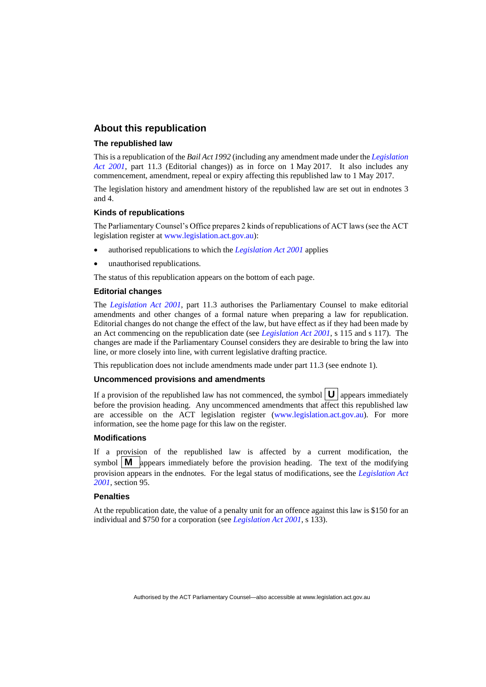### **About this republication**

#### **The republished law**

This is a republication of the *Bail Act 1992* (including any amendment made under the *[Legislation](http://www.legislation.act.gov.au/a/2001-14)  [Act 2001](http://www.legislation.act.gov.au/a/2001-14)*, part 11.3 (Editorial changes)) as in force on 1 May 2017*.* It also includes any commencement, amendment, repeal or expiry affecting this republished law to 1 May 2017.

The legislation history and amendment history of the republished law are set out in endnotes 3 and 4.

#### **Kinds of republications**

The Parliamentary Counsel's Office prepares 2 kinds of republications of ACT laws (see the ACT legislation register at [www.legislation.act.gov.au\)](http://www.legislation.act.gov.au/):

- authorised republications to which the *[Legislation Act 2001](http://www.legislation.act.gov.au/a/2001-14)* applies
- unauthorised republications.

The status of this republication appears on the bottom of each page.

#### **Editorial changes**

The *[Legislation Act 2001](http://www.legislation.act.gov.au/a/2001-14)*, part 11.3 authorises the Parliamentary Counsel to make editorial amendments and other changes of a formal nature when preparing a law for republication. Editorial changes do not change the effect of the law, but have effect as if they had been made by an Act commencing on the republication date (see *[Legislation Act 2001](http://www.legislation.act.gov.au/a/2001-14)*, s 115 and s 117). The changes are made if the Parliamentary Counsel considers they are desirable to bring the law into line, or more closely into line, with current legislative drafting practice.

This republication does not include amendments made under part 11.3 (see endnote 1).

### **Uncommenced provisions and amendments**

If a provision of the republished law has not commenced, the symbol  $\mathbf{U}$  appears immediately before the provision heading. Any uncommenced amendments that affect this republished law are accessible on the ACT legislation register [\(www.legislation.act.gov.au\)](http://www.legislation.act.gov.au/). For more information, see the home page for this law on the register.

#### **Modifications**

If a provision of the republished law is affected by a current modification, the symbol  $\mathbf{M}$  appears immediately before the provision heading. The text of the modifying provision appears in the endnotes. For the legal status of modifications, see the *[Legislation Act](http://www.legislation.act.gov.au/a/2001-14)  [2001](http://www.legislation.act.gov.au/a/2001-14)*, section 95.

### **Penalties**

At the republication date, the value of a penalty unit for an offence against this law is \$150 for an individual and \$750 for a corporation (see *[Legislation Act 2001](http://www.legislation.act.gov.au/a/2001-14)*, s 133).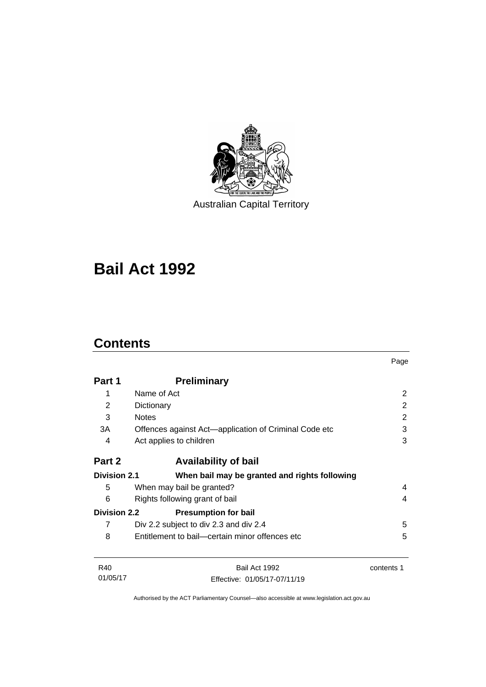

Australian Capital Territory

# **Bail Act 1992**

### **Contents**

|                     |                                                       | Page       |
|---------------------|-------------------------------------------------------|------------|
| Part 1              | <b>Preliminary</b>                                    |            |
| 1                   | Name of Act                                           | 2          |
| 2                   | Dictionary                                            | 2          |
| 3                   | <b>Notes</b>                                          | 2          |
| 3A                  | Offences against Act-application of Criminal Code etc | 3          |
| 4                   | Act applies to children                               | 3          |
| Part 2              | <b>Availability of bail</b>                           |            |
| <b>Division 2.1</b> | When bail may be granted and rights following         |            |
| 5                   | When may bail be granted?                             | 4          |
| 6                   | Rights following grant of bail                        |            |
| <b>Division 2.2</b> | <b>Presumption for bail</b>                           |            |
| 7                   | Div 2.2 subject to div 2.3 and div 2.4                | 5          |
| 8                   | Entitlement to bail—certain minor offences etc        | 5          |
| R40                 | Bail Act 1992                                         | contents 1 |
| 01/05/17            | Effective: 01/05/17-07/11/19                          |            |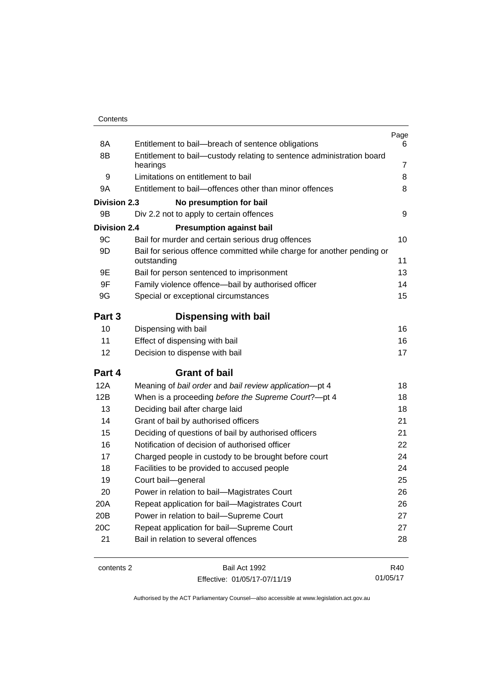| Contents |
|----------|
|----------|

| 8A                  | Entitlement to bail-breach of sentence obligations                                    | Page<br>6      |
|---------------------|---------------------------------------------------------------------------------------|----------------|
| 8B                  | Entitlement to bail-custody relating to sentence administration board                 |                |
|                     | hearings                                                                              | $\overline{7}$ |
| 9                   | Limitations on entitlement to bail                                                    | 8              |
| 9Α                  | Entitlement to bail-offences other than minor offences                                | 8              |
| <b>Division 2.3</b> | No presumption for bail                                                               |                |
| 9B                  | Div 2.2 not to apply to certain offences                                              | 9              |
| <b>Division 2.4</b> | <b>Presumption against bail</b>                                                       |                |
| 9C                  | Bail for murder and certain serious drug offences                                     | 10             |
| 9D                  | Bail for serious offence committed while charge for another pending or<br>outstanding | 11             |
| 9Ε                  | Bail for person sentenced to imprisonment                                             | 13             |
| 9F                  | Family violence offence—bail by authorised officer                                    | 14             |
| 9G                  | Special or exceptional circumstances                                                  | 15             |
| Part 3              | <b>Dispensing with bail</b>                                                           |                |
| 10                  | Dispensing with bail                                                                  | 16             |
| 11                  | Effect of dispensing with bail                                                        | 16             |
| 12                  | Decision to dispense with bail                                                        | 17             |
| Part 4              | <b>Grant of bail</b>                                                                  |                |
| 12A                 | Meaning of bail order and bail review application-pt 4                                | 18             |
| 12B                 | When is a proceeding before the Supreme Court?-pt 4                                   | 18             |
| 13                  | Deciding bail after charge laid                                                       | 18             |
| 14                  | Grant of bail by authorised officers                                                  | 21             |
| 15                  | Deciding of questions of bail by authorised officers                                  | 21             |
| 16                  | Notification of decision of authorised officer                                        | 22             |
| 17                  | Charged people in custody to be brought before court                                  | 24             |
| 18                  | Facilities to be provided to accused people                                           | 24             |
| 19                  | Court bail-general                                                                    | 25             |
| 20                  | Power in relation to bail-Magistrates Court                                           | 26             |
| 20A                 | Repeat application for bail-Magistrates Court                                         | 26             |
| 20B                 | Power in relation to bail-Supreme Court                                               | 27             |
| 20C                 | Repeat application for bail-Supreme Court                                             | 27             |
| 21                  | Bail in relation to several offences                                                  | 28             |
|                     |                                                                                       |                |

contents 2 Bail Act 1992 Effective: 01/05/17-07/11/19

R40 01/05/17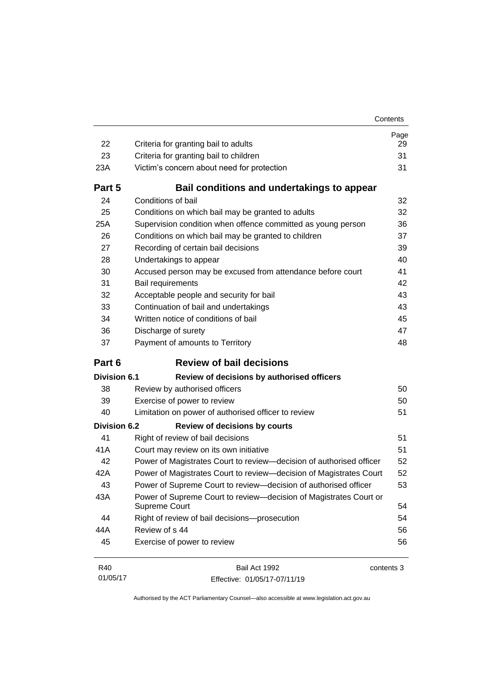| 22                  | Criteria for granting bail to adults                                               | Page<br>29 |
|---------------------|------------------------------------------------------------------------------------|------------|
| 23                  | Criteria for granting bail to children                                             | 31         |
| 23A                 | Victim's concern about need for protection                                         | 31         |
|                     |                                                                                    |            |
| Part 5              | Bail conditions and undertakings to appear                                         |            |
| 24                  | Conditions of bail                                                                 | 32         |
| 25                  | Conditions on which bail may be granted to adults                                  | 32         |
| 25A                 | Supervision condition when offence committed as young person                       | 36         |
| 26                  | Conditions on which bail may be granted to children                                | 37         |
| 27                  | Recording of certain bail decisions                                                | 39         |
| 28                  | Undertakings to appear                                                             | 40         |
| 30                  | Accused person may be excused from attendance before court                         | 41         |
| 31                  | Bail requirements                                                                  | 42         |
| 32                  | Acceptable people and security for bail                                            | 43         |
| 33                  | Continuation of bail and undertakings                                              | 43         |
| 34                  | Written notice of conditions of bail                                               | 45         |
| 36                  | Discharge of surety                                                                | 47         |
| 37                  | Payment of amounts to Territory                                                    | 48         |
| Part 6              | <b>Review of bail decisions</b>                                                    |            |
| <b>Division 6.1</b> | Review of decisions by authorised officers                                         |            |
| 38                  | Review by authorised officers                                                      | 50         |
| 39                  | Exercise of power to review                                                        | 50         |
| 40                  | Limitation on power of authorised officer to review                                | 51         |
| <b>Division 6.2</b> | <b>Review of decisions by courts</b>                                               |            |
| 41                  | Right of review of bail decisions                                                  | 51         |
| 41A                 | Court may review on its own initiative                                             | 51         |
| 42                  | Power of Magistrates Court to review-decision of authorised officer                | 52         |
| 42A                 | Power of Magistrates Court to review-decision of Magistrates Court                 | 52         |
| 43                  | Power of Supreme Court to review-decision of authorised officer                    | 53         |
| 43A                 | Power of Supreme Court to review-decision of Magistrates Court or<br>Supreme Court | 54         |
| 44                  | Right of review of bail decisions-prosecution                                      | 54         |
| 44A                 | Review of s 44                                                                     | 56         |
| 45                  | Exercise of power to review                                                        | 56         |

| R40      | Bail Act 1992                | contents 3 |
|----------|------------------------------|------------|
| 01/05/17 | Effective: 01/05/17-07/11/19 |            |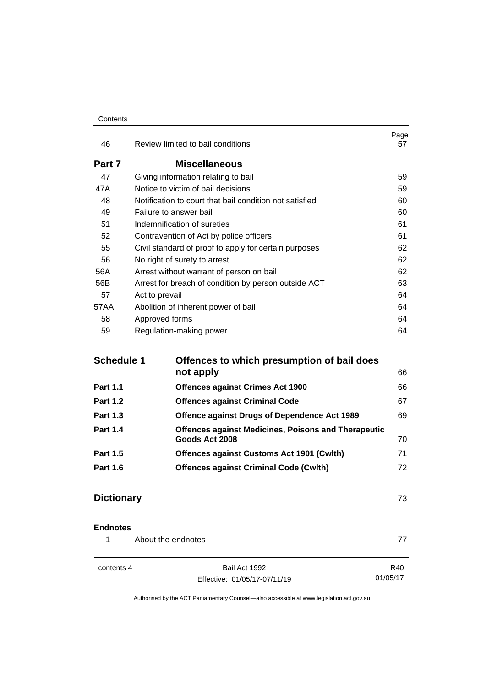#### **Contents**

| 46     | Review limited to bail conditions                       | Page<br>57 |
|--------|---------------------------------------------------------|------------|
| Part 7 | <b>Miscellaneous</b>                                    |            |
| 47     | Giving information relating to bail                     | 59         |
| 47A    | Notice to victim of bail decisions                      | 59         |
| 48     | Notification to court that bail condition not satisfied | 60         |
| 49     | Failure to answer bail                                  | 60         |
| 51     | Indemnification of sureties                             | 61         |
| 52     | Contravention of Act by police officers                 | 61         |
| 55     | Civil standard of proof to apply for certain purposes   | 62         |
| 56     | No right of surety to arrest                            | 62         |
| 56A    | Arrest without warrant of person on bail                | 62         |
| 56B    | Arrest for breach of condition by person outside ACT    | 63         |
| 57     | Act to prevail                                          | 64         |
| 57AA   | Abolition of inherent power of bail                     | 64         |
| 58     | Approved forms                                          | 64         |
| 59     | Regulation-making power                                 | 64         |

| <b>Schedule 1</b> | Offences to which presumption of bail does                 |    |  |
|-------------------|------------------------------------------------------------|----|--|
|                   | not apply                                                  | 66 |  |
| <b>Part 1.1</b>   | <b>Offences against Crimes Act 1900</b>                    | 66 |  |
| <b>Part 1.2</b>   | <b>Offences against Criminal Code</b>                      | 67 |  |
| <b>Part 1.3</b>   | Offence against Drugs of Dependence Act 1989               | 69 |  |
| <b>Part 1.4</b>   | <b>Offences against Medicines, Poisons and Therapeutic</b> |    |  |
|                   | Goods Act 2008                                             | 70 |  |
| <b>Part 1.5</b>   | <b>Offences against Customs Act 1901 (Cwlth)</b>           | 71 |  |
| <b>Part 1.6</b>   | <b>Offences against Criminal Code (Cwlth)</b>              | 72 |  |
|                   |                                                            |    |  |

### **[Dictionary](#page-80-0)** 73

### **[Endnotes](#page-84-0)**

1 [About the endnotes](#page-84-1) 277

contents 4 Bail Act 1992 Effective: 01/05/17-07/11/19

R40 01/05/17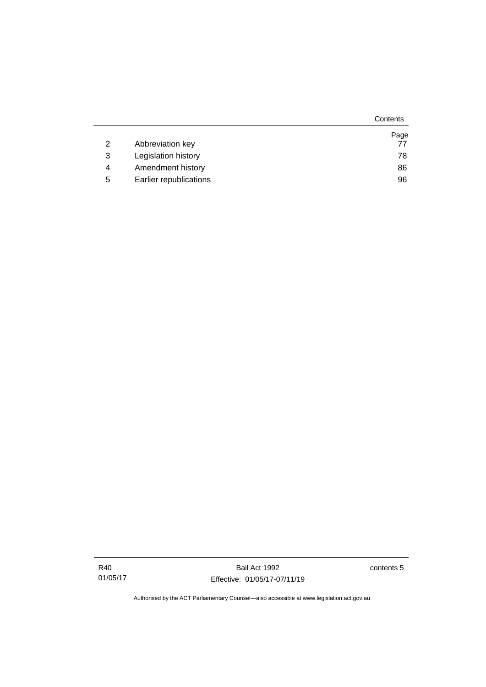|   |                        | Contents |
|---|------------------------|----------|
|   |                        | Page     |
| 2 | Abbreviation key       | 77       |
| 3 | Legislation history    | 78       |
| 4 | Amendment history      | 86       |
| 5 | Earlier republications | 96       |

Bail Act 1992 Effective: 01/05/17-07/11/19 contents 5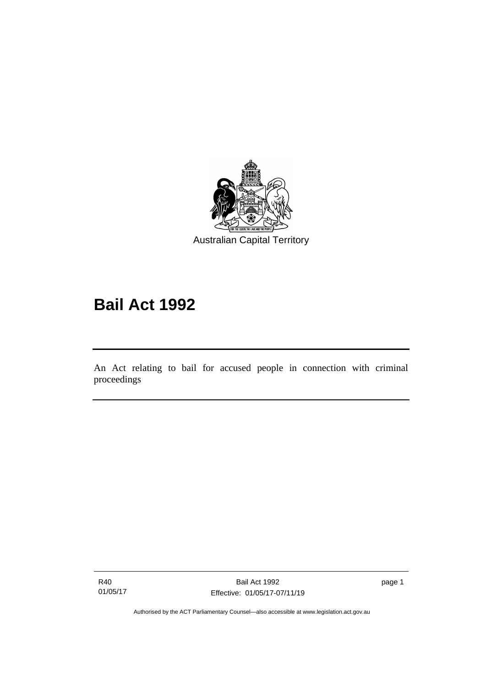

# **Bail Act 1992**

An Act relating to bail for accused people in connection with criminal proceedings

R40 01/05/17

I

page 1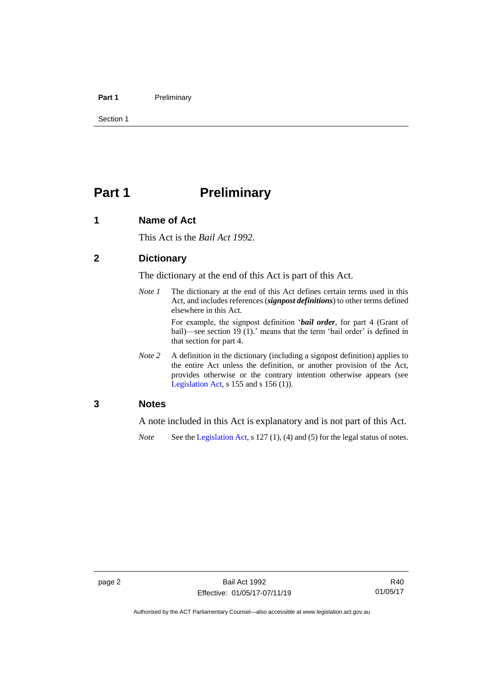### Part 1 Preliminary

Section 1

### <span id="page-9-0"></span>**Part 1 Preliminary**

### <span id="page-9-1"></span>**1 Name of Act**

This Act is the *Bail Act 1992*.

### <span id="page-9-2"></span>**2 Dictionary**

The dictionary at the end of this Act is part of this Act.

*Note 1* The dictionary at the end of this Act defines certain terms used in this Act, and includes references (*signpost definitions*) to other terms defined elsewhere in this Act.

> For example, the signpost definition '*bail order*, for part 4 (Grant of bail)—see section 19 (1).' means that the term 'bail order' is defined in that section for part 4.

*Note 2* A definition in the dictionary (including a signpost definition) applies to the entire Act unless the definition, or another provision of the Act, provides otherwise or the contrary intention otherwise appears (see [Legislation Act,](http://www.legislation.act.gov.au/a/2001-14) s  $155$  and s  $156$  (1)).

### <span id="page-9-3"></span>**3 Notes**

A note included in this Act is explanatory and is not part of this Act.

*Note* See the [Legislation Act,](http://www.legislation.act.gov.au/a/2001-14) s 127 (1), (4) and (5) for the legal status of notes.

R40 01/05/17

Authorised by the ACT Parliamentary Counsel—also accessible at www.legislation.act.gov.au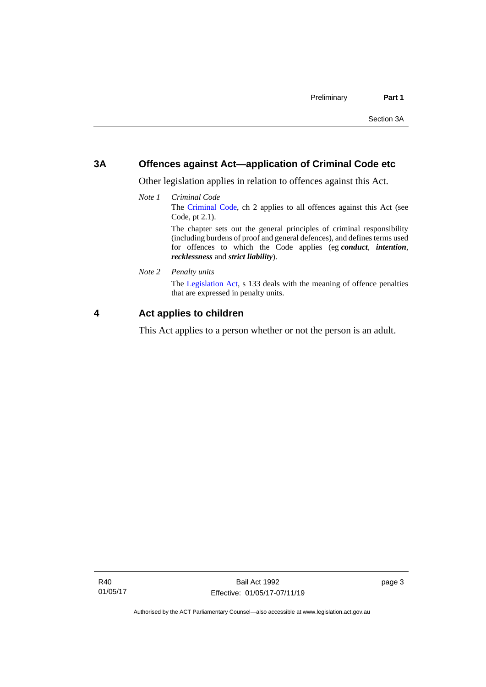### <span id="page-10-0"></span>**3A Offences against Act—application of Criminal Code etc**

*recklessness* and *strict liability*).

Other legislation applies in relation to offences against this Act.

- *Note 1 Criminal Code* The [Criminal Code,](http://www.legislation.act.gov.au/a/2002-51) ch 2 applies to all offences against this Act (see Code, pt 2.1). The chapter sets out the general principles of criminal responsibility (including burdens of proof and general defences), and defines terms used for offences to which the Code applies (eg *conduct*, *intention*,
- *Note 2 Penalty units*

The [Legislation Act,](http://www.legislation.act.gov.au/a/2001-14) s 133 deals with the meaning of offence penalties that are expressed in penalty units.

### <span id="page-10-1"></span>**4 Act applies to children**

This Act applies to a person whether or not the person is an adult.

R40 01/05/17 page 3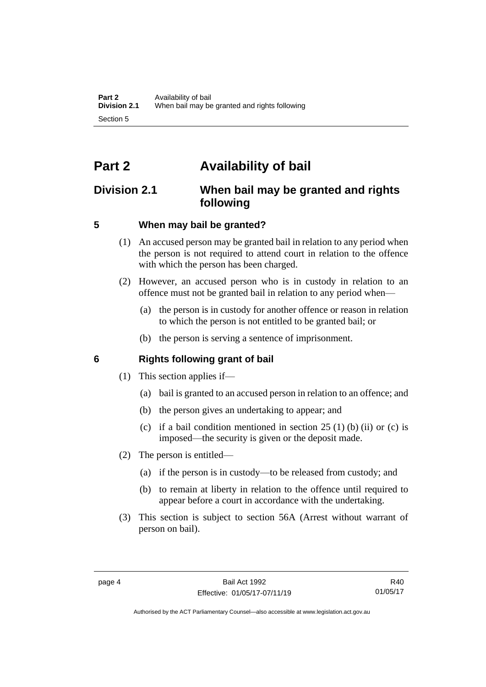## <span id="page-11-0"></span>**Part 2 Availability of bail**

### <span id="page-11-1"></span>**Division 2.1 When bail may be granted and rights following**

### <span id="page-11-2"></span>**5 When may bail be granted?**

- (1) An accused person may be granted bail in relation to any period when the person is not required to attend court in relation to the offence with which the person has been charged.
- (2) However, an accused person who is in custody in relation to an offence must not be granted bail in relation to any period when—
	- (a) the person is in custody for another offence or reason in relation to which the person is not entitled to be granted bail; or
	- (b) the person is serving a sentence of imprisonment.

### <span id="page-11-3"></span>**6 Rights following grant of bail**

- (1) This section applies if—
	- (a) bail is granted to an accused person in relation to an offence; and
	- (b) the person gives an undertaking to appear; and
	- (c) if a bail condition mentioned in section  $25(1)$  (b) (ii) or (c) is imposed—the security is given or the deposit made.
- (2) The person is entitled—
	- (a) if the person is in custody—to be released from custody; and
	- (b) to remain at liberty in relation to the offence until required to appear before a court in accordance with the undertaking.
- (3) This section is subject to section 56A (Arrest without warrant of person on bail).

Authorised by the ACT Parliamentary Counsel—also accessible at www.legislation.act.gov.au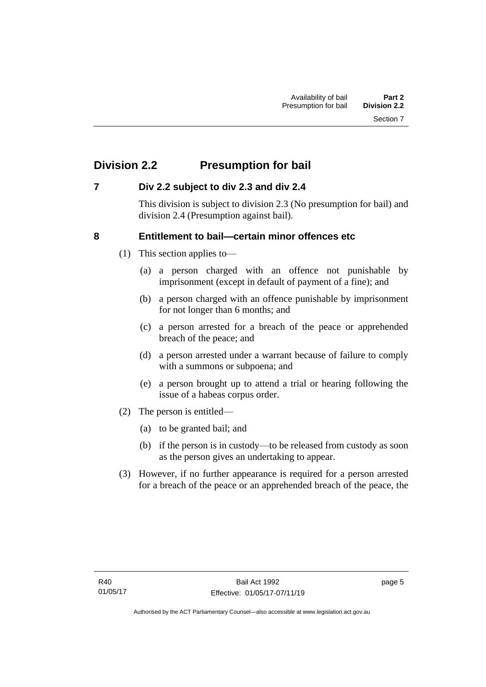### <span id="page-12-0"></span>**Division 2.2 Presumption for bail**

### <span id="page-12-1"></span>**7 Div 2.2 subject to div 2.3 and div 2.4**

This division is subject to division 2.3 (No presumption for bail) and division 2.4 (Presumption against bail).

### <span id="page-12-2"></span>**8 Entitlement to bail—certain minor offences etc**

- (1) This section applies to—
	- (a) a person charged with an offence not punishable by imprisonment (except in default of payment of a fine); and
	- (b) a person charged with an offence punishable by imprisonment for not longer than 6 months; and
	- (c) a person arrested for a breach of the peace or apprehended breach of the peace; and
	- (d) a person arrested under a warrant because of failure to comply with a summons or subpoena; and
	- (e) a person brought up to attend a trial or hearing following the issue of a habeas corpus order.
- (2) The person is entitled—
	- (a) to be granted bail; and
	- (b) if the person is in custody—to be released from custody as soon as the person gives an undertaking to appear.
- (3) However, if no further appearance is required for a person arrested for a breach of the peace or an apprehended breach of the peace, the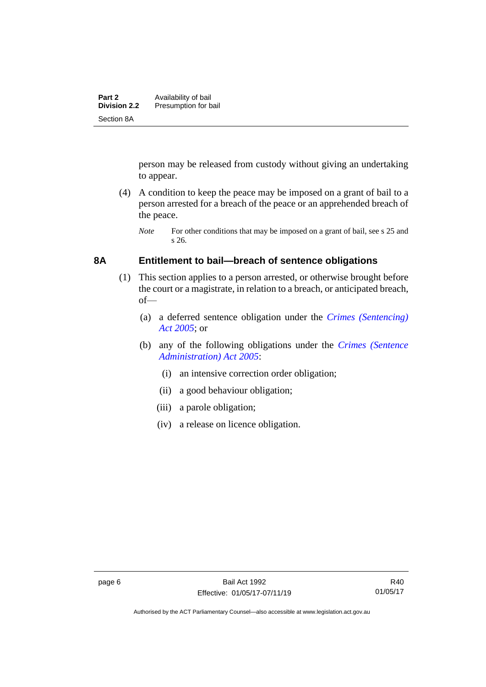person may be released from custody without giving an undertaking to appear.

(4) A condition to keep the peace may be imposed on a grant of bail to a person arrested for a breach of the peace or an apprehended breach of the peace.

### <span id="page-13-0"></span>**8A Entitlement to bail—breach of sentence obligations**

- (1) This section applies to a person arrested, or otherwise brought before the court or a magistrate, in relation to a breach, or anticipated breach, of—
	- (a) a deferred sentence obligation under the *[Crimes \(Sentencing\)](http://www.legislation.act.gov.au/a/2005-58)  [Act 2005](http://www.legislation.act.gov.au/a/2005-58)*; or
	- (b) any of the following obligations under the *[Crimes \(Sentence](http://www.legislation.act.gov.au/a/2005-59)  [Administration\) Act 2005](http://www.legislation.act.gov.au/a/2005-59)*:
		- (i) an intensive correction order obligation;
		- (ii) a good behaviour obligation;
		- (iii) a parole obligation;
		- (iv) a release on licence obligation.

*Note* For other conditions that may be imposed on a grant of bail, see s 25 and s 26.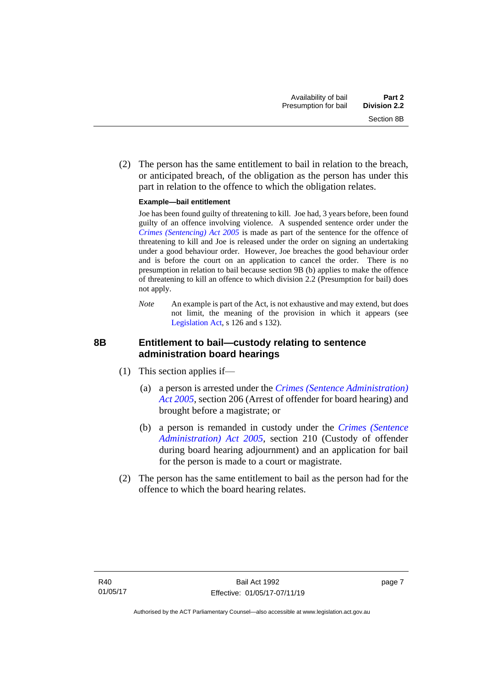(2) The person has the same entitlement to bail in relation to the breach, or anticipated breach, of the obligation as the person has under this part in relation to the offence to which the obligation relates.

### **Example—bail entitlement**

Joe has been found guilty of threatening to kill. Joe had, 3 years before, been found guilty of an offence involving violence. A suspended sentence order under the *[Crimes \(Sentencing\) Act 2005](http://www.legislation.act.gov.au/a/2005-58)* is made as part of the sentence for the offence of threatening to kill and Joe is released under the order on signing an undertaking under a good behaviour order. However, Joe breaches the good behaviour order and is before the court on an application to cancel the order. There is no presumption in relation to bail because section 9B (b) applies to make the offence of threatening to kill an offence to which division 2.2 (Presumption for bail) does not apply.

*Note* An example is part of the Act, is not exhaustive and may extend, but does not limit, the meaning of the provision in which it appears (see [Legislation Act,](http://www.legislation.act.gov.au/a/2001-14) s 126 and s 132).

### <span id="page-14-0"></span>**8B Entitlement to bail—custody relating to sentence administration board hearings**

- (1) This section applies if—
	- (a) a person is arrested under the *[Crimes \(Sentence Administration\)](http://www.legislation.act.gov.au/a/2005-59)  [Act 2005](http://www.legislation.act.gov.au/a/2005-59)*, section 206 (Arrest of offender for board hearing) and brought before a magistrate; or
	- (b) a person is remanded in custody under the *[Crimes \(Sentence](http://www.legislation.act.gov.au/a/2005-59)  [Administration\) Act 2005](http://www.legislation.act.gov.au/a/2005-59)*, section 210 (Custody of offender during board hearing adjournment) and an application for bail for the person is made to a court or magistrate.
- (2) The person has the same entitlement to bail as the person had for the offence to which the board hearing relates.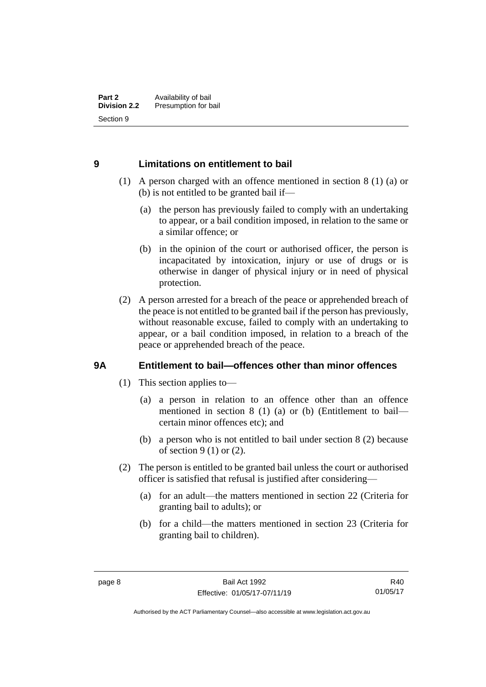### <span id="page-15-0"></span>**9 Limitations on entitlement to bail**

- (1) A person charged with an offence mentioned in section 8 (1) (a) or (b) is not entitled to be granted bail if—
	- (a) the person has previously failed to comply with an undertaking to appear, or a bail condition imposed, in relation to the same or a similar offence; or
	- (b) in the opinion of the court or authorised officer, the person is incapacitated by intoxication, injury or use of drugs or is otherwise in danger of physical injury or in need of physical protection.
- (2) A person arrested for a breach of the peace or apprehended breach of the peace is not entitled to be granted bail if the person has previously, without reasonable excuse, failed to comply with an undertaking to appear, or a bail condition imposed, in relation to a breach of the peace or apprehended breach of the peace.

### <span id="page-15-1"></span>**9A Entitlement to bail—offences other than minor offences**

- (1) This section applies to—
	- (a) a person in relation to an offence other than an offence mentioned in section 8 (1) (a) or (b) (Entitlement to bail certain minor offences etc); and
	- (b) a person who is not entitled to bail under section 8 (2) because of section 9 (1) or (2).
- (2) The person is entitled to be granted bail unless the court or authorised officer is satisfied that refusal is justified after considering—
	- (a) for an adult—the matters mentioned in section 22 (Criteria for granting bail to adults); or
	- (b) for a child—the matters mentioned in section 23 (Criteria for granting bail to children).

Authorised by the ACT Parliamentary Counsel—also accessible at www.legislation.act.gov.au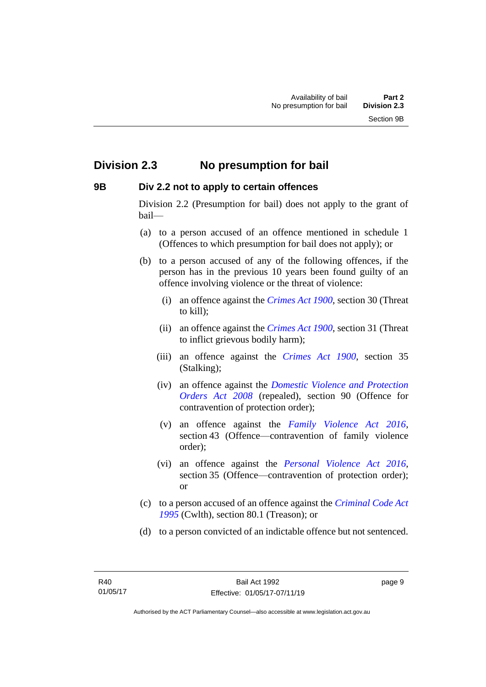### <span id="page-16-0"></span>**Division 2.3 No presumption for bail**

### <span id="page-16-1"></span>**9B Div 2.2 not to apply to certain offences**

Division 2.2 (Presumption for bail) does not apply to the grant of bail—

- (a) to a person accused of an offence mentioned in schedule 1 (Offences to which presumption for bail does not apply); or
- (b) to a person accused of any of the following offences, if the person has in the previous 10 years been found guilty of an offence involving violence or the threat of violence:
	- (i) an offence against the *[Crimes Act 1900](http://www.legislation.act.gov.au/a/1900-40)*, section 30 (Threat to kill);
	- (ii) an offence against the *[Crimes Act 1900](http://www.legislation.act.gov.au/a/1900-40)*, section 31 (Threat to inflict grievous bodily harm);
	- (iii) an offence against the *[Crimes Act 1900](http://www.legislation.act.gov.au/a/1900-40)*, section 35 (Stalking);
	- (iv) an offence against the *[Domestic Violence and Protection](http://www.legislation.act.gov.au/a/2008-46)  [Orders Act 2008](http://www.legislation.act.gov.au/a/2008-46)* (repealed), section 90 (Offence for contravention of protection order);
	- (v) an offence against the *[Family Violence Act 2016](http://www.legislation.act.gov.au/a/2016-42)*, section 43 (Offence—contravention of family violence order);
	- (vi) an offence against the *[Personal Violence Act 2016](http://www.legislation.act.gov.au/a/2016-43)*, section 35 (Offence—contravention of protection order); or
- (c) to a person accused of an offence against the *[Criminal Code Act](http://www.comlaw.gov.au/Details/C2013C00138)  [1995](http://www.comlaw.gov.au/Details/C2013C00138)* (Cwlth), section 80.1 (Treason); or
- (d) to a person convicted of an indictable offence but not sentenced.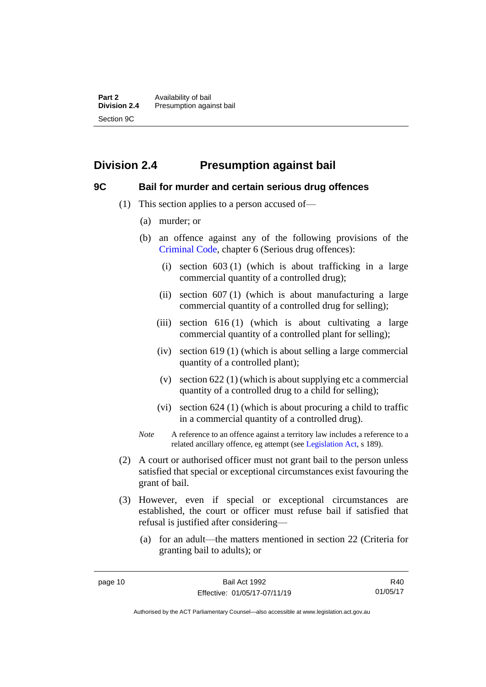### <span id="page-17-0"></span>**Division 2.4 Presumption against bail**

### <span id="page-17-1"></span>**9C Bail for murder and certain serious drug offences**

- (1) This section applies to a person accused of—
	- (a) murder; or
	- (b) an offence against any of the following provisions of the [Criminal Code,](http://www.legislation.act.gov.au/a/2002-51) chapter 6 (Serious drug offences):
		- (i) section 603 (1) (which is about trafficking in a large commercial quantity of a controlled drug);
		- (ii) section 607 (1) (which is about manufacturing a large commercial quantity of a controlled drug for selling);
		- (iii) section  $616(1)$  (which is about cultivating a large commercial quantity of a controlled plant for selling);
		- (iv) section 619 (1) (which is about selling a large commercial quantity of a controlled plant);
		- (v) section 622 (1) (which is about supplying etc a commercial quantity of a controlled drug to a child for selling);
		- (vi) section 624 (1) (which is about procuring a child to traffic in a commercial quantity of a controlled drug).
	- *Note* A reference to an offence against a territory law includes a reference to a related ancillary offence, eg attempt (see [Legislation Act,](http://www.legislation.act.gov.au/a/2001-14) s 189).
- (2) A court or authorised officer must not grant bail to the person unless satisfied that special or exceptional circumstances exist favouring the grant of bail.
- (3) However, even if special or exceptional circumstances are established, the court or officer must refuse bail if satisfied that refusal is justified after considering—
	- (a) for an adult—the matters mentioned in section 22 (Criteria for granting bail to adults); or

R40 01/05/17

Authorised by the ACT Parliamentary Counsel—also accessible at www.legislation.act.gov.au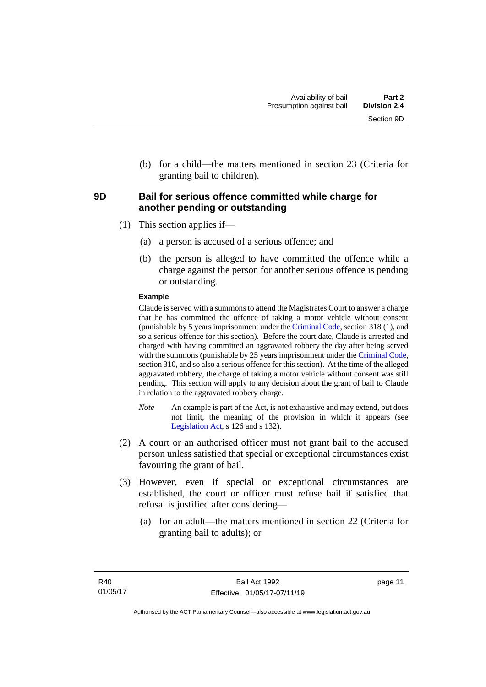(b) for a child—the matters mentioned in section 23 (Criteria for granting bail to children).

### <span id="page-18-0"></span>**9D Bail for serious offence committed while charge for another pending or outstanding**

- (1) This section applies if—
	- (a) a person is accused of a serious offence; and
	- (b) the person is alleged to have committed the offence while a charge against the person for another serious offence is pending or outstanding.

### **Example**

Claude is served with a summons to attend the Magistrates Court to answer a charge that he has committed the offence of taking a motor vehicle without consent (punishable by 5 years imprisonment under the [Criminal Code,](http://www.legislation.act.gov.au/a/2002-51) section 318 (1), and so a serious offence for this section). Before the court date, Claude is arrested and charged with having committed an aggravated robbery the day after being served with the summons (punishable by 25 years imprisonment under the [Criminal Code,](http://www.legislation.act.gov.au/a/2002-51) section 310, and so also a serious offence for this section). At the time of the alleged aggravated robbery, the charge of taking a motor vehicle without consent was still pending. This section will apply to any decision about the grant of bail to Claude in relation to the aggravated robbery charge.

- *Note* An example is part of the Act, is not exhaustive and may extend, but does not limit, the meaning of the provision in which it appears (see [Legislation Act,](http://www.legislation.act.gov.au/a/2001-14) s 126 and s 132).
- (2) A court or an authorised officer must not grant bail to the accused person unless satisfied that special or exceptional circumstances exist favouring the grant of bail.
- (3) However, even if special or exceptional circumstances are established, the court or officer must refuse bail if satisfied that refusal is justified after considering—
	- (a) for an adult—the matters mentioned in section 22 (Criteria for granting bail to adults); or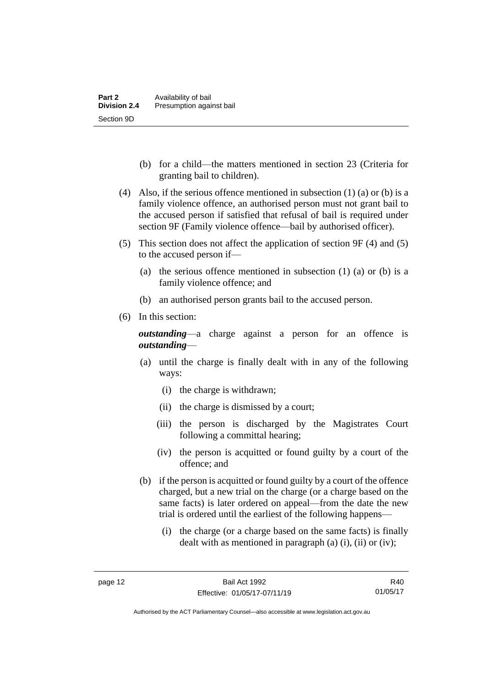- (b) for a child—the matters mentioned in section 23 (Criteria for granting bail to children).
- (4) Also, if the serious offence mentioned in subsection  $(1)$  (a) or (b) is a family violence offence, an authorised person must not grant bail to the accused person if satisfied that refusal of bail is required under section 9F (Family violence offence—bail by authorised officer).
- (5) This section does not affect the application of section 9F (4) and (5) to the accused person if—
	- (a) the serious offence mentioned in subsection (1) (a) or (b) is a family violence offence; and
	- (b) an authorised person grants bail to the accused person.
- (6) In this section:

*outstanding*—a charge against a person for an offence is *outstanding*—

- (a) until the charge is finally dealt with in any of the following ways:
	- (i) the charge is withdrawn;
	- (ii) the charge is dismissed by a court;
	- (iii) the person is discharged by the Magistrates Court following a committal hearing;
	- (iv) the person is acquitted or found guilty by a court of the offence; and
- (b) if the person is acquitted or found guilty by a court of the offence charged, but a new trial on the charge (or a charge based on the same facts) is later ordered on appeal—from the date the new trial is ordered until the earliest of the following happens—
	- (i) the charge (or a charge based on the same facts) is finally dealt with as mentioned in paragraph (a)  $(i)$ ,  $(ii)$  or  $(iv)$ ;

Authorised by the ACT Parliamentary Counsel—also accessible at www.legislation.act.gov.au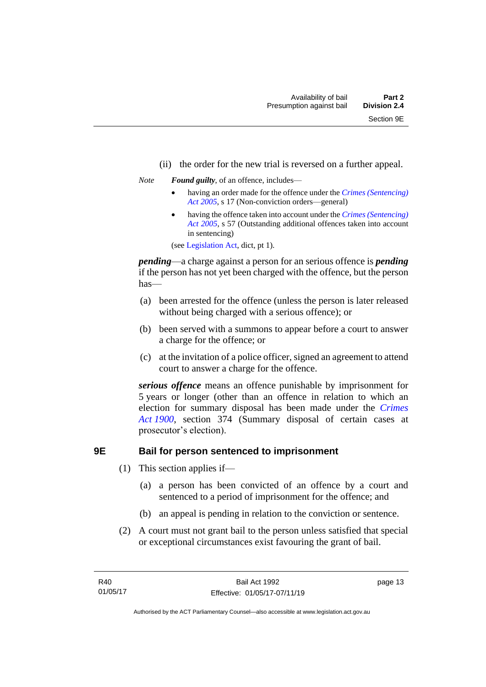- (ii) the order for the new trial is reversed on a further appeal.
- *Note Found guilty*, of an offence, includes—
	- having an order made for the offence under the *[Crimes \(Sentencing\)](http://www.legislation.act.gov.au/a/2005-58)  [Act 2005](http://www.legislation.act.gov.au/a/2005-58)*, s 17 (Non-conviction orders—general)
	- having the offence taken into account under the *[Crimes \(Sentencing\)](http://www.legislation.act.gov.au/a/2005-58)  [Act 2005](http://www.legislation.act.gov.au/a/2005-58)*, s 57 (Outstanding additional offences taken into account in sentencing)

(se[e Legislation Act,](http://www.legislation.act.gov.au/a/2001-14) dict, pt 1).

*pending*—a charge against a person for an serious offence is *pending*  if the person has not yet been charged with the offence, but the person has—

- (a) been arrested for the offence (unless the person is later released without being charged with a serious offence); or
- (b) been served with a summons to appear before a court to answer a charge for the offence; or
- (c) at the invitation of a police officer, signed an agreement to attend court to answer a charge for the offence.

*serious offence* means an offence punishable by imprisonment for 5 years or longer (other than an offence in relation to which an election for summary disposal has been made under the *[Crimes](http://www.legislation.act.gov.au/a/1900-40)  Act [1900](http://www.legislation.act.gov.au/a/1900-40)*, section 374 (Summary disposal of certain cases at prosecutor's election).

### <span id="page-20-0"></span>**9E Bail for person sentenced to imprisonment**

- (1) This section applies if—
	- (a) a person has been convicted of an offence by a court and sentenced to a period of imprisonment for the offence; and
	- (b) an appeal is pending in relation to the conviction or sentence.
- (2) A court must not grant bail to the person unless satisfied that special or exceptional circumstances exist favouring the grant of bail.

page 13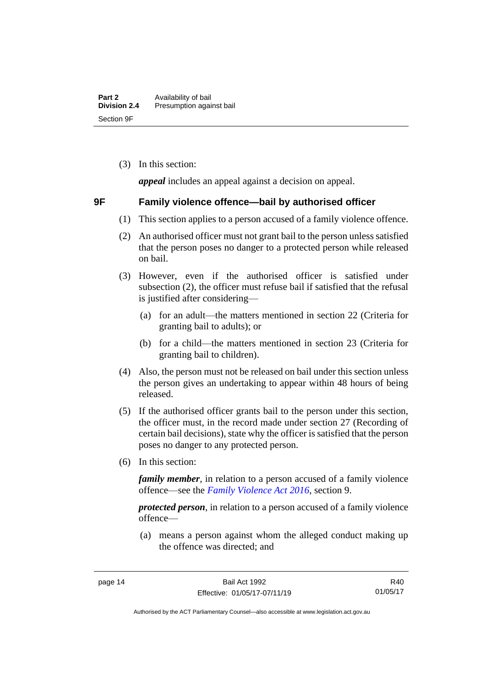(3) In this section:

*appeal* includes an appeal against a decision on appeal.

### <span id="page-21-0"></span>**9F Family violence offence—bail by authorised officer**

- (1) This section applies to a person accused of a family violence offence.
- (2) An authorised officer must not grant bail to the person unless satisfied that the person poses no danger to a protected person while released on bail.
- (3) However, even if the authorised officer is satisfied under subsection (2), the officer must refuse bail if satisfied that the refusal is justified after considering—
	- (a) for an adult—the matters mentioned in section 22 (Criteria for granting bail to adults); or
	- (b) for a child—the matters mentioned in section 23 (Criteria for granting bail to children).
- (4) Also, the person must not be released on bail under this section unless the person gives an undertaking to appear within 48 hours of being released.
- (5) If the authorised officer grants bail to the person under this section, the officer must, in the record made under section 27 (Recording of certain bail decisions), state why the officer is satisfied that the person poses no danger to any protected person.
- (6) In this section:

*family member*, in relation to a person accused of a family violence offence—see the *[Family Violence Act 2016](http://www.legislation.act.gov.au/a/2016-42)*, section 9.

*protected person*, in relation to a person accused of a family violence offence—

(a) means a person against whom the alleged conduct making up the offence was directed; and

Authorised by the ACT Parliamentary Counsel—also accessible at www.legislation.act.gov.au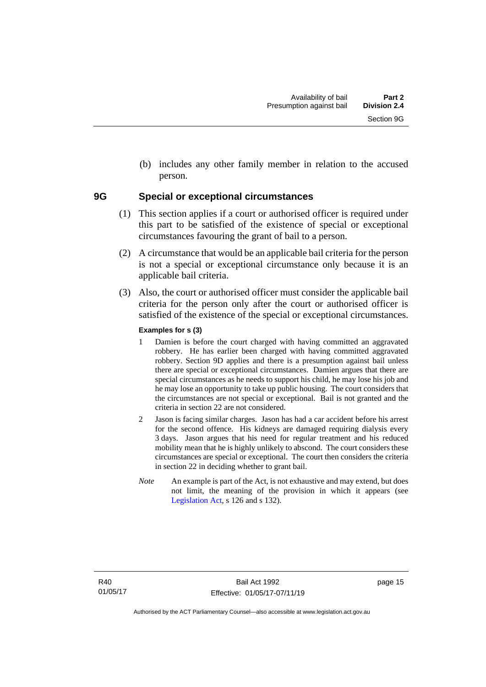(b) includes any other family member in relation to the accused person.

### <span id="page-22-0"></span>**9G Special or exceptional circumstances**

- (1) This section applies if a court or authorised officer is required under this part to be satisfied of the existence of special or exceptional circumstances favouring the grant of bail to a person.
- (2) A circumstance that would be an applicable bail criteria for the person is not a special or exceptional circumstance only because it is an applicable bail criteria.
- (3) Also, the court or authorised officer must consider the applicable bail criteria for the person only after the court or authorised officer is satisfied of the existence of the special or exceptional circumstances.

### **Examples for s (3)**

- 1 Damien is before the court charged with having committed an aggravated robbery. He has earlier been charged with having committed aggravated robbery. Section 9D applies and there is a presumption against bail unless there are special or exceptional circumstances. Damien argues that there are special circumstances as he needs to support his child, he may lose his job and he may lose an opportunity to take up public housing. The court considers that the circumstances are not special or exceptional. Bail is not granted and the criteria in section 22 are not considered.
- 2 Jason is facing similar charges. Jason has had a car accident before his arrest for the second offence. His kidneys are damaged requiring dialysis every 3 days. Jason argues that his need for regular treatment and his reduced mobility mean that he is highly unlikely to abscond. The court considers these circumstances are special or exceptional. The court then considers the criteria in section 22 in deciding whether to grant bail.
- *Note* An example is part of the Act, is not exhaustive and may extend, but does not limit, the meaning of the provision in which it appears (see [Legislation Act,](http://www.legislation.act.gov.au/a/2001-14) s 126 and s 132).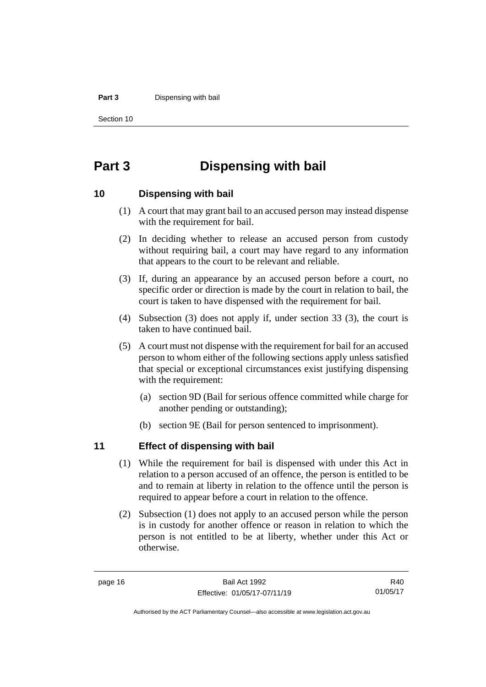#### **Part 3** Dispensing with bail

Section 10

### <span id="page-23-0"></span>**Part 3 Dispensing with bail**

### <span id="page-23-1"></span>**10 Dispensing with bail**

- (1) A court that may grant bail to an accused person may instead dispense with the requirement for bail.
- (2) In deciding whether to release an accused person from custody without requiring bail, a court may have regard to any information that appears to the court to be relevant and reliable.
- (3) If, during an appearance by an accused person before a court, no specific order or direction is made by the court in relation to bail, the court is taken to have dispensed with the requirement for bail.
- (4) Subsection (3) does not apply if, under section 33 (3), the court is taken to have continued bail.
- (5) A court must not dispense with the requirement for bail for an accused person to whom either of the following sections apply unless satisfied that special or exceptional circumstances exist justifying dispensing with the requirement:
	- (a) section 9D (Bail for serious offence committed while charge for another pending or outstanding);
	- (b) section 9E (Bail for person sentenced to imprisonment).

### <span id="page-23-2"></span>**11 Effect of dispensing with bail**

- (1) While the requirement for bail is dispensed with under this Act in relation to a person accused of an offence, the person is entitled to be and to remain at liberty in relation to the offence until the person is required to appear before a court in relation to the offence.
- (2) Subsection (1) does not apply to an accused person while the person is in custody for another offence or reason in relation to which the person is not entitled to be at liberty, whether under this Act or otherwise.

R40 01/05/17

Authorised by the ACT Parliamentary Counsel—also accessible at www.legislation.act.gov.au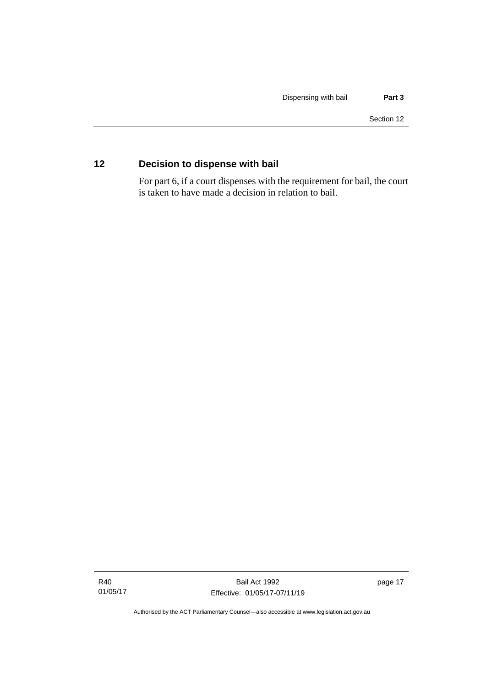### <span id="page-24-0"></span>**12 Decision to dispense with bail**

For part 6, if a court dispenses with the requirement for bail, the court is taken to have made a decision in relation to bail.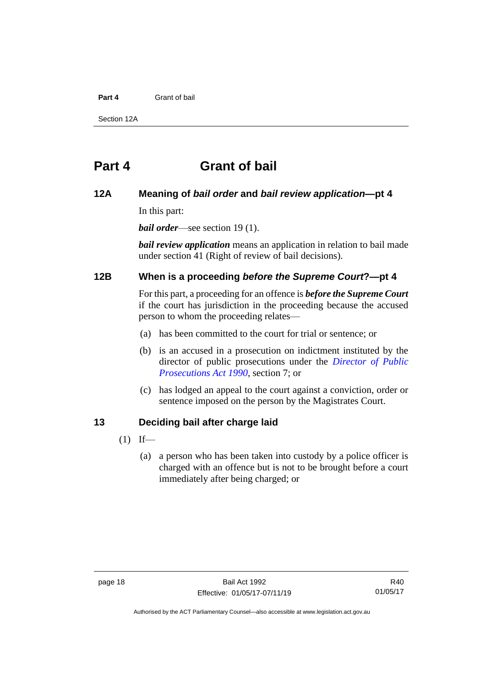### **Part 4** Grant of bail

Section 12A

### <span id="page-25-0"></span>**Part 4 Grant of bail**

### <span id="page-25-1"></span>**12A Meaning of** *bail order* **and** *bail review application***—pt 4**

In this part:

*bail order*—see section 19 (1).

*bail review application* means an application in relation to bail made under section 41 (Right of review of bail decisions).

### <span id="page-25-2"></span>**12B When is a proceeding** *before the Supreme Court***?—pt 4**

For this part, a proceeding for an offence is *before the Supreme Court* if the court has jurisdiction in the proceeding because the accused person to whom the proceeding relates—

- (a) has been committed to the court for trial or sentence; or
- (b) is an accused in a prosecution on indictment instituted by the director of public prosecutions under the *[Director of Public](http://www.legislation.act.gov.au/a/1990-22)  [Prosecutions Act 1990](http://www.legislation.act.gov.au/a/1990-22)*, section 7; or
- (c) has lodged an appeal to the court against a conviction, order or sentence imposed on the person by the Magistrates Court.

### <span id="page-25-3"></span>**13 Deciding bail after charge laid**

- $(1)$  If—
	- (a) a person who has been taken into custody by a police officer is charged with an offence but is not to be brought before a court immediately after being charged; or

Authorised by the ACT Parliamentary Counsel—also accessible at www.legislation.act.gov.au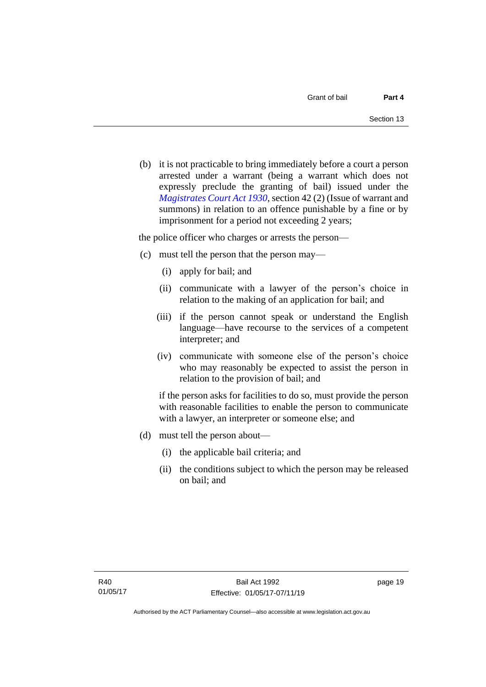(b) it is not practicable to bring immediately before a court a person arrested under a warrant (being a warrant which does not expressly preclude the granting of bail) issued under the *[Magistrates Court Act 1930](http://www.legislation.act.gov.au/a/1930-21)*, section 42 (2) (Issue of warrant and summons) in relation to an offence punishable by a fine or by imprisonment for a period not exceeding 2 years;

the police officer who charges or arrests the person—

- (c) must tell the person that the person may—
	- (i) apply for bail; and
	- (ii) communicate with a lawyer of the person's choice in relation to the making of an application for bail; and
	- (iii) if the person cannot speak or understand the English language—have recourse to the services of a competent interpreter; and
	- (iv) communicate with someone else of the person's choice who may reasonably be expected to assist the person in relation to the provision of bail; and

if the person asks for facilities to do so, must provide the person with reasonable facilities to enable the person to communicate with a lawyer, an interpreter or someone else; and

- (d) must tell the person about—
	- (i) the applicable bail criteria; and
	- (ii) the conditions subject to which the person may be released on bail; and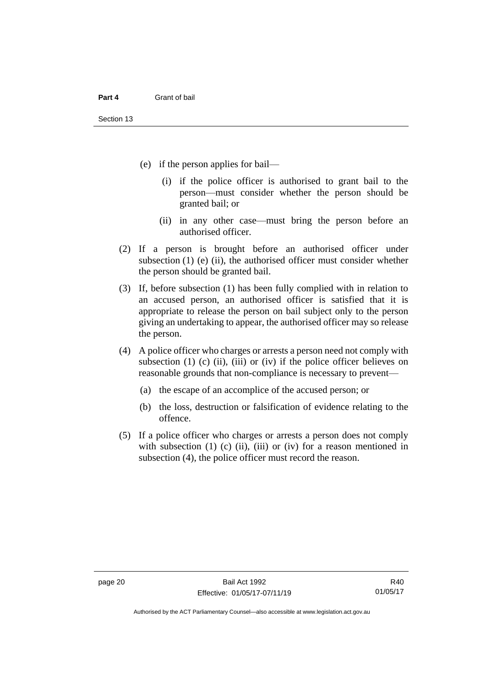- (e) if the person applies for bail—
	- (i) if the police officer is authorised to grant bail to the person—must consider whether the person should be granted bail; or
	- (ii) in any other case—must bring the person before an authorised officer.
- (2) If a person is brought before an authorised officer under subsection  $(1)$  (e)  $(ii)$ , the authorised officer must consider whether the person should be granted bail.
- (3) If, before subsection (1) has been fully complied with in relation to an accused person, an authorised officer is satisfied that it is appropriate to release the person on bail subject only to the person giving an undertaking to appear, the authorised officer may so release the person.
- (4) A police officer who charges or arrests a person need not comply with subsection  $(1)$   $(c)$   $(ii)$ ,  $(iii)$  or  $(iv)$  if the police officer believes on reasonable grounds that non-compliance is necessary to prevent—
	- (a) the escape of an accomplice of the accused person; or
	- (b) the loss, destruction or falsification of evidence relating to the offence.
- (5) If a police officer who charges or arrests a person does not comply with subsection  $(1)$   $(c)$   $(ii)$ ,  $(iii)$  or  $(iv)$  for a reason mentioned in subsection (4), the police officer must record the reason.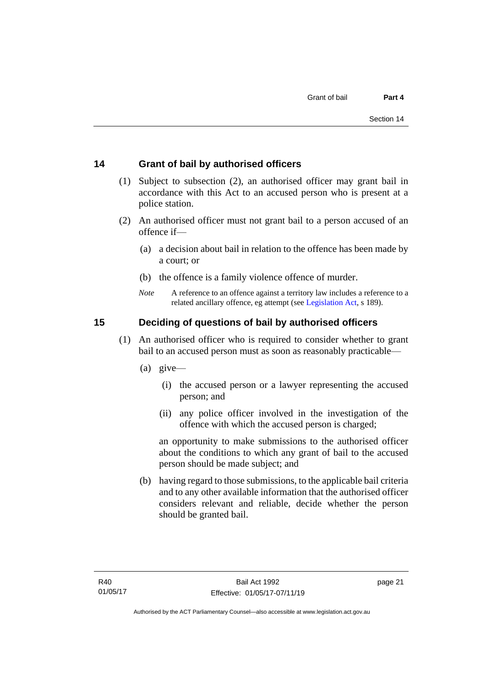### <span id="page-28-0"></span>**14 Grant of bail by authorised officers**

- (1) Subject to subsection (2), an authorised officer may grant bail in accordance with this Act to an accused person who is present at a police station.
- (2) An authorised officer must not grant bail to a person accused of an offence if—
	- (a) a decision about bail in relation to the offence has been made by a court; or
	- (b) the offence is a family violence offence of murder.
	- *Note* A reference to an offence against a territory law includes a reference to a related ancillary offence, eg attempt (see [Legislation Act,](http://www.legislation.act.gov.au/a/2001-14) s 189).

### <span id="page-28-1"></span>**15 Deciding of questions of bail by authorised officers**

- (1) An authorised officer who is required to consider whether to grant bail to an accused person must as soon as reasonably practicable—
	- (a) give—
		- (i) the accused person or a lawyer representing the accused person; and
		- (ii) any police officer involved in the investigation of the offence with which the accused person is charged;

an opportunity to make submissions to the authorised officer about the conditions to which any grant of bail to the accused person should be made subject; and

(b) having regard to those submissions, to the applicable bail criteria and to any other available information that the authorised officer considers relevant and reliable, decide whether the person should be granted bail.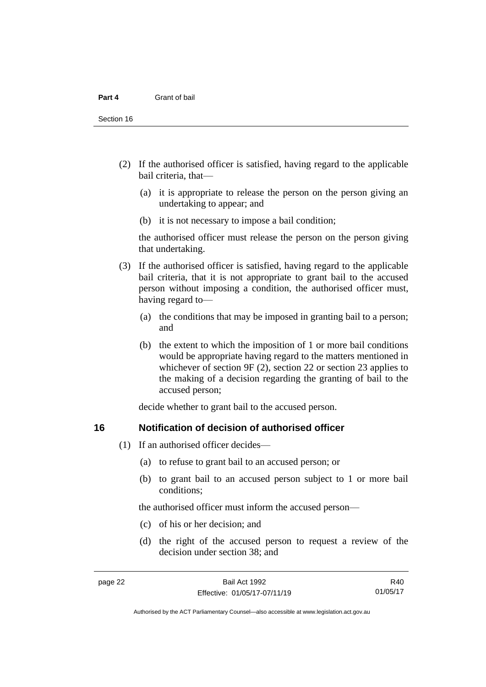- (2) If the authorised officer is satisfied, having regard to the applicable bail criteria, that—
	- (a) it is appropriate to release the person on the person giving an undertaking to appear; and
	- (b) it is not necessary to impose a bail condition;

the authorised officer must release the person on the person giving that undertaking.

- (3) If the authorised officer is satisfied, having regard to the applicable bail criteria, that it is not appropriate to grant bail to the accused person without imposing a condition, the authorised officer must, having regard to—
	- (a) the conditions that may be imposed in granting bail to a person; and
	- (b) the extent to which the imposition of 1 or more bail conditions would be appropriate having regard to the matters mentioned in whichever of section 9F (2), section 22 or section 23 applies to the making of a decision regarding the granting of bail to the accused person;

decide whether to grant bail to the accused person.

### <span id="page-29-0"></span>**16 Notification of decision of authorised officer**

- (1) If an authorised officer decides—
	- (a) to refuse to grant bail to an accused person; or
	- (b) to grant bail to an accused person subject to 1 or more bail conditions;

the authorised officer must inform the accused person—

- (c) of his or her decision; and
- (d) the right of the accused person to request a review of the decision under section 38; and

R40 01/05/17

Authorised by the ACT Parliamentary Counsel—also accessible at www.legislation.act.gov.au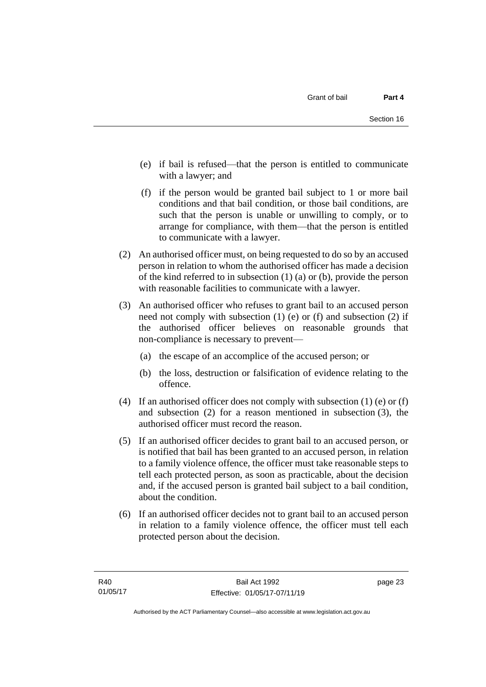- (e) if bail is refused—that the person is entitled to communicate with a lawyer; and
- (f) if the person would be granted bail subject to 1 or more bail conditions and that bail condition, or those bail conditions, are such that the person is unable or unwilling to comply, or to arrange for compliance, with them—that the person is entitled to communicate with a lawyer.
- (2) An authorised officer must, on being requested to do so by an accused person in relation to whom the authorised officer has made a decision of the kind referred to in subsection (1) (a) or (b), provide the person with reasonable facilities to communicate with a lawyer.
- (3) An authorised officer who refuses to grant bail to an accused person need not comply with subsection (1) (e) or (f) and subsection (2) if the authorised officer believes on reasonable grounds that non-compliance is necessary to prevent—
	- (a) the escape of an accomplice of the accused person; or
	- (b) the loss, destruction or falsification of evidence relating to the offence.
- (4) If an authorised officer does not comply with subsection (1) (e) or (f) and subsection (2) for a reason mentioned in subsection (3), the authorised officer must record the reason.
- (5) If an authorised officer decides to grant bail to an accused person, or is notified that bail has been granted to an accused person, in relation to a family violence offence, the officer must take reasonable steps to tell each protected person, as soon as practicable, about the decision and, if the accused person is granted bail subject to a bail condition, about the condition.
- (6) If an authorised officer decides not to grant bail to an accused person in relation to a family violence offence, the officer must tell each protected person about the decision.

page 23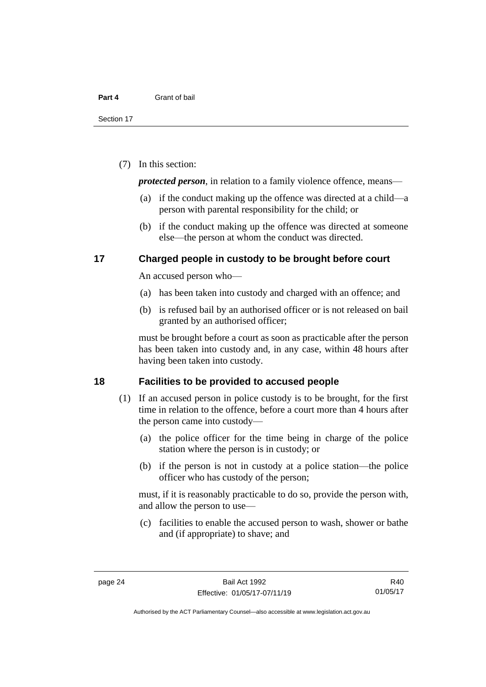(7) In this section:

*protected person*, in relation to a family violence offence, means—

- (a) if the conduct making up the offence was directed at a child—a person with parental responsibility for the child; or
- (b) if the conduct making up the offence was directed at someone else—the person at whom the conduct was directed.

### <span id="page-31-0"></span>**17 Charged people in custody to be brought before court**

An accused person who—

- (a) has been taken into custody and charged with an offence; and
- (b) is refused bail by an authorised officer or is not released on bail granted by an authorised officer;

must be brought before a court as soon as practicable after the person has been taken into custody and, in any case, within 48 hours after having been taken into custody.

### <span id="page-31-1"></span>**18 Facilities to be provided to accused people**

- (1) If an accused person in police custody is to be brought, for the first time in relation to the offence, before a court more than 4 hours after the person came into custody—
	- (a) the police officer for the time being in charge of the police station where the person is in custody; or
	- (b) if the person is not in custody at a police station—the police officer who has custody of the person;

must, if it is reasonably practicable to do so, provide the person with, and allow the person to use—

(c) facilities to enable the accused person to wash, shower or bathe and (if appropriate) to shave; and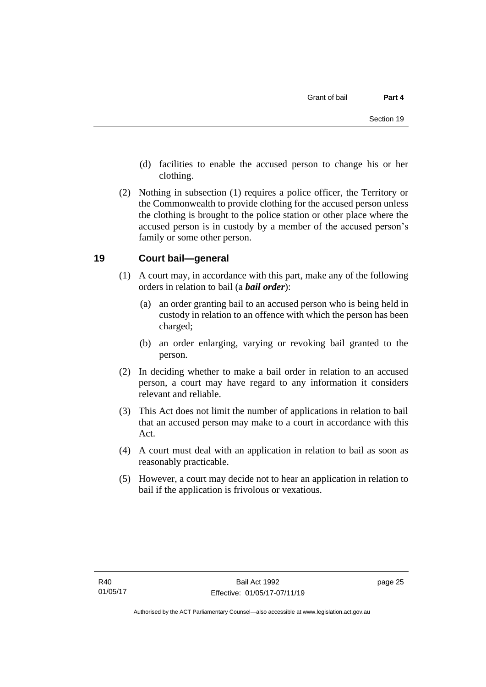- (d) facilities to enable the accused person to change his or her clothing.
- (2) Nothing in subsection (1) requires a police officer, the Territory or the Commonwealth to provide clothing for the accused person unless the clothing is brought to the police station or other place where the accused person is in custody by a member of the accused person's family or some other person.

### <span id="page-32-0"></span>**19 Court bail—general**

- (1) A court may, in accordance with this part, make any of the following orders in relation to bail (a *bail order*):
	- (a) an order granting bail to an accused person who is being held in custody in relation to an offence with which the person has been charged;
	- (b) an order enlarging, varying or revoking bail granted to the person.
- (2) In deciding whether to make a bail order in relation to an accused person, a court may have regard to any information it considers relevant and reliable.
- (3) This Act does not limit the number of applications in relation to bail that an accused person may make to a court in accordance with this Act.
- (4) A court must deal with an application in relation to bail as soon as reasonably practicable.
- (5) However, a court may decide not to hear an application in relation to bail if the application is frivolous or vexatious.

page 25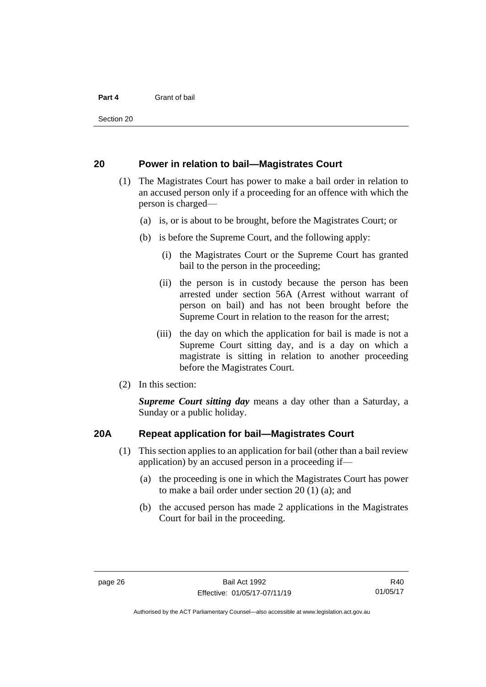Section 20

### <span id="page-33-0"></span>**20 Power in relation to bail—Magistrates Court**

- (1) The Magistrates Court has power to make a bail order in relation to an accused person only if a proceeding for an offence with which the person is charged—
	- (a) is, or is about to be brought, before the Magistrates Court; or
	- (b) is before the Supreme Court, and the following apply:
		- (i) the Magistrates Court or the Supreme Court has granted bail to the person in the proceeding;
		- (ii) the person is in custody because the person has been arrested under section 56A (Arrest without warrant of person on bail) and has not been brought before the Supreme Court in relation to the reason for the arrest;
		- (iii) the day on which the application for bail is made is not a Supreme Court sitting day, and is a day on which a magistrate is sitting in relation to another proceeding before the Magistrates Court.
- (2) In this section:

*Supreme Court sitting day* means a day other than a Saturday, a Sunday or a public holiday.

### <span id="page-33-1"></span>**20A Repeat application for bail—Magistrates Court**

- (1) This section applies to an application for bail (other than a bail review application) by an accused person in a proceeding if—
	- (a) the proceeding is one in which the Magistrates Court has power to make a bail order under section 20 (1) (a); and
	- (b) the accused person has made 2 applications in the Magistrates Court for bail in the proceeding.

R40 01/05/17

Authorised by the ACT Parliamentary Counsel—also accessible at www.legislation.act.gov.au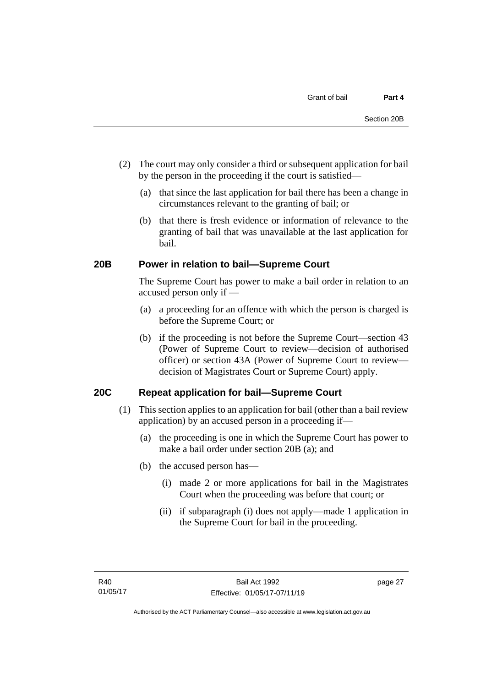- (2) The court may only consider a third or subsequent application for bail by the person in the proceeding if the court is satisfied—
	- (a) that since the last application for bail there has been a change in circumstances relevant to the granting of bail; or
	- (b) that there is fresh evidence or information of relevance to the granting of bail that was unavailable at the last application for bail.

### <span id="page-34-0"></span>**20B Power in relation to bail—Supreme Court**

The Supreme Court has power to make a bail order in relation to an accused person only if —

- (a) a proceeding for an offence with which the person is charged is before the Supreme Court; or
- (b) if the proceeding is not before the Supreme Court—section 43 (Power of Supreme Court to review—decision of authorised officer) or section 43A (Power of Supreme Court to review decision of Magistrates Court or Supreme Court) apply.

### <span id="page-34-1"></span>**20C Repeat application for bail—Supreme Court**

- (1) This section applies to an application for bail (other than a bail review application) by an accused person in a proceeding if—
	- (a) the proceeding is one in which the Supreme Court has power to make a bail order under section 20B (a); and
	- (b) the accused person has—
		- (i) made 2 or more applications for bail in the Magistrates Court when the proceeding was before that court; or
		- (ii) if subparagraph (i) does not apply—made 1 application in the Supreme Court for bail in the proceeding.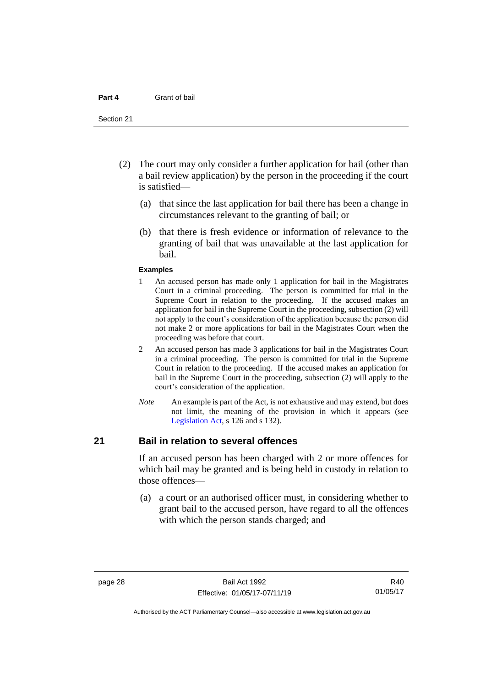#### **Part 4** Grant of bail

#### Section 21

- (2) The court may only consider a further application for bail (other than a bail review application) by the person in the proceeding if the court is satisfied—
	- (a) that since the last application for bail there has been a change in circumstances relevant to the granting of bail; or
	- (b) that there is fresh evidence or information of relevance to the granting of bail that was unavailable at the last application for bail.

#### **Examples**

- 1 An accused person has made only 1 application for bail in the Magistrates Court in a criminal proceeding. The person is committed for trial in the Supreme Court in relation to the proceeding. If the accused makes an application for bail in the Supreme Court in the proceeding, subsection (2) will not apply to the court's consideration of the application because the person did not make 2 or more applications for bail in the Magistrates Court when the proceeding was before that court.
- 2 An accused person has made 3 applications for bail in the Magistrates Court in a criminal proceeding. The person is committed for trial in the Supreme Court in relation to the proceeding. If the accused makes an application for bail in the Supreme Court in the proceeding, subsection (2) will apply to the court's consideration of the application.
- *Note* An example is part of the Act, is not exhaustive and may extend, but does not limit, the meaning of the provision in which it appears (see [Legislation Act,](http://www.legislation.act.gov.au/a/2001-14) s 126 and s 132).

### <span id="page-35-0"></span>**21 Bail in relation to several offences**

If an accused person has been charged with 2 or more offences for which bail may be granted and is being held in custody in relation to those offences—

(a) a court or an authorised officer must, in considering whether to grant bail to the accused person, have regard to all the offences with which the person stands charged; and

Authorised by the ACT Parliamentary Counsel—also accessible at www.legislation.act.gov.au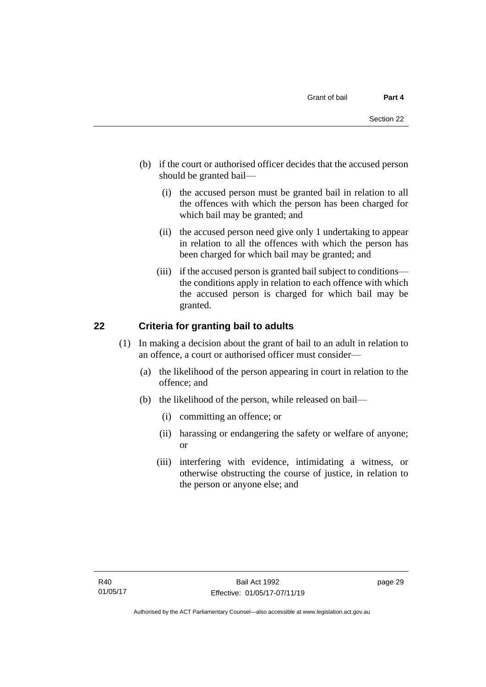- (b) if the court or authorised officer decides that the accused person should be granted bail—
	- (i) the accused person must be granted bail in relation to all the offences with which the person has been charged for which bail may be granted; and
	- (ii) the accused person need give only 1 undertaking to appear in relation to all the offences with which the person has been charged for which bail may be granted; and
	- (iii) if the accused person is granted bail subject to conditions the conditions apply in relation to each offence with which the accused person is charged for which bail may be granted.

# **22 Criteria for granting bail to adults**

- (1) In making a decision about the grant of bail to an adult in relation to an offence, a court or authorised officer must consider—
	- (a) the likelihood of the person appearing in court in relation to the offence; and
	- (b) the likelihood of the person, while released on bail—
		- (i) committing an offence; or
		- (ii) harassing or endangering the safety or welfare of anyone; or
		- (iii) interfering with evidence, intimidating a witness, or otherwise obstructing the course of justice, in relation to the person or anyone else; and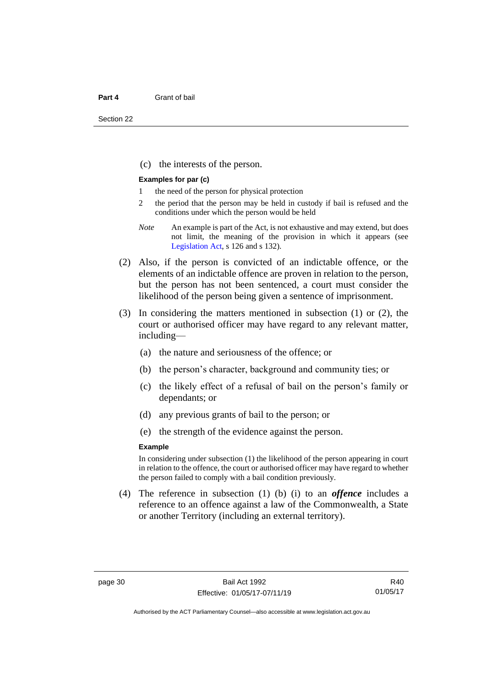(c) the interests of the person.

#### **Examples for par (c)**

- 1 the need of the person for physical protection
- 2 the period that the person may be held in custody if bail is refused and the conditions under which the person would be held
- *Note* An example is part of the Act, is not exhaustive and may extend, but does not limit, the meaning of the provision in which it appears (see [Legislation Act,](http://www.legislation.act.gov.au/a/2001-14) s 126 and s 132).
- (2) Also, if the person is convicted of an indictable offence, or the elements of an indictable offence are proven in relation to the person, but the person has not been sentenced, a court must consider the likelihood of the person being given a sentence of imprisonment.
- (3) In considering the matters mentioned in subsection (1) or (2), the court or authorised officer may have regard to any relevant matter, including—
	- (a) the nature and seriousness of the offence; or
	- (b) the person's character, background and community ties; or
	- (c) the likely effect of a refusal of bail on the person's family or dependants; or
	- (d) any previous grants of bail to the person; or
	- (e) the strength of the evidence against the person.

#### **Example**

In considering under subsection (1) the likelihood of the person appearing in court in relation to the offence, the court or authorised officer may have regard to whether the person failed to comply with a bail condition previously.

(4) The reference in subsection (1) (b) (i) to an *offence* includes a reference to an offence against a law of the Commonwealth, a State or another Territory (including an external territory).

R40 01/05/17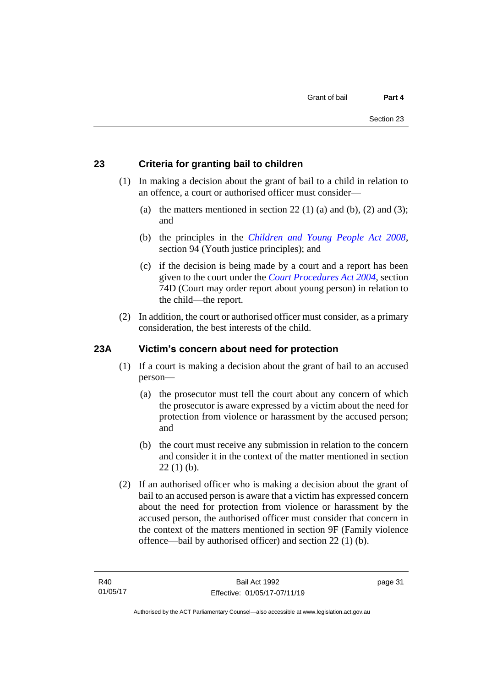# **23 Criteria for granting bail to children**

- (1) In making a decision about the grant of bail to a child in relation to an offence, a court or authorised officer must consider—
	- (a) the matters mentioned in section 22 (1) (a) and (b), (2) and (3); and
	- (b) the principles in the *[Children and Young People Act 2008](http://www.legislation.act.gov.au/a/2008-19)*, section 94 (Youth justice principles); and
	- (c) if the decision is being made by a court and a report has been given to the court under the *[Court Procedures Act 2004](http://www.legislation.act.gov.au/a/2004-59)*, section 74D (Court may order report about young person) in relation to the child—the report.
- (2) In addition, the court or authorised officer must consider, as a primary consideration, the best interests of the child.

#### **23A Victim's concern about need for protection**

- (1) If a court is making a decision about the grant of bail to an accused person—
	- (a) the prosecutor must tell the court about any concern of which the prosecutor is aware expressed by a victim about the need for protection from violence or harassment by the accused person; and
	- (b) the court must receive any submission in relation to the concern and consider it in the context of the matter mentioned in section  $22(1)$  (b).
- (2) If an authorised officer who is making a decision about the grant of bail to an accused person is aware that a victim has expressed concern about the need for protection from violence or harassment by the accused person, the authorised officer must consider that concern in the context of the matters mentioned in section 9F (Family violence offence—bail by authorised officer) and section 22 (1) (b).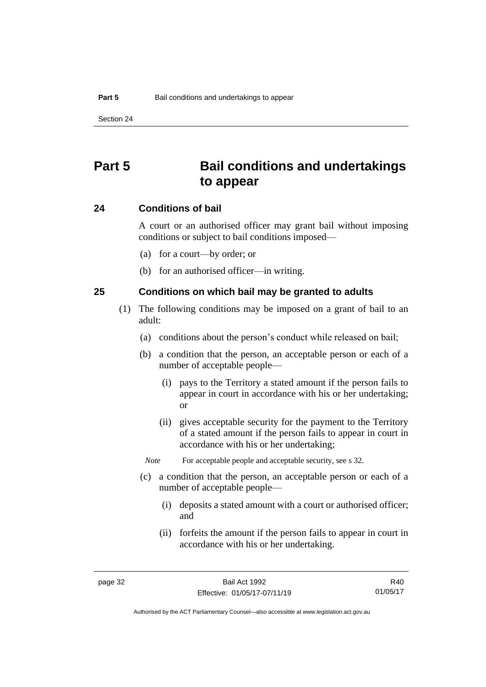# **Part 5 Bail conditions and undertakings to appear**

#### **24 Conditions of bail**

A court or an authorised officer may grant bail without imposing conditions or subject to bail conditions imposed—

- (a) for a court—by order; or
- (b) for an authorised officer—in writing.

#### **25 Conditions on which bail may be granted to adults**

- (1) The following conditions may be imposed on a grant of bail to an adult:
	- (a) conditions about the person's conduct while released on bail;
	- (b) a condition that the person, an acceptable person or each of a number of acceptable people—
		- (i) pays to the Territory a stated amount if the person fails to appear in court in accordance with his or her undertaking; or
		- (ii) gives acceptable security for the payment to the Territory of a stated amount if the person fails to appear in court in accordance with his or her undertaking;

*Note* For acceptable people and acceptable security, see s 32.

- (c) a condition that the person, an acceptable person or each of a number of acceptable people—
	- (i) deposits a stated amount with a court or authorised officer; and
	- (ii) forfeits the amount if the person fails to appear in court in accordance with his or her undertaking.

R40 01/05/17

Authorised by the ACT Parliamentary Counsel—also accessible at www.legislation.act.gov.au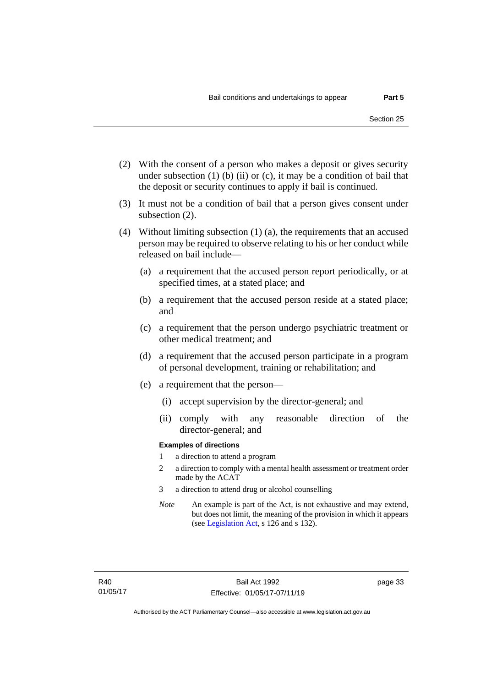- (2) With the consent of a person who makes a deposit or gives security under subsection  $(1)$  (b)  $(ii)$  or  $(c)$ , it may be a condition of bail that the deposit or security continues to apply if bail is continued.
- (3) It must not be a condition of bail that a person gives consent under subsection (2).
- (4) Without limiting subsection (1) (a), the requirements that an accused person may be required to observe relating to his or her conduct while released on bail include—
	- (a) a requirement that the accused person report periodically, or at specified times, at a stated place; and
	- (b) a requirement that the accused person reside at a stated place; and
	- (c) a requirement that the person undergo psychiatric treatment or other medical treatment; and
	- (d) a requirement that the accused person participate in a program of personal development, training or rehabilitation; and
	- (e) a requirement that the person—
		- (i) accept supervision by the director-general; and
		- (ii) comply with any reasonable direction of the director-general; and

#### **Examples of directions**

- 1 a direction to attend a program
- 2 a direction to comply with a mental health assessment or treatment order made by the ACAT
- 3 a direction to attend drug or alcohol counselling
- *Note* An example is part of the Act, is not exhaustive and may extend, but does not limit, the meaning of the provision in which it appears (se[e Legislation Act,](http://www.legislation.act.gov.au/a/2001-14) s 126 and s 132).

page 33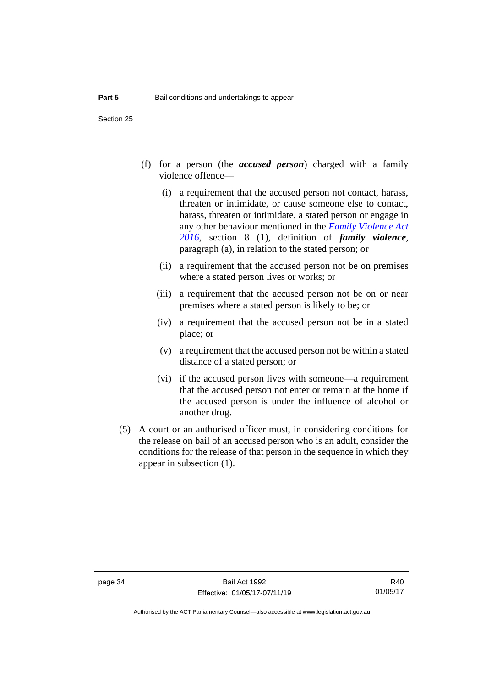- (f) for a person (the *accused person*) charged with a family violence offence—
	- (i) a requirement that the accused person not contact, harass, threaten or intimidate, or cause someone else to contact, harass, threaten or intimidate, a stated person or engage in any other behaviour mentioned in the *[Family Violence Act](http://www.legislation.act.gov.au/a/2016-42)  [2016](http://www.legislation.act.gov.au/a/2016-42)*, section 8 (1), definition of *family violence*, paragraph (a), in relation to the stated person; or
	- (ii) a requirement that the accused person not be on premises where a stated person lives or works; or
	- (iii) a requirement that the accused person not be on or near premises where a stated person is likely to be; or
	- (iv) a requirement that the accused person not be in a stated place; or
	- (v) a requirement that the accused person not be within a stated distance of a stated person; or
	- (vi) if the accused person lives with someone—a requirement that the accused person not enter or remain at the home if the accused person is under the influence of alcohol or another drug.
- (5) A court or an authorised officer must, in considering conditions for the release on bail of an accused person who is an adult, consider the conditions for the release of that person in the sequence in which they appear in subsection (1).

R40 01/05/17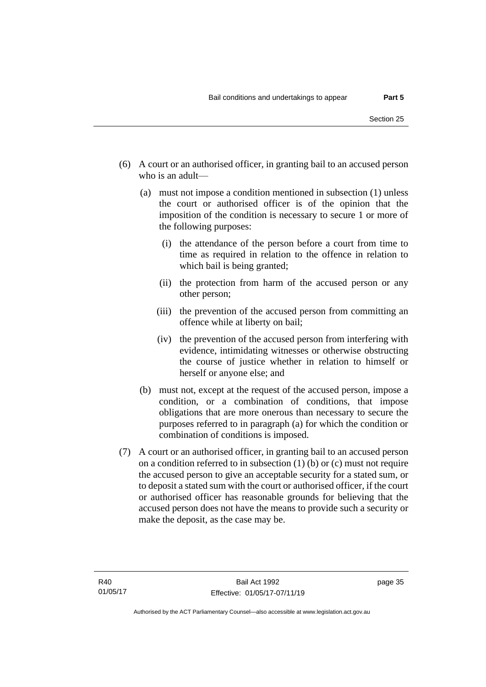- (6) A court or an authorised officer, in granting bail to an accused person who is an adult—
	- (a) must not impose a condition mentioned in subsection (1) unless the court or authorised officer is of the opinion that the imposition of the condition is necessary to secure 1 or more of the following purposes:
		- (i) the attendance of the person before a court from time to time as required in relation to the offence in relation to which bail is being granted;
		- (ii) the protection from harm of the accused person or any other person;
		- (iii) the prevention of the accused person from committing an offence while at liberty on bail;
		- (iv) the prevention of the accused person from interfering with evidence, intimidating witnesses or otherwise obstructing the course of justice whether in relation to himself or herself or anyone else; and
	- (b) must not, except at the request of the accused person, impose a condition, or a combination of conditions, that impose obligations that are more onerous than necessary to secure the purposes referred to in paragraph (a) for which the condition or combination of conditions is imposed.
- (7) A court or an authorised officer, in granting bail to an accused person on a condition referred to in subsection  $(1)$  (b) or  $(c)$  must not require the accused person to give an acceptable security for a stated sum, or to deposit a stated sum with the court or authorised officer, if the court or authorised officer has reasonable grounds for believing that the accused person does not have the means to provide such a security or make the deposit, as the case may be.

page 35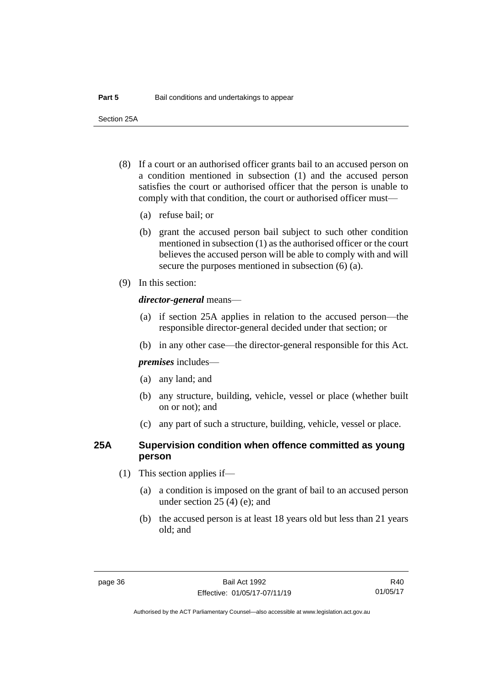Section 25A

- (8) If a court or an authorised officer grants bail to an accused person on a condition mentioned in subsection (1) and the accused person satisfies the court or authorised officer that the person is unable to comply with that condition, the court or authorised officer must—
	- (a) refuse bail; or
	- (b) grant the accused person bail subject to such other condition mentioned in subsection (1) as the authorised officer or the court believes the accused person will be able to comply with and will secure the purposes mentioned in subsection (6) (a).
- (9) In this section:

#### *director-general* means—

- (a) if section 25A applies in relation to the accused person—the responsible director-general decided under that section; or
- (b) in any other case—the director-general responsible for this Act.

*premises* includes—

- (a) any land; and
- (b) any structure, building, vehicle, vessel or place (whether built on or not); and
- (c) any part of such a structure, building, vehicle, vessel or place.

#### **25A Supervision condition when offence committed as young person**

- (1) This section applies if—
	- (a) a condition is imposed on the grant of bail to an accused person under section 25 (4) (e); and
	- (b) the accused person is at least 18 years old but less than 21 years old; and

R40 01/05/17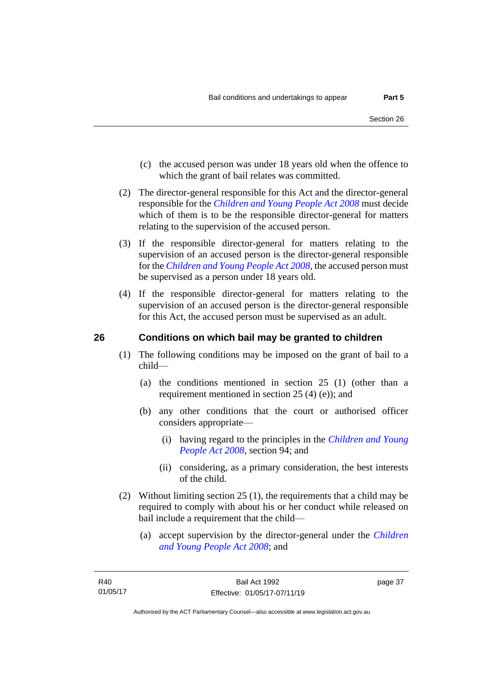- (c) the accused person was under 18 years old when the offence to which the grant of bail relates was committed.
- (2) The director-general responsible for this Act and the director-general responsible for the *[Children and Young People Act 2008](http://www.legislation.act.gov.au/a/2008-19)* must decide which of them is to be the responsible director-general for matters relating to the supervision of the accused person.
- (3) If the responsible director-general for matters relating to the supervision of an accused person is the director-general responsible for the *[Children and Young People Act 2008](http://www.legislation.act.gov.au/a/2008-19)*, the accused person must be supervised as a person under 18 years old.
- (4) If the responsible director-general for matters relating to the supervision of an accused person is the director-general responsible for this Act, the accused person must be supervised as an adult.

#### **26 Conditions on which bail may be granted to children**

- (1) The following conditions may be imposed on the grant of bail to a child—
	- (a) the conditions mentioned in section 25 (1) (other than a requirement mentioned in section 25 (4) (e)); and
	- (b) any other conditions that the court or authorised officer considers appropriate—
		- (i) having regard to the principles in the *[Children and Young](http://www.legislation.act.gov.au/a/2008-19)  [People Act 2008](http://www.legislation.act.gov.au/a/2008-19)*, section 94; and
		- (ii) considering, as a primary consideration, the best interests of the child.
- (2) Without limiting section 25 (1), the requirements that a child may be required to comply with about his or her conduct while released on bail include a requirement that the child—
	- (a) accept supervision by the director-general under the *[Children](http://www.legislation.act.gov.au/a/2008-19)  [and Young People Act 2008](http://www.legislation.act.gov.au/a/2008-19)*; and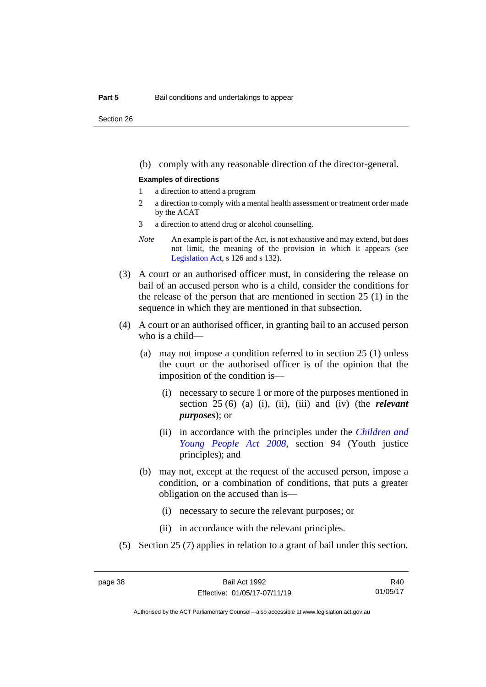Section 26

(b) comply with any reasonable direction of the director-general.

#### **Examples of directions**

- 1 a direction to attend a program
- 2 a direction to comply with a mental health assessment or treatment order made by the ACAT
- 3 a direction to attend drug or alcohol counselling.
- *Note* An example is part of the Act, is not exhaustive and may extend, but does not limit, the meaning of the provision in which it appears (see [Legislation Act,](http://www.legislation.act.gov.au/a/2001-14) s 126 and s 132).
- (3) A court or an authorised officer must, in considering the release on bail of an accused person who is a child, consider the conditions for the release of the person that are mentioned in section 25 (1) in the sequence in which they are mentioned in that subsection.
- (4) A court or an authorised officer, in granting bail to an accused person who is a child—
	- (a) may not impose a condition referred to in section 25 (1) unless the court or the authorised officer is of the opinion that the imposition of the condition is—
		- (i) necessary to secure 1 or more of the purposes mentioned in section 25 (6) (a) (i), (ii), (iii) and (iv) (the *relevant purposes*); or
		- (ii) in accordance with the principles under the *[Children and](http://www.legislation.act.gov.au/a/2008-19)  [Young People Act 2008](http://www.legislation.act.gov.au/a/2008-19)*, section 94 (Youth justice principles); and
	- (b) may not, except at the request of the accused person, impose a condition, or a combination of conditions, that puts a greater obligation on the accused than is—
		- (i) necessary to secure the relevant purposes; or
		- (ii) in accordance with the relevant principles.
- (5) Section 25 (7) applies in relation to a grant of bail under this section.

R40 01/05/17

Authorised by the ACT Parliamentary Counsel—also accessible at www.legislation.act.gov.au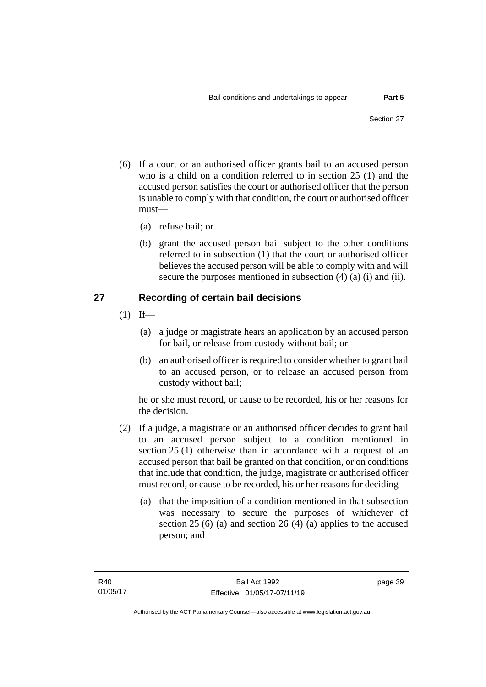- (6) If a court or an authorised officer grants bail to an accused person who is a child on a condition referred to in section 25 (1) and the accused person satisfies the court or authorised officer that the person is unable to comply with that condition, the court or authorised officer must—
	- (a) refuse bail; or
	- (b) grant the accused person bail subject to the other conditions referred to in subsection (1) that the court or authorised officer believes the accused person will be able to comply with and will secure the purposes mentioned in subsection (4) (a) (i) and (ii).

#### **27 Recording of certain bail decisions**

- $(1)$  If—
	- (a) a judge or magistrate hears an application by an accused person for bail, or release from custody without bail; or
	- (b) an authorised officer is required to consider whether to grant bail to an accused person, or to release an accused person from custody without bail;

he or she must record, or cause to be recorded, his or her reasons for the decision.

- (2) If a judge, a magistrate or an authorised officer decides to grant bail to an accused person subject to a condition mentioned in section 25 (1) otherwise than in accordance with a request of an accused person that bail be granted on that condition, or on conditions that include that condition, the judge, magistrate or authorised officer must record, or cause to be recorded, his or her reasons for deciding—
	- (a) that the imposition of a condition mentioned in that subsection was necessary to secure the purposes of whichever of section 25 (6) (a) and section 26 (4) (a) applies to the accused person; and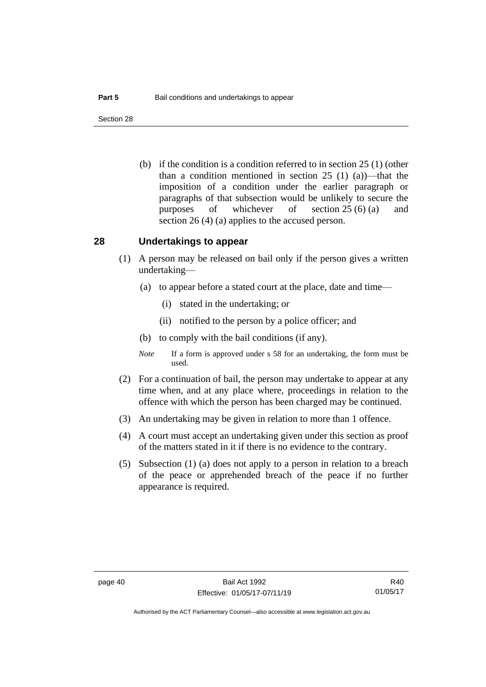Section 28

(b) if the condition is a condition referred to in section 25 (1) (other than a condition mentioned in section 25 (1) (a))—that the imposition of a condition under the earlier paragraph or paragraphs of that subsection would be unlikely to secure the purposes of whichever of section 25 (6) (a) and section 26 (4) (a) applies to the accused person.

#### **28 Undertakings to appear**

- (1) A person may be released on bail only if the person gives a written undertaking—
	- (a) to appear before a stated court at the place, date and time—
		- (i) stated in the undertaking; or
		- (ii) notified to the person by a police officer; and
	- (b) to comply with the bail conditions (if any).
	- *Note* If a form is approved under s 58 for an undertaking, the form must be used.
- (2) For a continuation of bail, the person may undertake to appear at any time when, and at any place where, proceedings in relation to the offence with which the person has been charged may be continued.
- (3) An undertaking may be given in relation to more than 1 offence.
- (4) A court must accept an undertaking given under this section as proof of the matters stated in it if there is no evidence to the contrary.
- (5) Subsection (1) (a) does not apply to a person in relation to a breach of the peace or apprehended breach of the peace if no further appearance is required.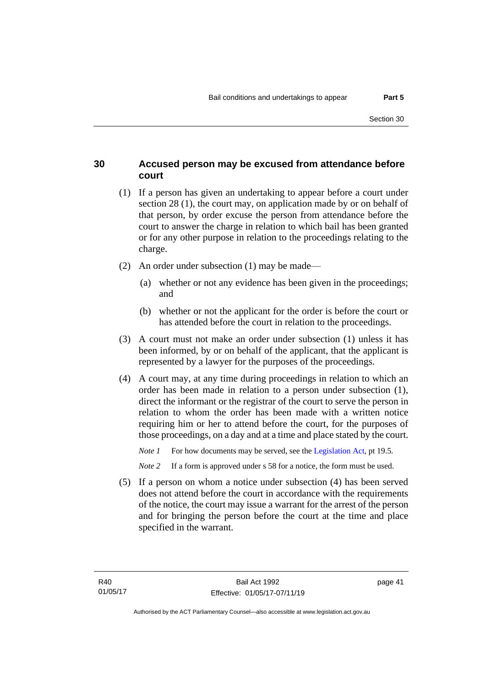#### **30 Accused person may be excused from attendance before court**

- (1) If a person has given an undertaking to appear before a court under section 28 (1), the court may, on application made by or on behalf of that person, by order excuse the person from attendance before the court to answer the charge in relation to which bail has been granted or for any other purpose in relation to the proceedings relating to the charge.
- (2) An order under subsection (1) may be made—
	- (a) whether or not any evidence has been given in the proceedings; and
	- (b) whether or not the applicant for the order is before the court or has attended before the court in relation to the proceedings.
- (3) A court must not make an order under subsection (1) unless it has been informed, by or on behalf of the applicant, that the applicant is represented by a lawyer for the purposes of the proceedings.
- (4) A court may, at any time during proceedings in relation to which an order has been made in relation to a person under subsection (1), direct the informant or the registrar of the court to serve the person in relation to whom the order has been made with a written notice requiring him or her to attend before the court, for the purposes of those proceedings, on a day and at a time and place stated by the court.

*Note 1* For how documents may be served, see th[e Legislation Act,](http://www.legislation.act.gov.au/a/2001-14) pt 19.5.

*Note* 2 If a form is approved under s 58 for a notice, the form must be used.

(5) If a person on whom a notice under subsection (4) has been served does not attend before the court in accordance with the requirements of the notice, the court may issue a warrant for the arrest of the person and for bringing the person before the court at the time and place specified in the warrant.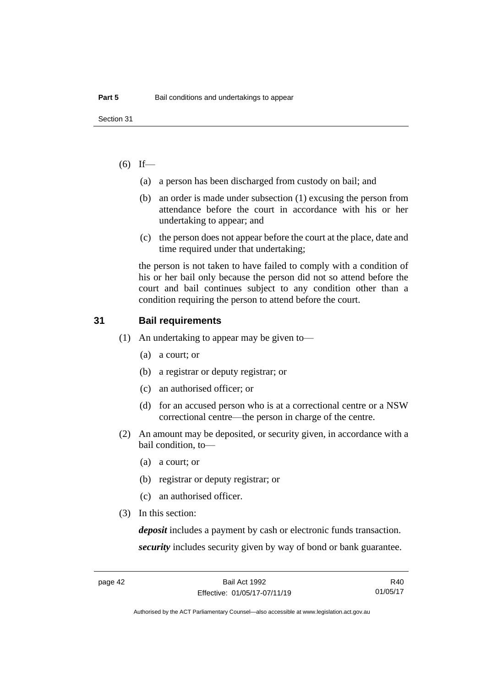#### $(6)$  If—

- (a) a person has been discharged from custody on bail; and
- (b) an order is made under subsection (1) excusing the person from attendance before the court in accordance with his or her undertaking to appear; and
- (c) the person does not appear before the court at the place, date and time required under that undertaking;

the person is not taken to have failed to comply with a condition of his or her bail only because the person did not so attend before the court and bail continues subject to any condition other than a condition requiring the person to attend before the court.

#### **31 Bail requirements**

- (1) An undertaking to appear may be given to—
	- (a) a court; or
	- (b) a registrar or deputy registrar; or
	- (c) an authorised officer; or
	- (d) for an accused person who is at a correctional centre or a NSW correctional centre—the person in charge of the centre.
- (2) An amount may be deposited, or security given, in accordance with a bail condition, to—
	- (a) a court; or
	- (b) registrar or deputy registrar; or
	- (c) an authorised officer.
- (3) In this section:

*deposit* includes a payment by cash or electronic funds transaction. *security* includes security given by way of bond or bank guarantee.

R40 01/05/17

Authorised by the ACT Parliamentary Counsel—also accessible at www.legislation.act.gov.au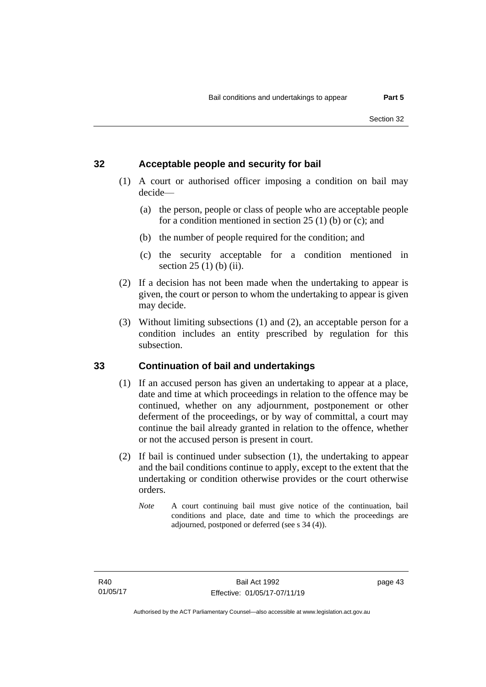#### **32 Acceptable people and security for bail**

- (1) A court or authorised officer imposing a condition on bail may decide—
	- (a) the person, people or class of people who are acceptable people for a condition mentioned in section  $25(1)$  (b) or (c); and
	- (b) the number of people required for the condition; and
	- (c) the security acceptable for a condition mentioned in section 25 (1) (b) (ii).
- (2) If a decision has not been made when the undertaking to appear is given, the court or person to whom the undertaking to appear is given may decide.
- (3) Without limiting subsections (1) and (2), an acceptable person for a condition includes an entity prescribed by regulation for this subsection.

# **33 Continuation of bail and undertakings**

- (1) If an accused person has given an undertaking to appear at a place, date and time at which proceedings in relation to the offence may be continued, whether on any adjournment, postponement or other deferment of the proceedings, or by way of committal, a court may continue the bail already granted in relation to the offence, whether or not the accused person is present in court.
- (2) If bail is continued under subsection (1), the undertaking to appear and the bail conditions continue to apply, except to the extent that the undertaking or condition otherwise provides or the court otherwise orders.
	- *Note* A court continuing bail must give notice of the continuation, bail conditions and place, date and time to which the proceedings are adjourned, postponed or deferred (see s 34 (4)).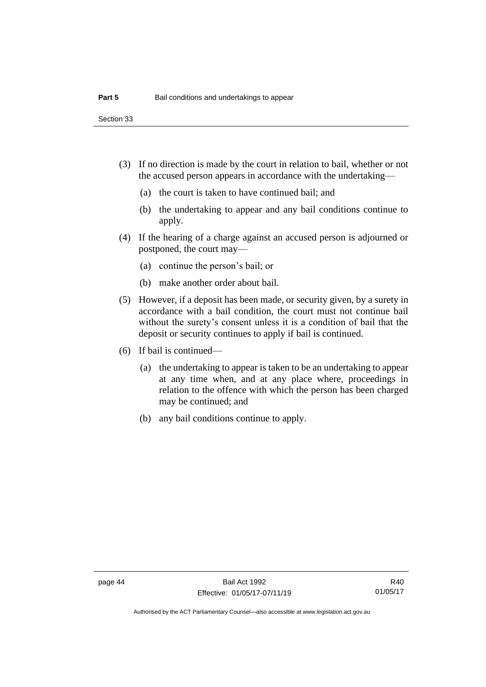Section 33

- (3) If no direction is made by the court in relation to bail, whether or not the accused person appears in accordance with the undertaking—
	- (a) the court is taken to have continued bail; and
	- (b) the undertaking to appear and any bail conditions continue to apply.
- (4) If the hearing of a charge against an accused person is adjourned or postponed, the court may—
	- (a) continue the person's bail; or
	- (b) make another order about bail.
- (5) However, if a deposit has been made, or security given, by a surety in accordance with a bail condition, the court must not continue bail without the surety's consent unless it is a condition of bail that the deposit or security continues to apply if bail is continued.
- (6) If bail is continued—
	- (a) the undertaking to appear is taken to be an undertaking to appear at any time when, and at any place where, proceedings in relation to the offence with which the person has been charged may be continued; and
	- (b) any bail conditions continue to apply.

Authorised by the ACT Parliamentary Counsel—also accessible at www.legislation.act.gov.au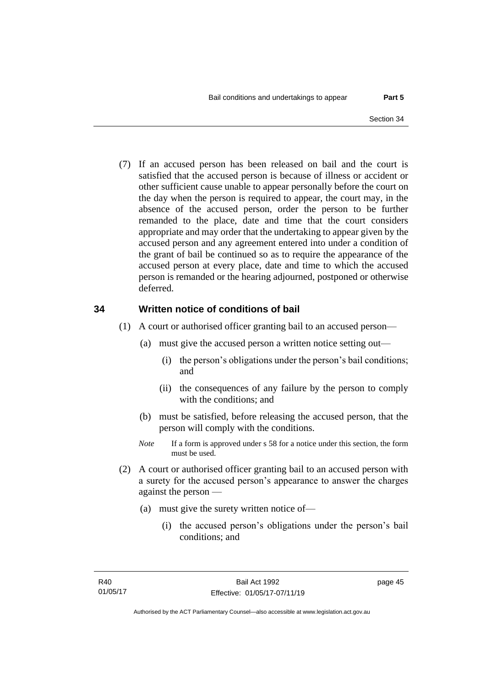(7) If an accused person has been released on bail and the court is satisfied that the accused person is because of illness or accident or other sufficient cause unable to appear personally before the court on the day when the person is required to appear, the court may, in the absence of the accused person, order the person to be further remanded to the place, date and time that the court considers appropriate and may order that the undertaking to appear given by the accused person and any agreement entered into under a condition of the grant of bail be continued so as to require the appearance of the accused person at every place, date and time to which the accused person is remanded or the hearing adjourned, postponed or otherwise deferred.

#### **34 Written notice of conditions of bail**

- (1) A court or authorised officer granting bail to an accused person—
	- (a) must give the accused person a written notice setting out—
		- (i) the person's obligations under the person's bail conditions; and
		- (ii) the consequences of any failure by the person to comply with the conditions; and
	- (b) must be satisfied, before releasing the accused person, that the person will comply with the conditions.
	- *Note* If a form is approved under s 58 for a notice under this section, the form must be used.
- (2) A court or authorised officer granting bail to an accused person with a surety for the accused person's appearance to answer the charges against the person —
	- (a) must give the surety written notice of—
		- (i) the accused person's obligations under the person's bail conditions; and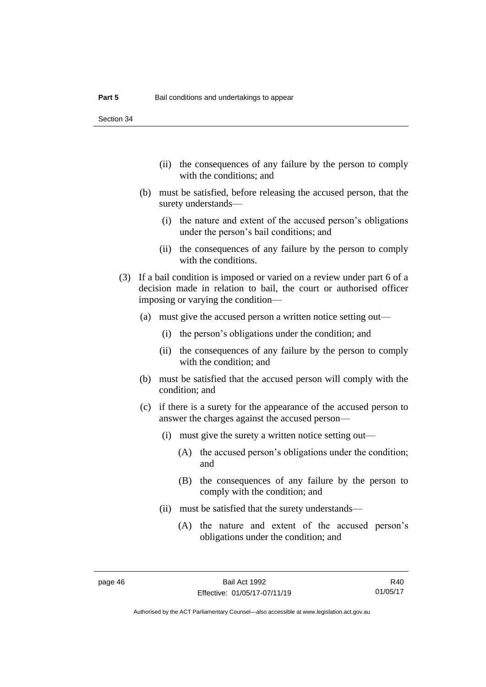Section 34

- (ii) the consequences of any failure by the person to comply with the conditions; and
- (b) must be satisfied, before releasing the accused person, that the surety understands—
	- (i) the nature and extent of the accused person's obligations under the person's bail conditions; and
	- (ii) the consequences of any failure by the person to comply with the conditions.
- (3) If a bail condition is imposed or varied on a review under part 6 of a decision made in relation to bail, the court or authorised officer imposing or varying the condition—
	- (a) must give the accused person a written notice setting out—
		- (i) the person's obligations under the condition; and
		- (ii) the consequences of any failure by the person to comply with the condition; and
	- (b) must be satisfied that the accused person will comply with the condition; and
	- (c) if there is a surety for the appearance of the accused person to answer the charges against the accused person—
		- (i) must give the surety a written notice setting out—
			- (A) the accused person's obligations under the condition; and
			- (B) the consequences of any failure by the person to comply with the condition; and
		- (ii) must be satisfied that the surety understands—
			- (A) the nature and extent of the accused person's obligations under the condition; and

R40 01/05/17

Authorised by the ACT Parliamentary Counsel—also accessible at www.legislation.act.gov.au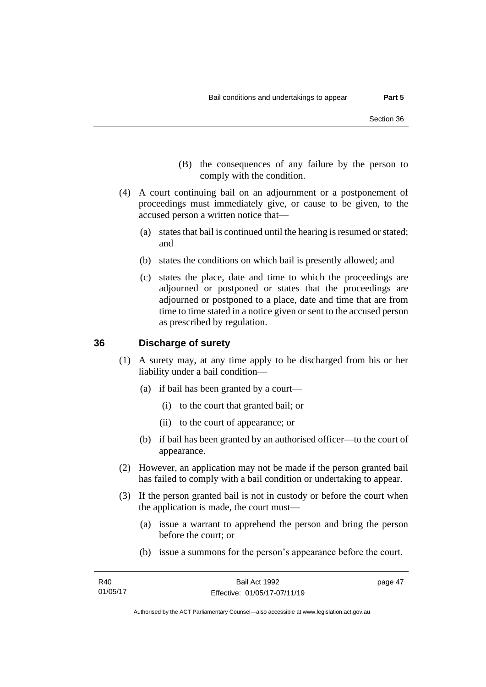- (B) the consequences of any failure by the person to comply with the condition.
- (4) A court continuing bail on an adjournment or a postponement of proceedings must immediately give, or cause to be given, to the accused person a written notice that—
	- (a) states that bail is continued until the hearing is resumed or stated; and
	- (b) states the conditions on which bail is presently allowed; and
	- (c) states the place, date and time to which the proceedings are adjourned or postponed or states that the proceedings are adjourned or postponed to a place, date and time that are from time to time stated in a notice given or sent to the accused person as prescribed by regulation.

#### **36 Discharge of surety**

- (1) A surety may, at any time apply to be discharged from his or her liability under a bail condition—
	- (a) if bail has been granted by a court—
		- (i) to the court that granted bail; or
		- (ii) to the court of appearance; or
	- (b) if bail has been granted by an authorised officer—to the court of appearance.
- (2) However, an application may not be made if the person granted bail has failed to comply with a bail condition or undertaking to appear.
- (3) If the person granted bail is not in custody or before the court when the application is made, the court must—
	- (a) issue a warrant to apprehend the person and bring the person before the court; or
	- (b) issue a summons for the person's appearance before the court.

page 47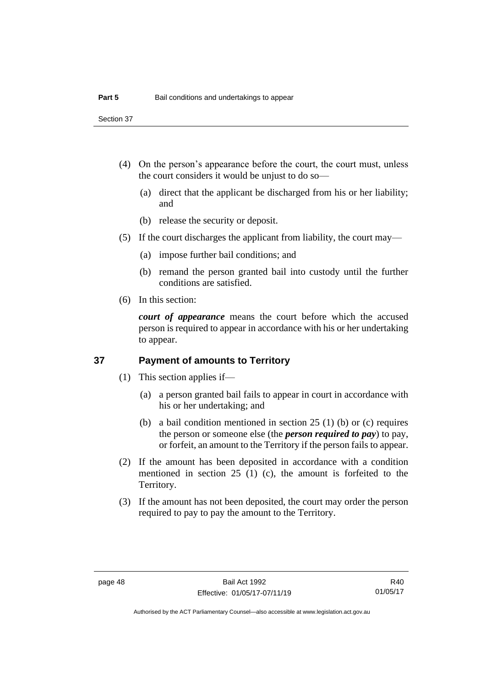Section 37

- (4) On the person's appearance before the court, the court must, unless the court considers it would be unjust to do so—
	- (a) direct that the applicant be discharged from his or her liability; and
	- (b) release the security or deposit.
- (5) If the court discharges the applicant from liability, the court may—
	- (a) impose further bail conditions; and
	- (b) remand the person granted bail into custody until the further conditions are satisfied.
- (6) In this section:

*court of appearance* means the court before which the accused person is required to appear in accordance with his or her undertaking to appear.

#### **37 Payment of amounts to Territory**

- (1) This section applies if—
	- (a) a person granted bail fails to appear in court in accordance with his or her undertaking; and
	- (b) a bail condition mentioned in section 25 (1) (b) or (c) requires the person or someone else (the *person required to pay*) to pay, or forfeit, an amount to the Territory if the person fails to appear.
- (2) If the amount has been deposited in accordance with a condition mentioned in section 25 (1) (c), the amount is forfeited to the Territory.
- (3) If the amount has not been deposited, the court may order the person required to pay to pay the amount to the Territory.

Authorised by the ACT Parliamentary Counsel—also accessible at www.legislation.act.gov.au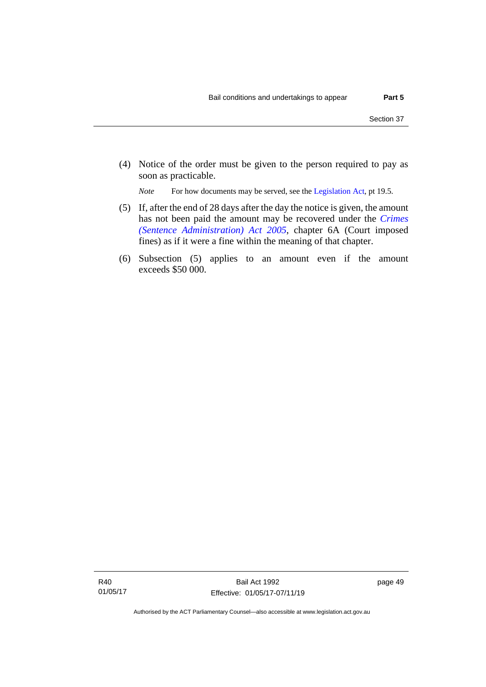(4) Notice of the order must be given to the person required to pay as soon as practicable.

*Note* For how documents may be served, see th[e Legislation Act,](http://www.legislation.act.gov.au/a/2001-14) pt 19.5.

- (5) If, after the end of 28 days after the day the notice is given, the amount has not been paid the amount may be recovered under the *[Crimes](http://www.legislation.act.gov.au/a/2005-59)  [\(Sentence Administration\) Act 2005](http://www.legislation.act.gov.au/a/2005-59)*, chapter 6A (Court imposed fines) as if it were a fine within the meaning of that chapter.
- (6) Subsection (5) applies to an amount even if the amount exceeds \$50 000.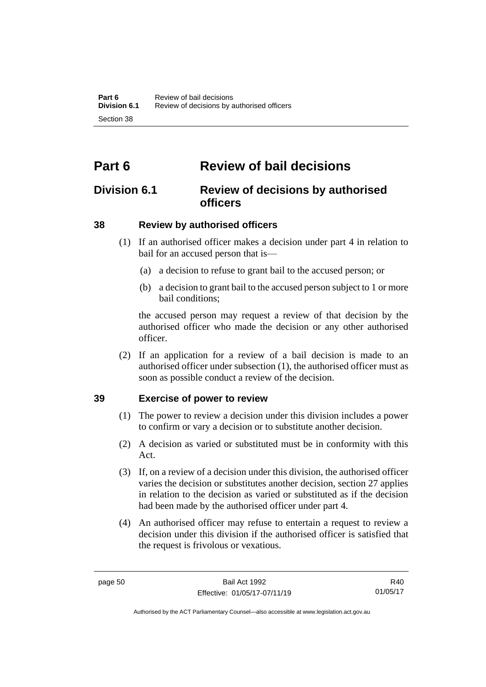# **Part 6 Review of bail decisions**

# **Division 6.1 Review of decisions by authorised officers**

# **38 Review by authorised officers**

- (1) If an authorised officer makes a decision under part 4 in relation to bail for an accused person that is—
	- (a) a decision to refuse to grant bail to the accused person; or
	- (b) a decision to grant bail to the accused person subject to 1 or more bail conditions;

the accused person may request a review of that decision by the authorised officer who made the decision or any other authorised officer.

(2) If an application for a review of a bail decision is made to an authorised officer under subsection (1), the authorised officer must as soon as possible conduct a review of the decision.

# **39 Exercise of power to review**

- (1) The power to review a decision under this division includes a power to confirm or vary a decision or to substitute another decision.
- (2) A decision as varied or substituted must be in conformity with this Act.
- (3) If, on a review of a decision under this division, the authorised officer varies the decision or substitutes another decision, section 27 applies in relation to the decision as varied or substituted as if the decision had been made by the authorised officer under part 4.
- (4) An authorised officer may refuse to entertain a request to review a decision under this division if the authorised officer is satisfied that the request is frivolous or vexatious.

R40 01/05/17

Authorised by the ACT Parliamentary Counsel—also accessible at www.legislation.act.gov.au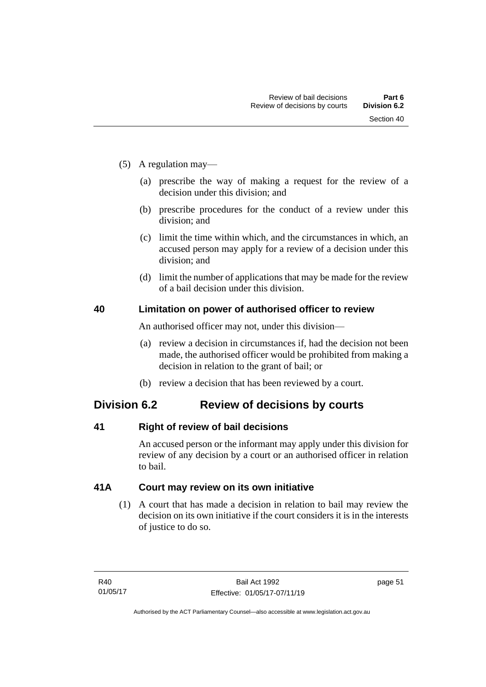- (5) A regulation may—
	- (a) prescribe the way of making a request for the review of a decision under this division; and
	- (b) prescribe procedures for the conduct of a review under this division; and
	- (c) limit the time within which, and the circumstances in which, an accused person may apply for a review of a decision under this division; and
	- (d) limit the number of applications that may be made for the review of a bail decision under this division.

#### **40 Limitation on power of authorised officer to review**

An authorised officer may not, under this division—

- (a) review a decision in circumstances if, had the decision not been made, the authorised officer would be prohibited from making a decision in relation to the grant of bail; or
- (b) review a decision that has been reviewed by a court.

# **Division 6.2 Review of decisions by courts**

# **41 Right of review of bail decisions**

An accused person or the informant may apply under this division for review of any decision by a court or an authorised officer in relation to bail.

# **41A Court may review on its own initiative**

(1) A court that has made a decision in relation to bail may review the decision on its own initiative if the court considers it is in the interests of justice to do so.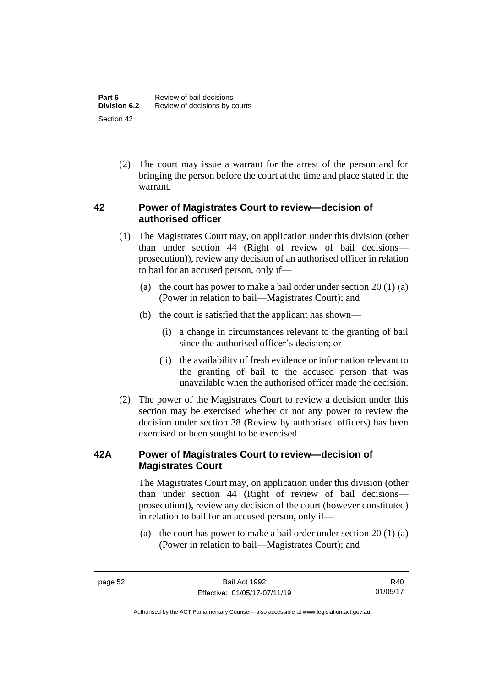(2) The court may issue a warrant for the arrest of the person and for bringing the person before the court at the time and place stated in the warrant.

#### **42 Power of Magistrates Court to review—decision of authorised officer**

- (1) The Magistrates Court may, on application under this division (other than under section 44 (Right of review of bail decisions prosecution)), review any decision of an authorised officer in relation to bail for an accused person, only if—
	- (a) the court has power to make a bail order under section  $20(1)(a)$ (Power in relation to bail—Magistrates Court); and
	- (b) the court is satisfied that the applicant has shown—
		- (i) a change in circumstances relevant to the granting of bail since the authorised officer's decision; or
		- (ii) the availability of fresh evidence or information relevant to the granting of bail to the accused person that was unavailable when the authorised officer made the decision.
- (2) The power of the Magistrates Court to review a decision under this section may be exercised whether or not any power to review the decision under section 38 (Review by authorised officers) has been exercised or been sought to be exercised.

# **42A Power of Magistrates Court to review—decision of Magistrates Court**

The Magistrates Court may, on application under this division (other than under section 44 (Right of review of bail decisions prosecution)), review any decision of the court (however constituted) in relation to bail for an accused person, only if—

(a) the court has power to make a bail order under section  $20(1)(a)$ (Power in relation to bail—Magistrates Court); and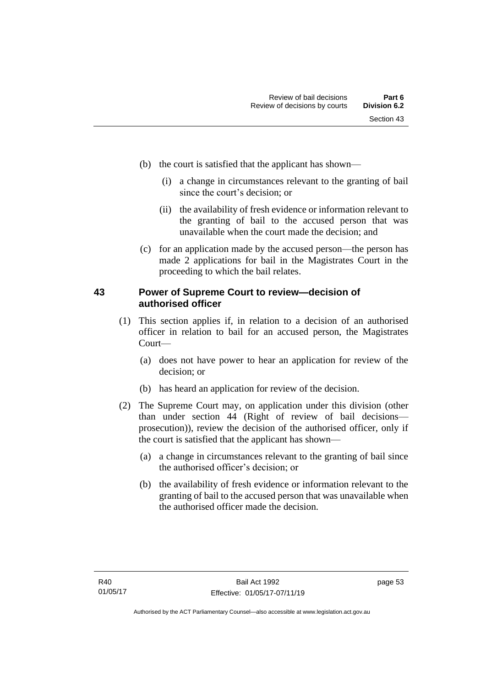- (b) the court is satisfied that the applicant has shown—
	- (i) a change in circumstances relevant to the granting of bail since the court's decision; or
	- (ii) the availability of fresh evidence or information relevant to the granting of bail to the accused person that was unavailable when the court made the decision; and
- (c) for an application made by the accused person—the person has made 2 applications for bail in the Magistrates Court in the proceeding to which the bail relates.

#### **43 Power of Supreme Court to review—decision of authorised officer**

- (1) This section applies if, in relation to a decision of an authorised officer in relation to bail for an accused person, the Magistrates Court—
	- (a) does not have power to hear an application for review of the decision; or
	- (b) has heard an application for review of the decision.
- (2) The Supreme Court may, on application under this division (other than under section 44 (Right of review of bail decisions prosecution)), review the decision of the authorised officer, only if the court is satisfied that the applicant has shown—
	- (a) a change in circumstances relevant to the granting of bail since the authorised officer's decision; or
	- (b) the availability of fresh evidence or information relevant to the granting of bail to the accused person that was unavailable when the authorised officer made the decision.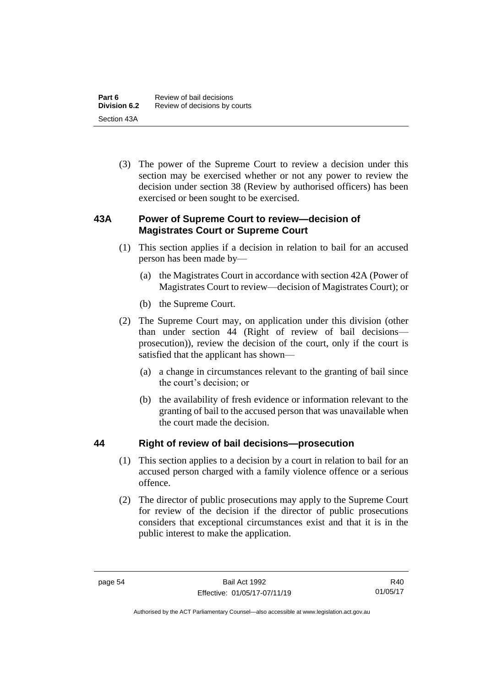(3) The power of the Supreme Court to review a decision under this section may be exercised whether or not any power to review the decision under section 38 (Review by authorised officers) has been exercised or been sought to be exercised.

# **43A Power of Supreme Court to review—decision of Magistrates Court or Supreme Court**

- (1) This section applies if a decision in relation to bail for an accused person has been made by—
	- (a) the Magistrates Court in accordance with section 42A (Power of Magistrates Court to review—decision of Magistrates Court); or
	- (b) the Supreme Court.
- (2) The Supreme Court may, on application under this division (other than under section 44 (Right of review of bail decisions prosecution)), review the decision of the court, only if the court is satisfied that the applicant has shown—
	- (a) a change in circumstances relevant to the granting of bail since the court's decision; or
	- (b) the availability of fresh evidence or information relevant to the granting of bail to the accused person that was unavailable when the court made the decision.

# **44 Right of review of bail decisions—prosecution**

- (1) This section applies to a decision by a court in relation to bail for an accused person charged with a family violence offence or a serious offence.
- (2) The director of public prosecutions may apply to the Supreme Court for review of the decision if the director of public prosecutions considers that exceptional circumstances exist and that it is in the public interest to make the application.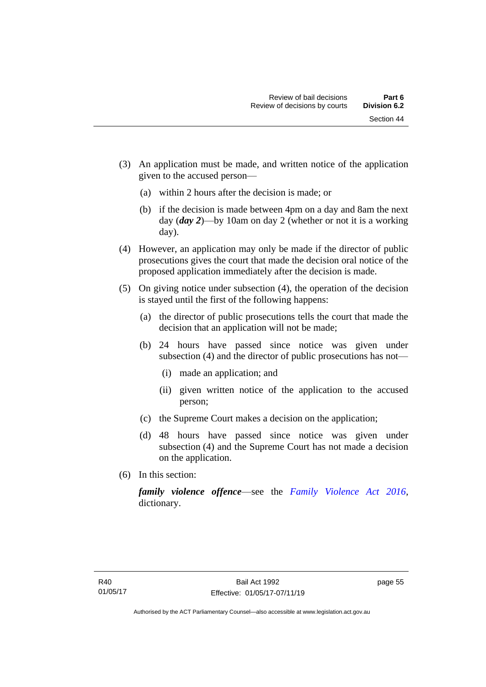Section 44

- (3) An application must be made, and written notice of the application given to the accused person—
	- (a) within 2 hours after the decision is made; or
	- (b) if the decision is made between 4pm on a day and 8am the next day (*day 2*)—by 10am on day 2 (whether or not it is a working day).
- (4) However, an application may only be made if the director of public prosecutions gives the court that made the decision oral notice of the proposed application immediately after the decision is made.
- (5) On giving notice under subsection (4), the operation of the decision is stayed until the first of the following happens:
	- (a) the director of public prosecutions tells the court that made the decision that an application will not be made;
	- (b) 24 hours have passed since notice was given under subsection (4) and the director of public prosecutions has not—
		- (i) made an application; and
		- (ii) given written notice of the application to the accused person;
	- (c) the Supreme Court makes a decision on the application;
	- (d) 48 hours have passed since notice was given under subsection (4) and the Supreme Court has not made a decision on the application.
- (6) In this section:

*family violence offence*—see the *[Family Violence Act 2016](http://www.legislation.act.gov.au/a/2016-42)*, dictionary.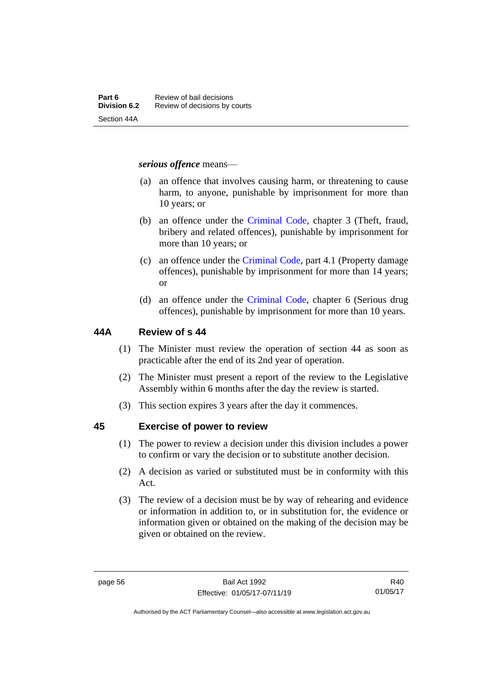#### *serious offence* means—

- (a) an offence that involves causing harm, or threatening to cause harm, to anyone, punishable by imprisonment for more than 10 years; or
- (b) an offence under the [Criminal Code,](http://www.legislation.act.gov.au/a/2002-51) chapter 3 (Theft, fraud, bribery and related offences), punishable by imprisonment for more than 10 years; or
- (c) an offence under the [Criminal Code,](http://www.legislation.act.gov.au/a/2002-51) part 4.1 (Property damage offences), punishable by imprisonment for more than 14 years; or
- (d) an offence under the [Criminal Code,](http://www.legislation.act.gov.au/a/2002-51) chapter 6 (Serious drug offences), punishable by imprisonment for more than 10 years.

#### **44A Review of s 44**

- (1) The Minister must review the operation of section 44 as soon as practicable after the end of its 2nd year of operation.
- (2) The Minister must present a report of the review to the Legislative Assembly within 6 months after the day the review is started.
- (3) This section expires 3 years after the day it commences.

#### **45 Exercise of power to review**

- (1) The power to review a decision under this division includes a power to confirm or vary the decision or to substitute another decision.
- (2) A decision as varied or substituted must be in conformity with this Act.
- (3) The review of a decision must be by way of rehearing and evidence or information in addition to, or in substitution for, the evidence or information given or obtained on the making of the decision may be given or obtained on the review.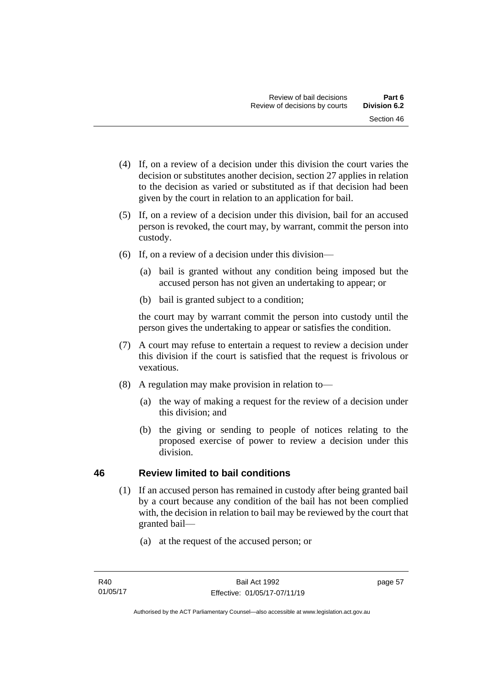- (4) If, on a review of a decision under this division the court varies the decision or substitutes another decision, section 27 applies in relation to the decision as varied or substituted as if that decision had been given by the court in relation to an application for bail.
- (5) If, on a review of a decision under this division, bail for an accused person is revoked, the court may, by warrant, commit the person into custody.
- (6) If, on a review of a decision under this division—
	- (a) bail is granted without any condition being imposed but the accused person has not given an undertaking to appear; or
	- (b) bail is granted subject to a condition;

the court may by warrant commit the person into custody until the person gives the undertaking to appear or satisfies the condition.

- (7) A court may refuse to entertain a request to review a decision under this division if the court is satisfied that the request is frivolous or vexatious.
- (8) A regulation may make provision in relation to—
	- (a) the way of making a request for the review of a decision under this division; and
	- (b) the giving or sending to people of notices relating to the proposed exercise of power to review a decision under this division.

# **46 Review limited to bail conditions**

- (1) If an accused person has remained in custody after being granted bail by a court because any condition of the bail has not been complied with, the decision in relation to bail may be reviewed by the court that granted bail—
	- (a) at the request of the accused person; or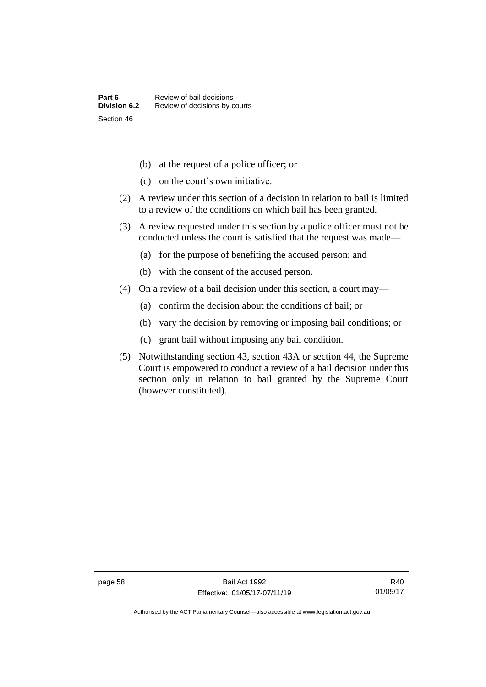- (b) at the request of a police officer; or
- (c) on the court's own initiative.
- (2) A review under this section of a decision in relation to bail is limited to a review of the conditions on which bail has been granted.
- (3) A review requested under this section by a police officer must not be conducted unless the court is satisfied that the request was made—
	- (a) for the purpose of benefiting the accused person; and
	- (b) with the consent of the accused person.
- (4) On a review of a bail decision under this section, a court may—
	- (a) confirm the decision about the conditions of bail; or
	- (b) vary the decision by removing or imposing bail conditions; or
	- (c) grant bail without imposing any bail condition.
- (5) Notwithstanding section 43, section 43A or section 44, the Supreme Court is empowered to conduct a review of a bail decision under this section only in relation to bail granted by the Supreme Court (however constituted).

Authorised by the ACT Parliamentary Counsel—also accessible at www.legislation.act.gov.au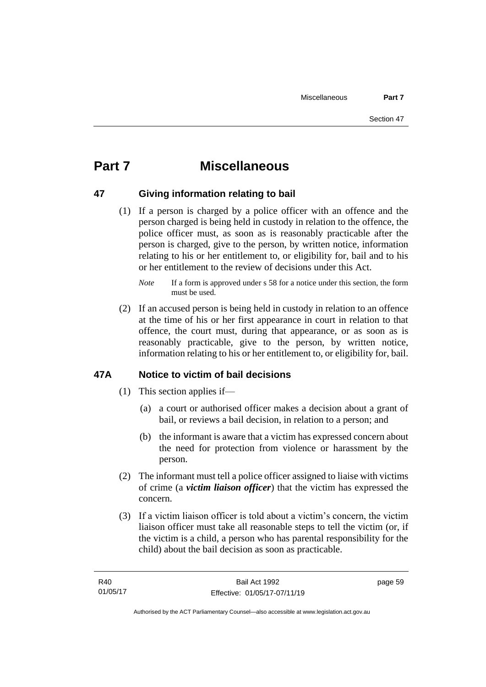# **Part 7 Miscellaneous**

#### **47 Giving information relating to bail**

(1) If a person is charged by a police officer with an offence and the person charged is being held in custody in relation to the offence, the police officer must, as soon as is reasonably practicable after the person is charged, give to the person, by written notice, information relating to his or her entitlement to, or eligibility for, bail and to his or her entitlement to the review of decisions under this Act.

(2) If an accused person is being held in custody in relation to an offence at the time of his or her first appearance in court in relation to that offence, the court must, during that appearance, or as soon as is reasonably practicable, give to the person, by written notice, information relating to his or her entitlement to, or eligibility for, bail.

# **47A Notice to victim of bail decisions**

- (1) This section applies if—
	- (a) a court or authorised officer makes a decision about a grant of bail, or reviews a bail decision, in relation to a person; and
	- (b) the informant is aware that a victim has expressed concern about the need for protection from violence or harassment by the person.
- (2) The informant must tell a police officer assigned to liaise with victims of crime (a *victim liaison officer*) that the victim has expressed the concern.
- (3) If a victim liaison officer is told about a victim's concern, the victim liaison officer must take all reasonable steps to tell the victim (or, if the victim is a child, a person who has parental responsibility for the child) about the bail decision as soon as practicable.

page 59

*Note* If a form is approved under s 58 for a notice under this section, the form must be used.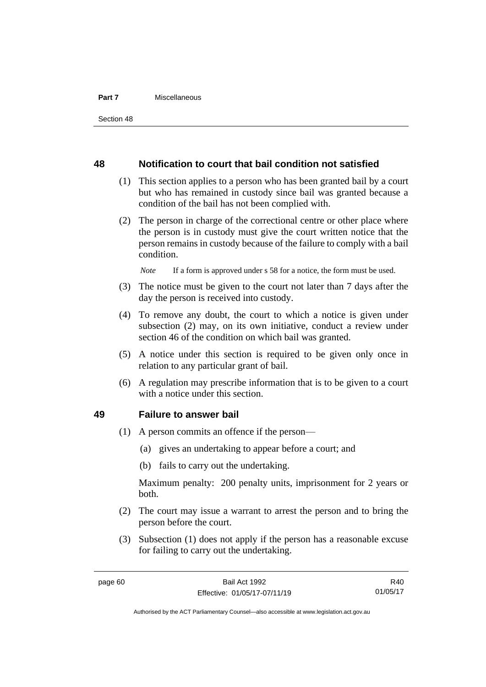#### **Part 7** Miscellaneous

#### **48 Notification to court that bail condition not satisfied**

- (1) This section applies to a person who has been granted bail by a court but who has remained in custody since bail was granted because a condition of the bail has not been complied with.
- (2) The person in charge of the correctional centre or other place where the person is in custody must give the court written notice that the person remains in custody because of the failure to comply with a bail condition.

*Note* If a form is approved under s 58 for a notice, the form must be used.

- (3) The notice must be given to the court not later than 7 days after the day the person is received into custody.
- (4) To remove any doubt, the court to which a notice is given under subsection (2) may, on its own initiative, conduct a review under section 46 of the condition on which bail was granted.
- (5) A notice under this section is required to be given only once in relation to any particular grant of bail.
- (6) A regulation may prescribe information that is to be given to a court with a notice under this section.

#### **49 Failure to answer bail**

- (1) A person commits an offence if the person—
	- (a) gives an undertaking to appear before a court; and
	- (b) fails to carry out the undertaking.

Maximum penalty: 200 penalty units, imprisonment for 2 years or both.

- (2) The court may issue a warrant to arrest the person and to bring the person before the court.
- (3) Subsection (1) does not apply if the person has a reasonable excuse for failing to carry out the undertaking.

R40 01/05/17

Authorised by the ACT Parliamentary Counsel—also accessible at www.legislation.act.gov.au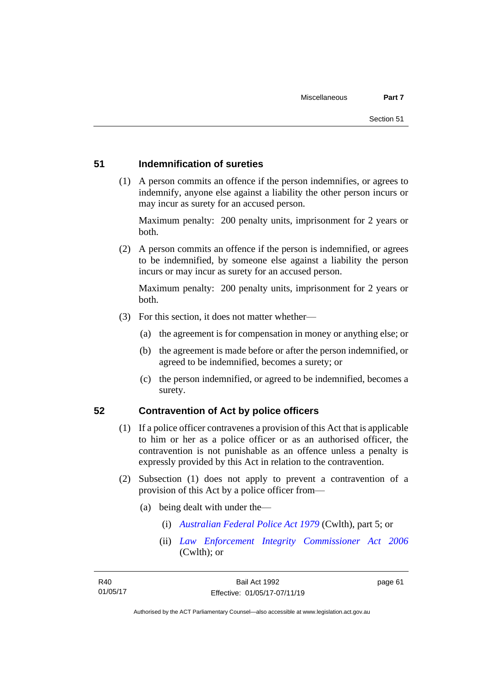#### **51 Indemnification of sureties**

(1) A person commits an offence if the person indemnifies, or agrees to indemnify, anyone else against a liability the other person incurs or may incur as surety for an accused person.

Maximum penalty: 200 penalty units, imprisonment for 2 years or both.

(2) A person commits an offence if the person is indemnified, or agrees to be indemnified, by someone else against a liability the person incurs or may incur as surety for an accused person.

Maximum penalty: 200 penalty units, imprisonment for 2 years or both.

- (3) For this section, it does not matter whether—
	- (a) the agreement is for compensation in money or anything else; or
	- (b) the agreement is made before or after the person indemnified, or agreed to be indemnified, becomes a surety; or
	- (c) the person indemnified, or agreed to be indemnified, becomes a surety.

#### **52 Contravention of Act by police officers**

- (1) If a police officer contravenes a provision of this Act that is applicable to him or her as a police officer or as an authorised officer, the contravention is not punishable as an offence unless a penalty is expressly provided by this Act in relation to the contravention.
- (2) Subsection (1) does not apply to prevent a contravention of a provision of this Act by a police officer from—
	- (a) being dealt with under the—
		- (i) *[Australian Federal Police Act 1979](http://www.comlaw.gov.au/Series/C2004A02068)* (Cwlth), part 5; or
		- (ii) *[Law Enforcement Integrity Commissioner Act 2006](http://www.comlaw.gov.au/Series/C2006A00085)* (Cwlth); or

page 61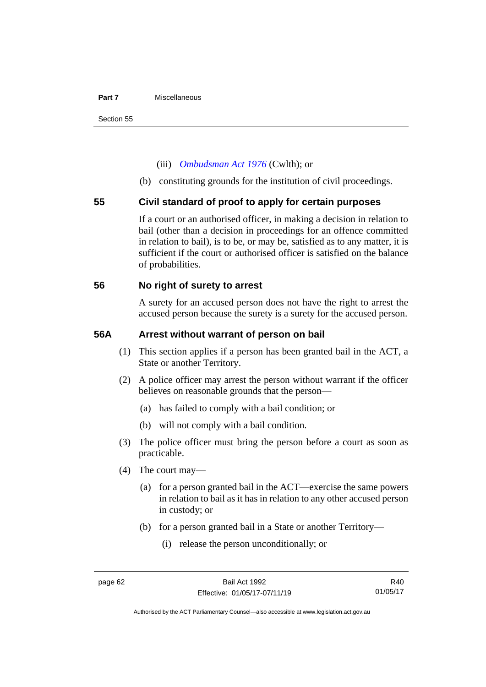#### **Part 7** Miscellaneous

#### (iii) *[Ombudsman Act 1976](http://www.comlaw.gov.au/Series/C2004A01611)* (Cwlth); or

(b) constituting grounds for the institution of civil proceedings.

#### **55 Civil standard of proof to apply for certain purposes**

If a court or an authorised officer, in making a decision in relation to bail (other than a decision in proceedings for an offence committed in relation to bail), is to be, or may be, satisfied as to any matter, it is sufficient if the court or authorised officer is satisfied on the balance of probabilities.

#### **56 No right of surety to arrest**

A surety for an accused person does not have the right to arrest the accused person because the surety is a surety for the accused person.

#### **56A Arrest without warrant of person on bail**

- (1) This section applies if a person has been granted bail in the ACT, a State or another Territory.
- (2) A police officer may arrest the person without warrant if the officer believes on reasonable grounds that the person—
	- (a) has failed to comply with a bail condition; or
	- (b) will not comply with a bail condition.
- (3) The police officer must bring the person before a court as soon as practicable.
- (4) The court may—
	- (a) for a person granted bail in the ACT—exercise the same powers in relation to bail as it has in relation to any other accused person in custody; or
	- (b) for a person granted bail in a State or another Territory—
		- (i) release the person unconditionally; or

R40 01/05/17

Authorised by the ACT Parliamentary Counsel—also accessible at www.legislation.act.gov.au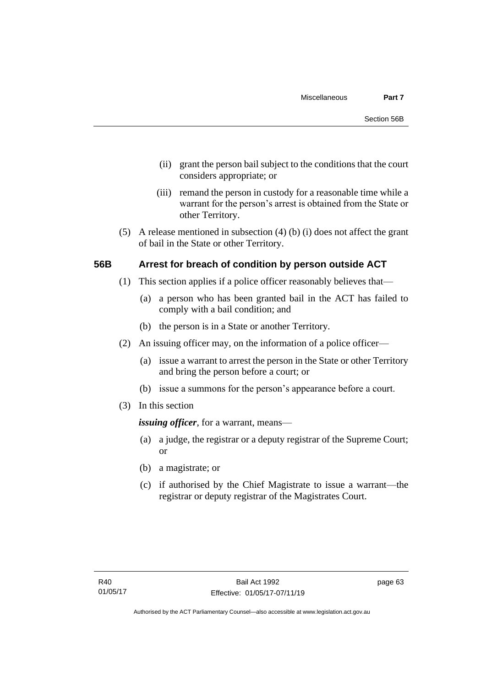- (ii) grant the person bail subject to the conditions that the court considers appropriate; or
- (iii) remand the person in custody for a reasonable time while a warrant for the person's arrest is obtained from the State or other Territory.
- (5) A release mentioned in subsection (4) (b) (i) does not affect the grant of bail in the State or other Territory.

#### **56B Arrest for breach of condition by person outside ACT**

- (1) This section applies if a police officer reasonably believes that—
	- (a) a person who has been granted bail in the ACT has failed to comply with a bail condition; and
	- (b) the person is in a State or another Territory.
- (2) An issuing officer may, on the information of a police officer—
	- (a) issue a warrant to arrest the person in the State or other Territory and bring the person before a court; or
	- (b) issue a summons for the person's appearance before a court.
- (3) In this section

*issuing officer*, for a warrant, means—

- (a) a judge, the registrar or a deputy registrar of the Supreme Court; or
- (b) a magistrate; or
- (c) if authorised by the Chief Magistrate to issue a warrant—the registrar or deputy registrar of the Magistrates Court.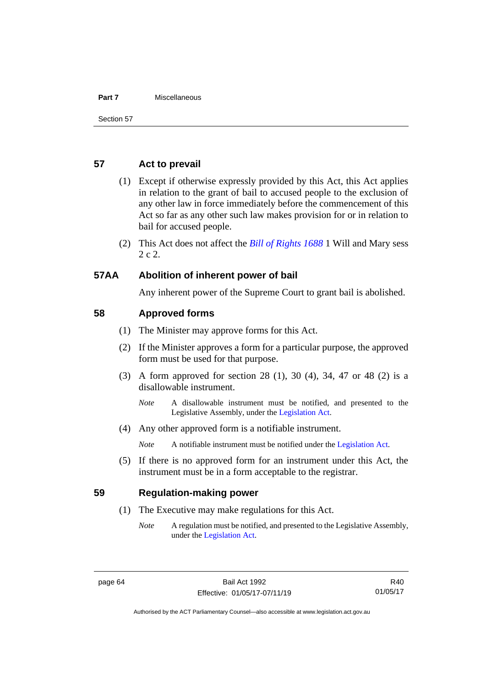#### **Part 7** Miscellaneous

#### **57 Act to prevail**

- (1) Except if otherwise expressly provided by this Act, this Act applies in relation to the grant of bail to accused people to the exclusion of any other law in force immediately before the commencement of this Act so far as any other such law makes provision for or in relation to bail for accused people.
- (2) This Act does not affect the *[Bill of Rights 1688](http://www.legislation.act.gov.au/a/db_1792/default.asp)* 1 Will and Mary sess 2 c 2.

#### **57AA Abolition of inherent power of bail**

Any inherent power of the Supreme Court to grant bail is abolished.

#### **58 Approved forms**

- (1) The Minister may approve forms for this Act.
- (2) If the Minister approves a form for a particular purpose, the approved form must be used for that purpose.
- (3) A form approved for section 28 (1), 30 (4), 34, 47 or 48 (2) is a disallowable instrument.
	- *Note* A disallowable instrument must be notified, and presented to the Legislative Assembly, under the [Legislation Act.](http://www.legislation.act.gov.au/a/2001-14)
- (4) Any other approved form is a notifiable instrument.

*Note* A notifiable instrument must be notified under the [Legislation Act.](http://www.legislation.act.gov.au/a/2001-14)

(5) If there is no approved form for an instrument under this Act, the instrument must be in a form acceptable to the registrar.

#### **59 Regulation-making power**

- (1) The Executive may make regulations for this Act.
	- *Note* A regulation must be notified, and presented to the Legislative Assembly, under the [Legislation Act.](http://www.legislation.act.gov.au/a/2001-14)

Authorised by the ACT Parliamentary Counsel—also accessible at www.legislation.act.gov.au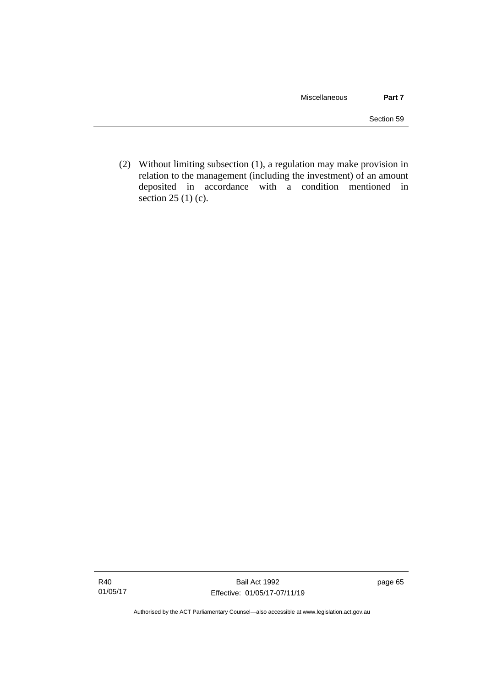(2) Without limiting subsection (1), a regulation may make provision in relation to the management (including the investment) of an amount deposited in accordance with a condition mentioned in section 25 (1) (c).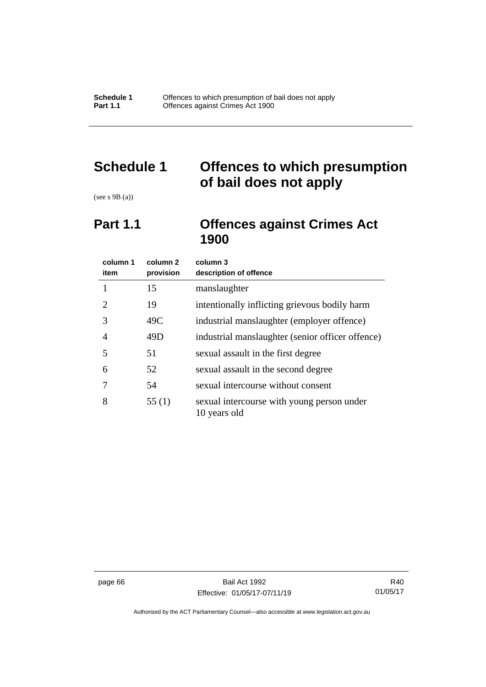# **Schedule 1 Offences to which presumption of bail does not apply**

(see s 9B (a))

# **Part 1.1 Offences against Crimes Act 1900**

| column 1<br>item | column 2<br>provision | column 3<br>description of offence                         |
|------------------|-----------------------|------------------------------------------------------------|
|                  | 15                    | manslaughter                                               |
| 2                | 19                    | intentionally inflicting grievous bodily harm              |
| 3                | 49C                   | industrial manslaughter (employer offence)                 |
| $\overline{A}$   | 49D                   | industrial manslaughter (senior officer offence)           |
| 5                | 51                    | sexual assault in the first degree                         |
| 6                | 52                    | sexual assault in the second degree                        |
|                  | 54                    | sexual intercourse without consent                         |
| 8                | 55(1)                 | sexual intercourse with young person under<br>10 years old |

page 66 Bail Act 1992 Effective: 01/05/17-07/11/19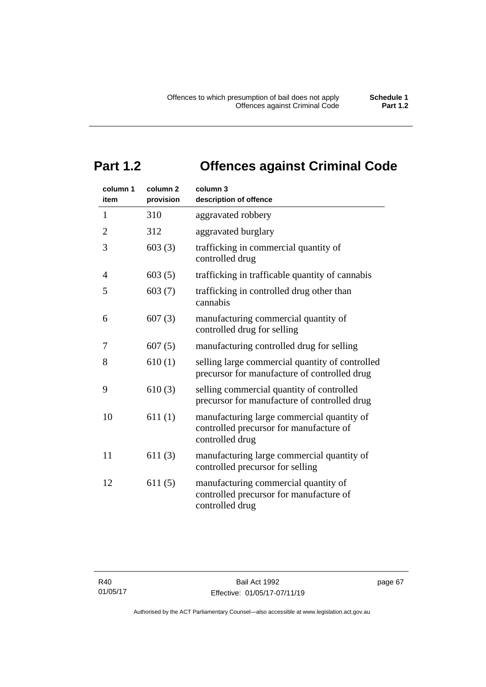# **Part 1.2 Offences against Criminal Code**

| column 1<br>item | column <sub>2</sub><br>provision | column 3<br>description of offence                                                                       |
|------------------|----------------------------------|----------------------------------------------------------------------------------------------------------|
| 1                | 310                              | aggravated robbery                                                                                       |
| $\overline{2}$   | 312                              | aggravated burglary                                                                                      |
| 3                | 603(3)                           | trafficking in commercial quantity of<br>controlled drug                                                 |
| 4                | 603(5)                           | trafficking in trafficable quantity of cannabis                                                          |
| 5                | 603(7)                           | trafficking in controlled drug other than<br>cannabis                                                    |
| 6                | 607(3)                           | manufacturing commercial quantity of<br>controlled drug for selling                                      |
| 7                | 607(5)                           | manufacturing controlled drug for selling                                                                |
| 8                | 610(1)                           | selling large commercial quantity of controlled<br>precursor for manufacture of controlled drug          |
| 9                | 610(3)                           | selling commercial quantity of controlled<br>precursor for manufacture of controlled drug                |
| 10               | 611(1)                           | manufacturing large commercial quantity of<br>controlled precursor for manufacture of<br>controlled drug |
| 11               | 611(3)                           | manufacturing large commercial quantity of<br>controlled precursor for selling                           |
| 12               | 611(5)                           | manufacturing commercial quantity of<br>controlled precursor for manufacture of<br>controlled drug       |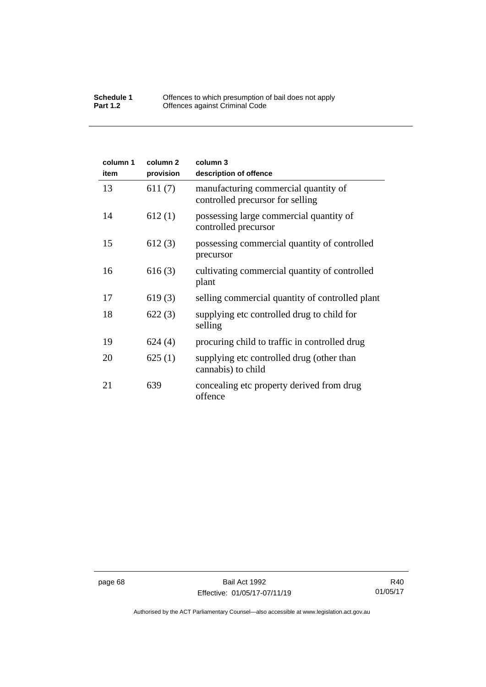| column 1<br>item | column <sub>2</sub><br>provision | column 3<br>description of offence                                       |
|------------------|----------------------------------|--------------------------------------------------------------------------|
| 13               | 611(7)                           | manufacturing commercial quantity of<br>controlled precursor for selling |
| 14               | 612(1)                           | possessing large commercial quantity of<br>controlled precursor          |
| 15               | 612(3)                           | possessing commercial quantity of controlled<br>precursor                |
| 16               | 616(3)                           | cultivating commercial quantity of controlled<br>plant                   |
| 17               | 619(3)                           | selling commercial quantity of controlled plant                          |
| 18               | 622(3)                           | supplying etc controlled drug to child for<br>selling                    |
| 19               | 624(4)                           | procuring child to traffic in controlled drug                            |
| 20               | 625(1)                           | supplying etc controlled drug (other than<br>cannabis) to child          |
| 21               | 639                              | concealing etc property derived from drug<br>offence                     |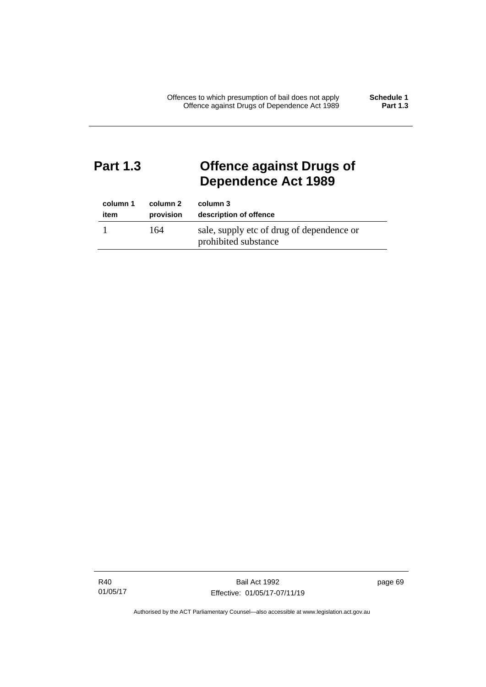# **Part 1.3 Offence against Drugs of Dependence Act 1989**

| column 1 | column 2  | column 3                                                          |
|----------|-----------|-------------------------------------------------------------------|
| item     | provision | description of offence                                            |
|          | 164       | sale, supply etc of drug of dependence or<br>prohibited substance |

R40 01/05/17 page 69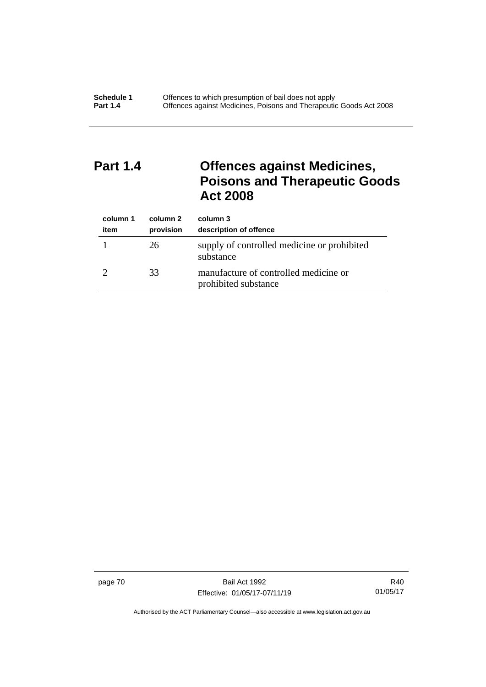# **Part 1.4 Offences against Medicines, Poisons and Therapeutic Goods Act 2008**

| column 1<br>item | column 2<br>provision | column 3<br>description of offence                            |
|------------------|-----------------------|---------------------------------------------------------------|
|                  | 26                    | supply of controlled medicine or prohibited<br>substance      |
|                  | 33                    | manufacture of controlled medicine or<br>prohibited substance |

page 70 Bail Act 1992 Effective: 01/05/17-07/11/19

R40 01/05/17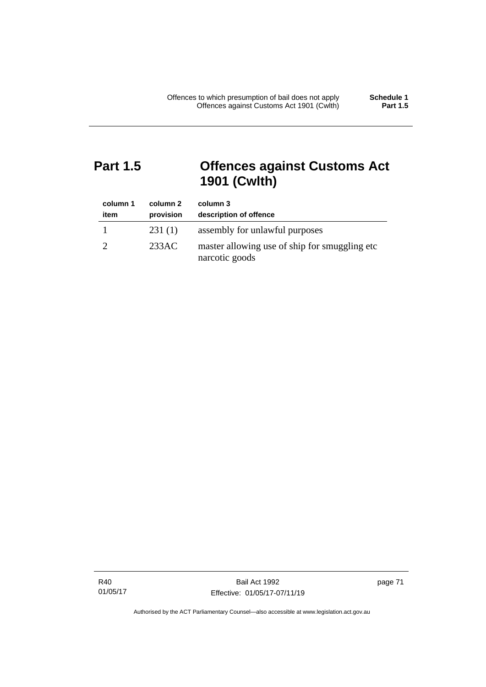# **Part 1.5 Offences against Customs Act 1901 (Cwlth)**

| column 1<br>item | column 2<br>provision | column 3<br>description of offence                               |
|------------------|-----------------------|------------------------------------------------------------------|
|                  | 231(1)                | assembly for unlawful purposes                                   |
|                  | 233AC                 | master allowing use of ship for smuggling etc.<br>narcotic goods |

R40 01/05/17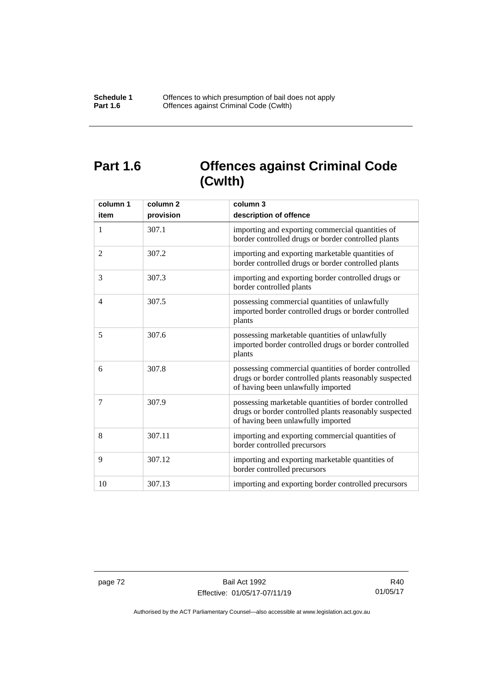# **Part 1.6 Offences against Criminal Code (Cwlth)**

| column 1<br>item | column <sub>2</sub><br>provision | column 3<br>description of offence                                                                                                                    |
|------------------|----------------------------------|-------------------------------------------------------------------------------------------------------------------------------------------------------|
| 1                | 307.1                            | importing and exporting commercial quantities of<br>border controlled drugs or border controlled plants                                               |
| 2                | 307.2                            | importing and exporting marketable quantities of<br>border controlled drugs or border controlled plants                                               |
| 3                | 307.3                            | importing and exporting border controlled drugs or<br>border controlled plants                                                                        |
| $\overline{4}$   | 307.5                            | possessing commercial quantities of unlawfully<br>imported border controlled drugs or border controlled<br>plants                                     |
| 5                | 307.6                            | possessing marketable quantities of unlawfully<br>imported border controlled drugs or border controlled<br>plants                                     |
| 6                | 307.8                            | possessing commercial quantities of border controlled<br>drugs or border controlled plants reasonably suspected<br>of having been unlawfully imported |
| 7                | 307.9                            | possessing marketable quantities of border controlled<br>drugs or border controlled plants reasonably suspected<br>of having been unlawfully imported |
| 8                | 307.11                           | importing and exporting commercial quantities of<br>border controlled precursors                                                                      |
| 9                | 307.12                           | importing and exporting marketable quantities of<br>border controlled precursors                                                                      |
| 10               | 307.13                           | importing and exporting border controlled precursors                                                                                                  |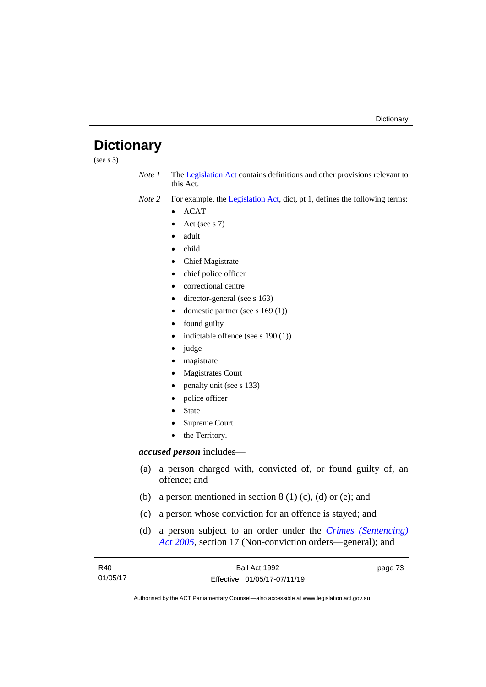# **Dictionary**

(see s 3)

*Note 1* The [Legislation Act](http://www.legislation.act.gov.au/a/2001-14) contains definitions and other provisions relevant to this Act.

*Note 2* For example, the [Legislation Act,](http://www.legislation.act.gov.au/a/2001-14) dict, pt 1, defines the following terms:

- ACAT
- Act (see s 7)
- adult
- child
- Chief Magistrate
- chief police officer
- correctional centre
- director-general (see s 163)
- domestic partner (see s 169 (1))
- found guilty
- indictable offence (see s 190 (1))
- judge
- magistrate
- Magistrates Court
- penalty unit (see s 133)
- police officer
- **State**
- Supreme Court
- the Territory.

# *accused person* includes—

- (a) a person charged with, convicted of, or found guilty of, an offence; and
- (b) a person mentioned in section  $8(1)(c)$ , (d) or (e); and
- (c) a person whose conviction for an offence is stayed; and
- (d) a person subject to an order under the *[Crimes \(Sentencing\)](http://www.legislation.act.gov.au/a/2005-58)  Act [2005](http://www.legislation.act.gov.au/a/2005-58)*, section 17 (Non-conviction orders—general); and

| R40      | Bail Act 1992                | page 73 |
|----------|------------------------------|---------|
| 01/05/17 | Effective: 01/05/17-07/11/19 |         |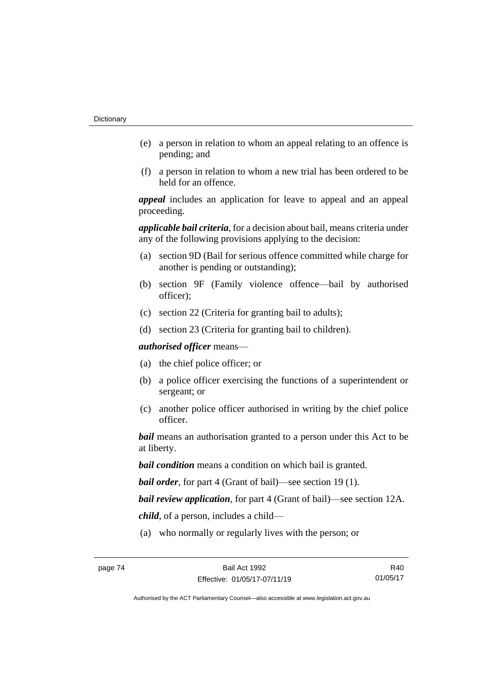- (e) a person in relation to whom an appeal relating to an offence is pending; and
- (f) a person in relation to whom a new trial has been ordered to be held for an offence.

*appeal* includes an application for leave to appeal and an appeal proceeding.

*applicable bail criteria*, for a decision about bail, means criteria under any of the following provisions applying to the decision:

- (a) section 9D (Bail for serious offence committed while charge for another is pending or outstanding);
- (b) section 9F (Family violence offence—bail by authorised officer);
- (c) section 22 (Criteria for granting bail to adults);
- (d) section 23 (Criteria for granting bail to children).

*authorised officer* means—

- (a) the chief police officer; or
- (b) a police officer exercising the functions of a superintendent or sergeant; or
- (c) another police officer authorised in writing by the chief police officer.

*bail* means an authorisation granted to a person under this Act to be at liberty.

*bail condition* means a condition on which bail is granted.

*bail order*, for part 4 (Grant of bail)—see section 19 (1).

*bail review application*, for part 4 (Grant of bail)—see section 12A.

*child*, of a person, includes a child—

(a) who normally or regularly lives with the person; or

R40 01/05/17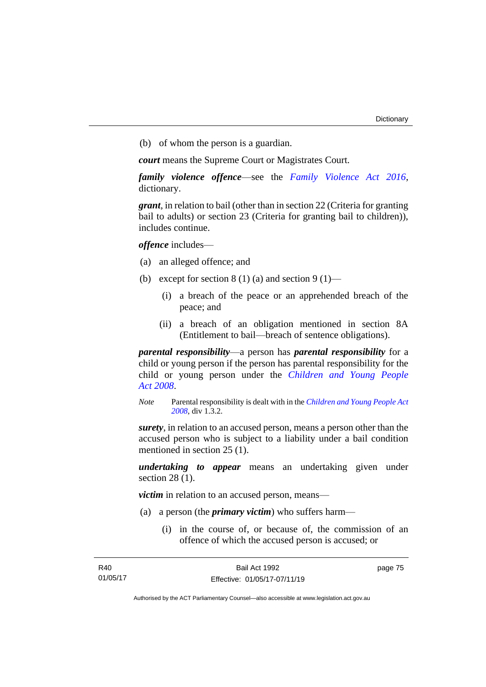(b) of whom the person is a guardian.

*court* means the Supreme Court or Magistrates Court.

*family violence offence*—see the *[Family Violence Act 2016](http://www.legislation.act.gov.au/a/2016-42)*, dictionary.

*grant*, in relation to bail (other than in section 22 (Criteria for granting bail to adults) or section 23 (Criteria for granting bail to children)), includes continue.

*offence* includes—

- (a) an alleged offence; and
- (b) except for section  $8(1)(a)$  and section  $9(1)$ 
	- (i) a breach of the peace or an apprehended breach of the peace; and
	- (ii) a breach of an obligation mentioned in section 8A (Entitlement to bail—breach of sentence obligations).

*parental responsibility*—a person has *parental responsibility* for a child or young person if the person has parental responsibility for the child or young person under the *[Children and Young People](http://www.legislation.act.gov.au/a/2008-19)  Act [2008](http://www.legislation.act.gov.au/a/2008-19)*.

*Note* Parental responsibility is dealt with in the *[Children and Young People Act](http://www.legislation.act.gov.au/a/2008-19)  [2008](http://www.legislation.act.gov.au/a/2008-19)*, div 1.3.2.

*surety*, in relation to an accused person, means a person other than the accused person who is subject to a liability under a bail condition mentioned in section 25 (1).

*undertaking to appear* means an undertaking given under section 28 (1).

*victim* in relation to an accused person, means—

- (a) a person (the *primary victim*) who suffers harm—
	- (i) in the course of, or because of, the commission of an offence of which the accused person is accused; or

| R40      | Bail Act 1992                | page 75 |
|----------|------------------------------|---------|
| 01/05/17 | Effective: 01/05/17-07/11/19 |         |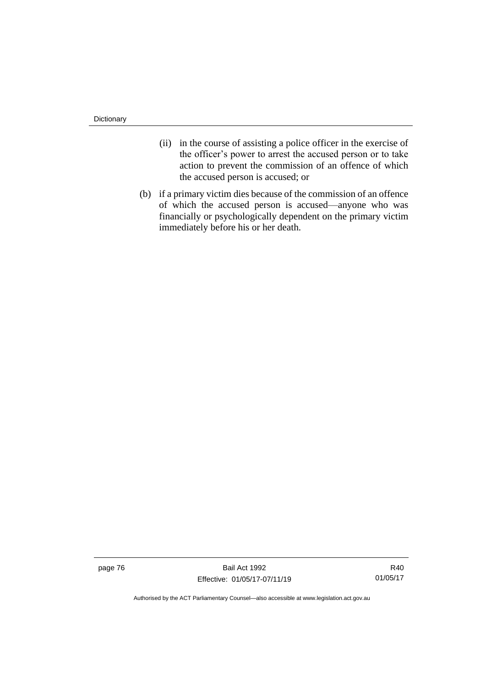**Dictionary** 

- (ii) in the course of assisting a police officer in the exercise of the officer's power to arrest the accused person or to take action to prevent the commission of an offence of which the accused person is accused; or
- (b) if a primary victim dies because of the commission of an offence of which the accused person is accused—anyone who was financially or psychologically dependent on the primary victim immediately before his or her death.

page 76 Bail Act 1992 Effective: 01/05/17-07/11/19

R40 01/05/17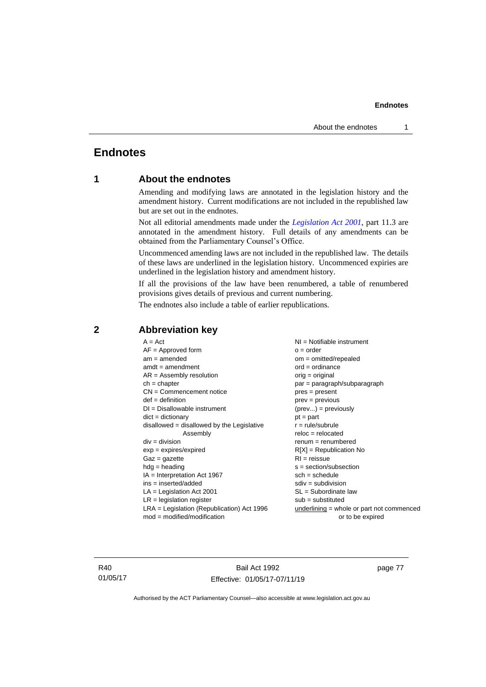# **Endnotes**

# **1 About the endnotes**

Amending and modifying laws are annotated in the legislation history and the amendment history. Current modifications are not included in the republished law but are set out in the endnotes.

Not all editorial amendments made under the *[Legislation Act 2001](http://www.legislation.act.gov.au/a/2001-14)*, part 11.3 are annotated in the amendment history. Full details of any amendments can be obtained from the Parliamentary Counsel's Office.

Uncommenced amending laws are not included in the republished law. The details of these laws are underlined in the legislation history. Uncommenced expiries are underlined in the legislation history and amendment history.

If all the provisions of the law have been renumbered, a table of renumbered provisions gives details of previous and current numbering.

The endnotes also include a table of earlier republications.

| $A = Act$                                    | $NI =$ Notifiable instrument              |
|----------------------------------------------|-------------------------------------------|
| $AF =$ Approved form                         | $o = order$                               |
| $am = amended$                               | $om = omitted/report$                     |
| $amdt = amendment$                           | $ord = ordinance$                         |
| $AR = Assembly resolution$                   | $orig = original$                         |
| $ch = chapter$                               | par = paragraph/subparagraph              |
| $CN =$ Commencement notice                   | $pres = present$                          |
| $def = definition$                           | $prev = previous$                         |
| $DI = Disallowable instrument$               | $(\text{prev}) = \text{previously}$       |
| $dict = dictionary$                          | $pt = part$                               |
| disallowed = disallowed by the Legislative   | $r = rule/subrule$                        |
| Assembly                                     | $reloc = relocated$                       |
| $div =$ division                             | $remum = renumbered$                      |
| $exp = expires/expired$                      | $R[X]$ = Republication No                 |
| $Gaz = gazette$                              | $RI = reissue$                            |
| $hdg =$ heading                              | $s = section/subsection$                  |
| $IA = Interpretation Act 1967$               | $sch = schedule$                          |
| ins = inserted/added                         | $sdiv = subdivision$                      |
| $LA =$ Legislation Act 2001                  | $SL = Subordinate$ law                    |
| $LR =$ legislation register                  | $sub =$ substituted                       |
| $LRA =$ Legislation (Republication) Act 1996 | underlining = whole or part not commenced |
| $mod = modified/modification$                | or to be expired                          |
|                                              |                                           |

### **2 Abbreviation key**

R40 01/05/17

Bail Act 1992 Effective: 01/05/17-07/11/19 page 77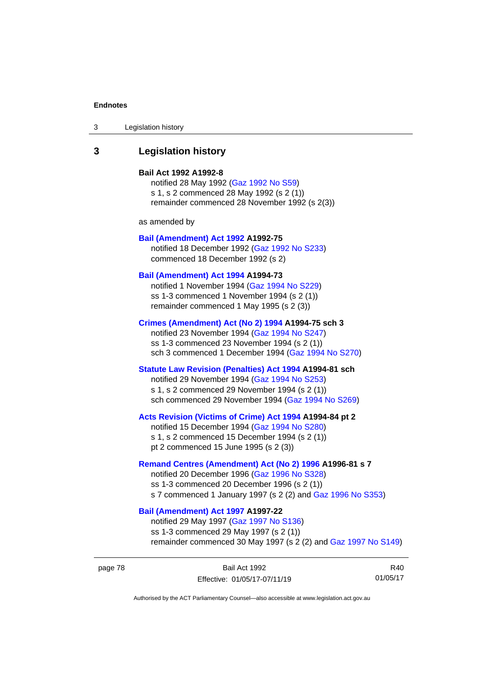3 Legislation history

# **3 Legislation history**

#### **Bail Act 1992 A1992-8**

notified 28 May 1992 [\(Gaz 1992 No S59\)](http://www.legislation.act.gov.au/gaz/1992-S59/default.asp) s 1, s 2 commenced 28 May 1992 (s 2 (1)) remainder commenced 28 November 1992 (s 2(3))

as amended by

#### **[Bail \(Amendment\) Act 1992](http://www.legislation.act.gov.au/a/1992-75) A1992-75**

notified 18 December 1992 [\(Gaz 1992 No S233\)](http://www.legislation.act.gov.au/gaz/1992-S233/default.asp) commenced 18 December 1992 (s 2)

#### **[Bail \(Amendment\) Act 1994](http://www.legislation.act.gov.au/a/1994-73) A1994-73**

notified 1 November 1994 [\(Gaz 1994 No S229\)](http://www.legislation.act.gov.au/gaz/1994-S229/default.asp) ss 1-3 commenced 1 November 1994 (s 2 (1)) remainder commenced 1 May 1995 (s 2 (3))

#### **[Crimes \(Amendment\) Act \(No 2\) 1994](http://www.legislation.act.gov.au/a/1994-75) A1994-75 sch 3**

notified 23 November 1994 [\(Gaz 1994 No S247\)](http://www.legislation.act.gov.au/gaz/1994-S247/default.asp) ss 1-3 commenced 23 November 1994 (s 2 (1)) sch 3 commenced 1 December 1994 [\(Gaz 1994 No](http://www.legislation.act.gov.au/gaz/1994-S270/default.asp) S270)

# **[Statute Law Revision \(Penalties\) Act 1994](http://www.legislation.act.gov.au/a/1994-81) A1994-81 sch**

notified 29 November 1994 [\(Gaz 1994 No S253\)](http://www.legislation.act.gov.au/gaz/1994-S253/default.asp) s 1, s 2 commenced 29 November 1994 (s 2 (1)) sch commenced 29 November 1994 [\(Gaz 1994 No S269\)](http://www.legislation.act.gov.au/gaz/1994-S269/default.asp)

#### **[Acts Revision \(Victims of Crime\) Act 1994](http://www.legislation.act.gov.au/a/1994-84) A1994-84 pt 2**

notified 15 December 1994 [\(Gaz 1994 No S280\)](http://www.legislation.act.gov.au/gaz/1994-S280/default.asp) s 1, s 2 commenced 15 December 1994 (s 2 (1)) pt 2 commenced 15 June 1995 (s 2 (3))

#### **[Remand Centres \(Amendment\) Act \(No 2\) 1996](http://www.legislation.act.gov.au/a/1996-81) A1996-81 s 7**

notified 20 December 1996 [\(Gaz 1996 No S328\)](http://www.legislation.act.gov.au/gaz/1996-S328/default.asp) ss 1-3 commenced 20 December 1996 (s 2 (1)) s 7 commenced 1 January 1997 (s 2 (2) and [Gaz 1996 No](http://www.legislation.act.gov.au/gaz/1996-S353/default.asp) S353)

# **[Bail \(Amendment\) Act 1997](http://www.legislation.act.gov.au/a/1997-22) A1997-22**

notified 29 May 1997 [\(Gaz 1997 No S136\)](http://www.legislation.act.gov.au/gaz/1997-S136/default.asp) ss 1-3 commenced 29 May 1997 (s 2 (1)) remainder commenced 30 May 1997 (s 2 (2) and [Gaz 1997 No S149\)](http://www.legislation.act.gov.au/gaz/1997-S149/default.asp)

R40 01/05/17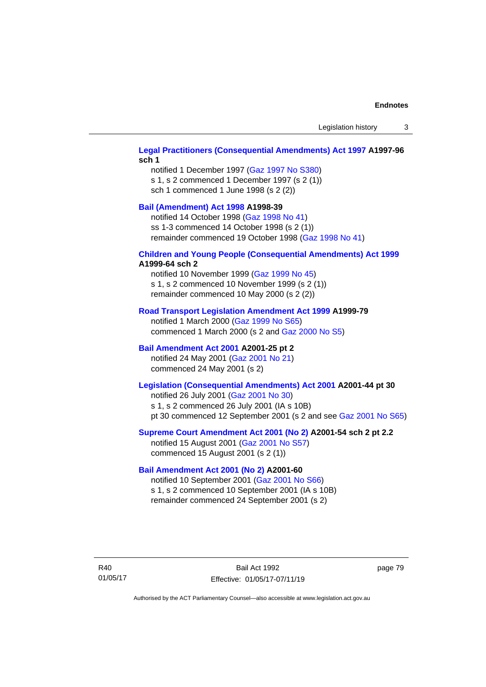Legislation history 3

### **[Legal Practitioners \(Consequential Amendments\) Act 1997](http://www.legislation.act.gov.au/a/1997-96) A1997-96 sch 1**

notified 1 December 1997 [\(Gaz 1997 No S380\)](http://www.legislation.act.gov.au/gaz/1997-S380/default.asp) s 1, s 2 commenced 1 December 1997 (s 2 (1)) sch 1 commenced 1 June 1998 (s 2 (2))

# **[Bail \(Amendment\) Act 1998](http://www.legislation.act.gov.au/a/1998-39) A1998-39**

notified 14 October 1998 [\(Gaz 1998 No 41\)](http://www.legislation.act.gov.au/gaz/1998-41/default.asp) ss 1-3 commenced 14 October 1998 (s 2 (1)) remainder commenced 19 October 1998 [\(Gaz 1998 No 41\)](http://www.legislation.act.gov.au/gaz/1998-41/default.asp)

#### **[Children and Young People \(Consequential Amendments\) Act 1999](http://www.legislation.act.gov.au/a/1999-64) A1999-64 sch 2**

notified 10 November 1999 [\(Gaz 1999 No 45\)](http://www.legislation.act.gov.au/gaz/1999-45/default.asp) s 1, s 2 commenced 10 November 1999 (s 2 (1)) remainder commenced 10 May 2000 (s 2 (2))

#### **[Road Transport Legislation Amendment Act 1999](http://www.legislation.act.gov.au/a/1999-79) A1999-79**

notified 1 March 2000 [\(Gaz 1999 No S65\)](http://www.legislation.act.gov.au/gaz/1999-S65/default.asp) commenced 1 March 2000 (s 2 and [Gaz 2000 No S5\)](http://www.legislation.act.gov.au/gaz/2000-S5/default.asp)

### **[Bail Amendment Act 2001](http://www.legislation.act.gov.au/a/2001-25) A2001-25 pt 2**

notified 24 May 2001 [\(Gaz 2001 No 21\)](http://www.legislation.act.gov.au/gaz/2001-21/default.asp) commenced 24 May 2001 (s 2)

# **[Legislation \(Consequential Amendments\) Act 2001](http://www.legislation.act.gov.au/a/2001-44) A2001-44 pt 30**

notified 26 July 2001 [\(Gaz 2001 No 30\)](http://www.legislation.act.gov.au/gaz/2001-30/default.asp) s 1, s 2 commenced 26 July 2001 (IA s 10B) pt 30 commenced 12 September 2001 (s 2 and see [Gaz 2001 No S65\)](http://www.legislation.act.gov.au/gaz/2001-S65/default.asp)

#### **[Supreme Court Amendment Act 2001 \(No 2\)](http://www.legislation.act.gov.au/a/2001-54) A2001-54 sch 2 pt 2.2**

notified 15 August 2001 [\(Gaz 2001 No S57\)](http://www.legislation.act.gov.au/gaz/2001-S57/default.asp) commenced 15 August 2001 (s 2 (1))

### **[Bail Amendment Act 2001 \(No 2\)](http://www.legislation.act.gov.au/a/2001-60) A2001-60**

notified 10 September 2001 [\(Gaz 2001 No S66\)](http://www.legislation.act.gov.au/gaz/2001-S66/default.asp) s 1, s 2 commenced 10 September 2001 (IA s 10B) remainder commenced 24 September 2001 (s 2)

R40 01/05/17

Bail Act 1992 Effective: 01/05/17-07/11/19 page 79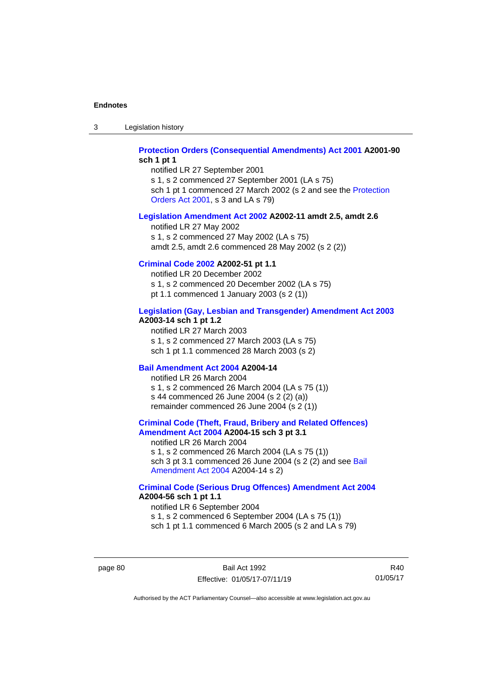3 Legislation history

### **[Protection Orders \(Consequential Amendments\) Act 2001](http://www.legislation.act.gov.au/a/2001-90) A2001-90 sch 1 pt 1**

notified LR 27 September 2001 s 1, s 2 commenced 27 September 2001 (LA s 75) sch 1 pt 1 commenced 27 March 2002 (s 2 and see the Protection [Orders Act 2001,](http://www.legislation.act.gov.au/a/2001-89) s 3 and LA s 79)

#### **[Legislation Amendment Act 2002](http://www.legislation.act.gov.au/a/2002-11) A2002-11 amdt 2.5, amdt 2.6**

notified LR 27 May 2002 s 1, s 2 commenced 27 May 2002 (LA s 75) amdt 2.5, amdt 2.6 commenced 28 May 2002 (s 2 (2))

#### **[Criminal Code 2002](http://www.legislation.act.gov.au/a/2002-51) A2002-51 pt 1.1**

notified LR 20 December 2002 s 1, s 2 commenced 20 December 2002 (LA s 75) pt 1.1 commenced 1 January 2003 (s 2 (1))

#### **[Legislation \(Gay, Lesbian and Transgender\) Amendment Act 2003](http://www.legislation.act.gov.au/a/2003-14)**

#### **A2003-14 sch 1 pt 1.2**

notified LR 27 March 2003 s 1, s 2 commenced 27 March 2003 (LA s 75) sch 1 pt 1.1 commenced 28 March 2003 (s 2)

### **[Bail Amendment Act 2004](http://www.legislation.act.gov.au/a/2004-14) A2004-14**

notified LR 26 March 2004 s 1, s 2 commenced 26 March 2004 (LA s 75 (1)) s 44 commenced 26 June 2004 (s 2 (2) (a)) remainder commenced 26 June 2004 (s 2 (1))

### **[Criminal Code \(Theft, Fraud, Bribery and Related Offences\)](http://www.legislation.act.gov.au/a/2004-15)  [Amendment Act 2004](http://www.legislation.act.gov.au/a/2004-15) A2004-15 sch 3 pt 3.1**

notified LR 26 March 2004 s 1, s 2 commenced 26 March 2004 (LA s 75 (1)) sch 3 pt 3.1 commenced 26 June 2004 (s 2 (2) and see Bail [Amendment Act 2004](http://www.legislation.act.gov.au/a/2004-14) A2004-14 s 2)

#### **[Criminal Code \(Serious Drug Offences\) Amendment Act 2004](http://www.legislation.act.gov.au/a/2004-56) A2004-56 sch 1 pt 1.1**

notified LR 6 September 2004 s 1, s 2 commenced 6 September 2004 (LA s 75 (1)) sch 1 pt 1.1 commenced 6 March 2005 (s 2 and LA s 79)

page 80 Bail Act 1992 Effective: 01/05/17-07/11/19

R40 01/05/17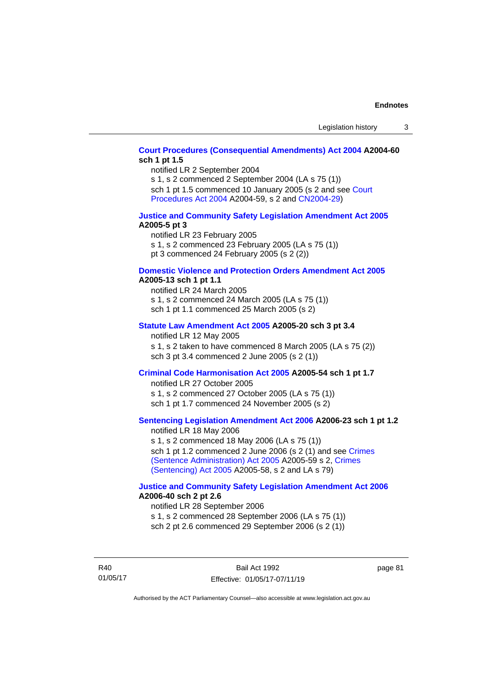### **[Court Procedures \(Consequential Amendments\) Act 2004](http://www.legislation.act.gov.au/a/2004-60) A2004-60 sch 1 pt 1.5**

notified LR 2 September 2004

s 1, s 2 commenced 2 September 2004 (LA s 75 (1)) sch 1 pt 1.5 commenced 10 January 2005 (s 2 and see Court [Procedures Act](http://www.legislation.act.gov.au/a/2004-59) 2004 A2004-59, s 2 an[d CN2004-29\)](http://www.legislation.act.gov.au/cn/2004-29/default.asp)

#### **[Justice and Community Safety Legislation Amendment Act 2005](http://www.legislation.act.gov.au/a/2005-5) A2005-5 pt 3**

notified LR 23 February 2005 s 1, s 2 commenced 23 February 2005 (LA s 75 (1)) pt 3 commenced 24 February 2005 (s 2 (2))

#### **[Domestic Violence and Protection Orders Amendment Act 2005](http://www.legislation.act.gov.au/a/2005-13) A2005-13 sch 1 pt 1.1**

notified LR 24 March 2005 s 1, s 2 commenced 24 March 2005 (LA s 75 (1)) sch 1 pt 1.1 commenced 25 March 2005 (s 2)

#### **[Statute Law Amendment Act 2005](http://www.legislation.act.gov.au/a/2005-20) A2005-20 sch 3 pt 3.4**

notified LR 12 May 2005 s 1, s 2 taken to have commenced 8 March 2005 (LA s 75 (2)) sch 3 pt 3.4 commenced 2 June 2005 (s 2 (1))

# **[Criminal Code Harmonisation Act 2005](http://www.legislation.act.gov.au/a/2005-54) A2005-54 sch 1 pt 1.7**

notified LR 27 October 2005 s 1, s 2 commenced 27 October 2005 (LA s 75 (1)) sch 1 pt 1.7 commenced 24 November 2005 (s 2)

# **[Sentencing Legislation Amendment Act 2006](http://www.legislation.act.gov.au/a/2006-23) A2006-23 sch 1 pt 1.2**

notified LR 18 May 2006 s 1, s 2 commenced 18 May 2006 (LA s 75 (1)) sch 1 pt 1.2 commenced 2 June 2006 (s 2 (1) and see Crimes [\(Sentence Administration\) Act 2005](http://www.legislation.act.gov.au/a/2005-59) A2005-59 s 2, [Crimes](http://www.legislation.act.gov.au/a/2005-58)  [\(Sentencing\) Act 2005](http://www.legislation.act.gov.au/a/2005-58) A2005-58, s 2 and LA s 79)

#### **[Justice and Community Safety Legislation Amendment Act 2006](http://www.legislation.act.gov.au/a/2006-40) A2006-40 sch 2 pt 2.6**

notified LR 28 September 2006

s 1, s 2 commenced 28 September 2006 (LA s 75 (1)) sch 2 pt 2.6 commenced 29 September 2006 (s 2 (1))

R40 01/05/17 page 81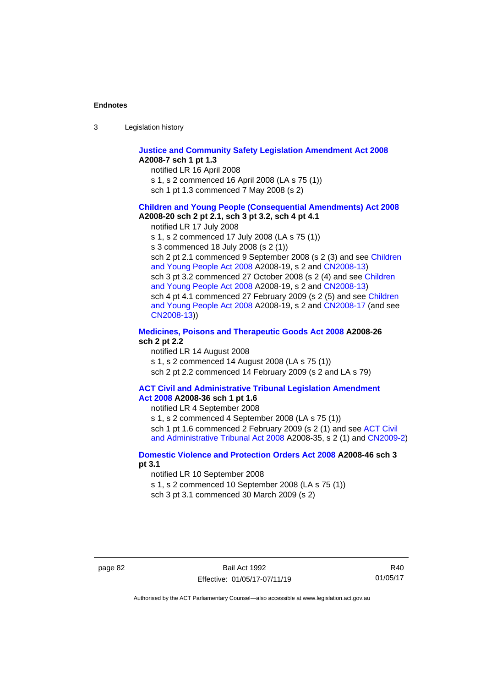| -3 | Legislation history |  |
|----|---------------------|--|
|    |                     |  |

#### **[Justice and Community Safety Legislation Amendment Act 2008](http://www.legislation.act.gov.au/a/2008-7) A2008-7 sch 1 pt 1.3**

notified LR 16 April 2008

s 1, s 2 commenced 16 April 2008 (LA s 75 (1))

sch 1 pt 1.3 commenced 7 May 2008 (s 2)

#### **[Children and Young People \(Consequential Amendments\) Act 2008](http://www.legislation.act.gov.au/a/2008-20) A2008-20 sch 2 pt 2.1, sch 3 pt 3.2, sch 4 pt 4.1**

notified LR 17 July 2008

s 1, s 2 commenced 17 July 2008 (LA s 75 (1))

s 3 commenced 18 July 2008 (s 2 (1))

sch 2 pt 2.1 commenced 9 September 2008 (s 2 (3) and see Children [and Young People Act 2008](http://www.legislation.act.gov.au/a/2008-19) A2008-19, s 2 and [CN2008-13\)](http://www.legislation.act.gov.au/cn/2008-13/default.asp) sch 3 pt 3.2 commenced 27 October 2008 (s 2 (4) and see [Children](http://www.legislation.act.gov.au/a/2008-19)  [and Young People Act 2008](http://www.legislation.act.gov.au/a/2008-19) A2008-19, s 2 and [CN2008-13\)](http://www.legislation.act.gov.au/cn/2008-13/default.asp) sch 4 pt 4.1 commenced 27 February 2009 (s 2 (5) and see [Children](http://www.legislation.act.gov.au/a/2008-19)  [and Young People Act 2008](http://www.legislation.act.gov.au/a/2008-19) A2008-19, s 2 and [CN2008-17 \(](http://www.legislation.act.gov.au/cn/2008-17/default.asp)and see [CN2008-13\)](http://www.legislation.act.gov.au/cn/2008-13/default.asp))

#### **[Medicines, Poisons and Therapeutic Goods Act](http://www.legislation.act.gov.au/a/2008-26) 2008 A2008-26 sch 2 pt 2.2**

notified LR 14 August 2008 s 1, s 2 commenced 14 August 2008 (LA s 75 (1)) sch 2 pt 2.2 commenced 14 February 2009 (s 2 and LA s 79)

# **[ACT Civil and Administrative Tribunal Legislation Amendment](http://www.legislation.act.gov.au/a/2008-36)**

**Act [2008](http://www.legislation.act.gov.au/a/2008-36) A2008-36 sch 1 pt 1.6**

notified LR 4 September 2008 s 1, s 2 commenced 4 September 2008 (LA s 75 (1)) sch 1 pt 1.6 commenced 2 February 2009 (s 2 (1) and see ACT Civil

[and Administrative Tribunal Act 2008](http://www.legislation.act.gov.au/a/2008-35) A2008-35, s 2 (1) an[d CN2009-2\)](http://www.legislation.act.gov.au/cn/2009-2/default.asp)

### **[Domestic Violence and Protection Orders Act 2008](http://www.legislation.act.gov.au/a/2008-46) A2008-46 sch 3 pt 3.1**

notified LR 10 September 2008

s 1, s 2 commenced 10 September 2008 (LA s 75 (1))

sch 3 pt 3.1 commenced 30 March 2009 (s 2)

R40 01/05/17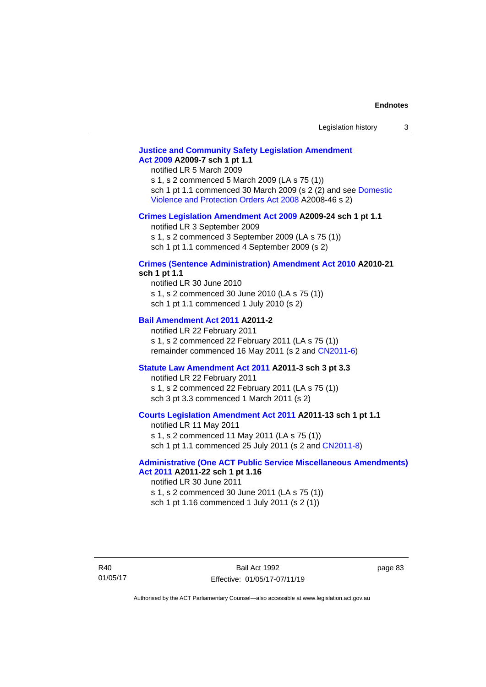# **[Justice and Community Safety Legislation Amendment](http://www.legislation.act.gov.au/a/2009-7)  Act [2009](http://www.legislation.act.gov.au/a/2009-7) A2009-7 sch 1 pt 1.1**

notified LR 5 March 2009

s 1, s 2 commenced 5 March 2009 (LA s 75 (1)) sch 1 pt 1.1 commenced 30 March 2009 (s 2 (2) and see [Domestic](http://www.legislation.act.gov.au/a/2008-46)  [Violence and Protection Orders Act 2008](http://www.legislation.act.gov.au/a/2008-46) A2008-46 s 2)

#### **[Crimes Legislation Amendment Act 2009](http://www.legislation.act.gov.au/a/2009-24) A2009-24 sch 1 pt 1.1**

notified LR 3 September 2009 s 1, s 2 commenced 3 September 2009 (LA s 75 (1))

sch 1 pt 1.1 commenced 4 September 2009 (s 2)

# **[Crimes \(Sentence Administration\) Amendment Act 2010](http://www.legislation.act.gov.au/a/2010-21) A2010-21**

**sch 1 pt 1.1**

notified LR 30 June 2010 s 1, s 2 commenced 30 June 2010 (LA s 75 (1)) sch 1 pt 1.1 commenced 1 July 2010 (s 2)

#### **[Bail Amendment Act 2011](http://www.legislation.act.gov.au/a/2011-2) A2011-2**

notified LR 22 February 2011 s 1, s 2 commenced 22 February 2011 (LA s 75 (1)) remainder commenced 16 May 2011 (s 2 and [CN2011-6\)](http://www.legislation.act.gov.au/cn/2011-6/default.asp)

#### **[Statute Law Amendment Act 2011](http://www.legislation.act.gov.au/a/2011-3) A2011-3 sch 3 pt 3.3**

notified LR 22 February 2011 s 1, s 2 commenced 22 February 2011 (LA s 75 (1)) sch 3 pt 3.3 commenced 1 March 2011 (s 2)

#### **[Courts Legislation Amendment Act 2011](http://www.legislation.act.gov.au/a/2011-13) A2011-13 sch 1 pt 1.1**

notified LR 11 May 2011 s 1, s 2 commenced 11 May 2011 (LA s 75 (1)) sch 1 pt 1.1 commenced 25 July 2011 (s 2 and [CN2011-8\)](http://www.legislation.act.gov.au/cn/2011-8/default.asp)

#### **[Administrative \(One ACT Public Service Miscellaneous Amendments\)](http://www.legislation.act.gov.au/a/2011-22)  Act [2011](http://www.legislation.act.gov.au/a/2011-22) A2011-22 sch 1 pt 1.16**

notified LR 30 June 2011 s 1, s 2 commenced 30 June 2011 (LA s 75 (1)) sch 1 pt 1.16 commenced 1 July 2011 (s 2 (1))

page 83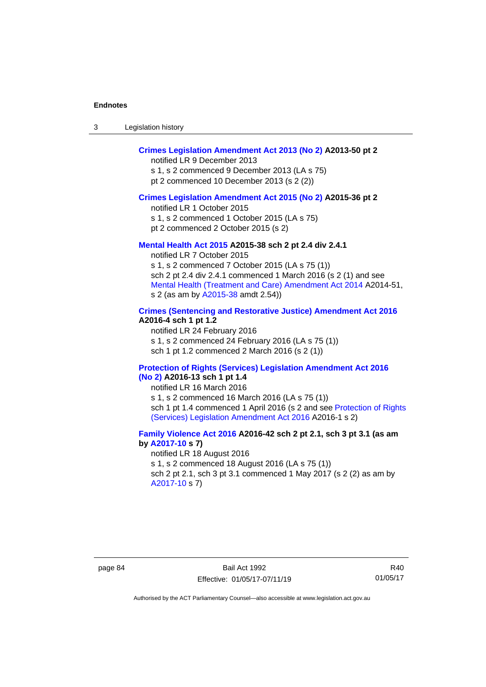| Legislation history<br>-3 |  |
|---------------------------|--|
|---------------------------|--|

# **[Crimes Legislation Amendment Act 2013 \(No 2\)](http://www.legislation.act.gov.au/a/2013-50) A2013-50 pt 2**

notified LR 9 December 2013

s 1, s 2 commenced 9 December 2013 (LA s 75) pt 2 commenced 10 December 2013 (s 2 (2))

#### **[Crimes Legislation Amendment Act 2015 \(No 2\)](http://www.legislation.act.gov.au/a/2015-36) A2015-36 pt 2**

notified LR 1 October 2015

s 1, s 2 commenced 1 October 2015 (LA s 75)

pt 2 commenced 2 October 2015 (s 2)

### **[Mental Health Act 2015](http://www.legislation.act.gov.au/a/2015-38) A2015-38 sch 2 pt 2.4 div 2.4.1**

notified LR 7 October 2015 s 1, s 2 commenced 7 October 2015 (LA s 75 (1)) sch 2 pt 2.4 div 2.4.1 commenced 1 March 2016 (s 2 (1) and see [Mental Health \(Treatment and Care\) Amendment Act 2014](http://www.legislation.act.gov.au/a/2014-51/default.asp) A2014-51, s 2 (as am by [A2015-38](http://www.legislation.act.gov.au/a/2015-38) amdt 2.54))

# **[Crimes \(Sentencing and Restorative Justice\) Amendment Act 2016](http://www.legislation.act.gov.au/a/2016-4/default.asp) A2016-4 sch 1 pt 1.2**

notified LR 24 February 2016 s 1, s 2 commenced 24 February 2016 (LA s 75 (1)) sch 1 pt 1.2 commenced 2 March 2016 (s 2 (1))

#### **[Protection of Rights \(Services\) Legislation Amendment Act 2016](http://www.legislation.act.gov.au/a/2016-13)  [\(No](http://www.legislation.act.gov.au/a/2016-13) 2) A2016-13 sch 1 pt 1.4**

notified LR 16 March 2016

s 1, s 2 commenced 16 March 2016 (LA s 75 (1)) sch 1 pt 1.4 commenced 1 April 2016 (s 2 and see Protection of Rights [\(Services\) Legislation Amendment Act 2016](http://www.legislation.act.gov.au/a/2016-1/default.asp) A2016-1 s 2)

# **[Family Violence Act 2016](http://www.legislation.act.gov.au/a/2016-42/default.asp) A2016-42 sch 2 pt 2.1, sch 3 pt 3.1 (as am by [A2017-10](http://www.legislation.act.gov.au/a/2017-10/default.asp) s 7)**

notified LR 18 August 2016 s 1, s 2 commenced 18 August 2016 (LA s 75 (1)) sch 2 pt 2.1, sch 3 pt 3.1 commenced 1 May 2017 (s 2 (2) as am by [A2017-10](http://www.legislation.act.gov.au/a/2017-10/default.asp) s 7)

R40 01/05/17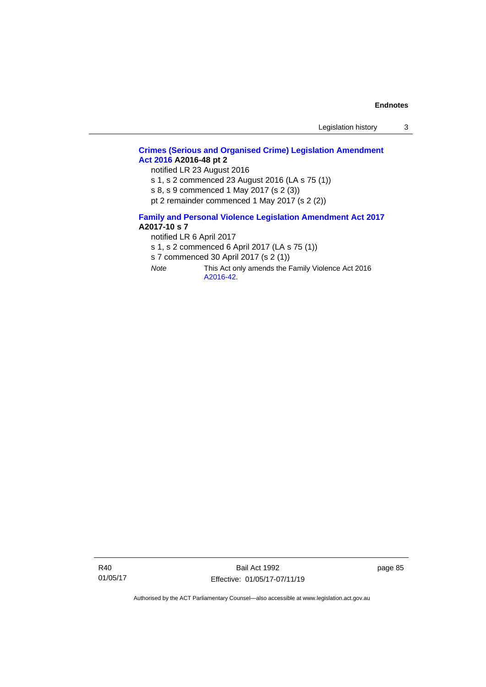# **[Crimes \(Serious and Organised Crime\) Legislation Amendment](http://www.legislation.act.gov.au/a/2016-48/default.asp)  Act [2016](http://www.legislation.act.gov.au/a/2016-48/default.asp) A2016-48 pt 2**

notified LR 23 August 2016

s 1, s 2 commenced 23 August 2016 (LA s 75 (1))

s 8, s 9 commenced 1 May 2017 (s 2 (3))

pt 2 remainder commenced 1 May 2017 (s 2 (2))

#### **[Family and Personal Violence Legislation Amendment Act 2017](http://www.legislation.act.gov.au/a/2017-10/default.asp) A2017-10 s 7**

notified LR 6 April 2017

s 1, s 2 commenced 6 April 2017 (LA s 75 (1))

s 7 commenced 30 April 2017 (s 2 (1))

*Note* This Act only amends the Family Violence Act 2016 [A2016-42.](http://www.legislation.act.gov.au/a/2016-42/default.asp)

R40 01/05/17

Bail Act 1992 Effective: 01/05/17-07/11/19 page 85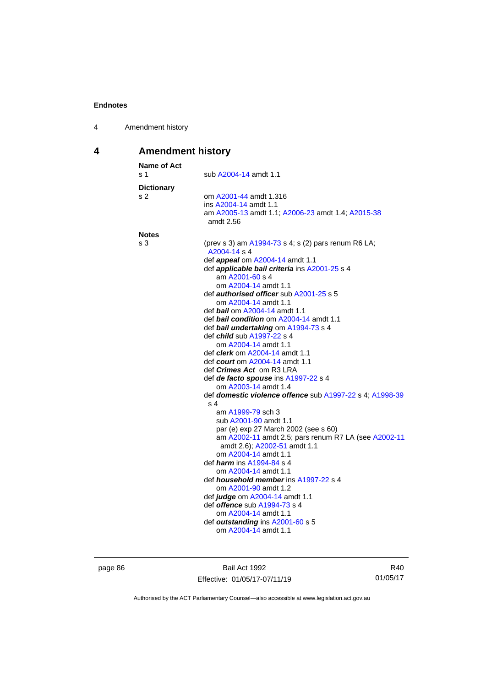| Amendment history<br>4 |  |
|------------------------|--|
|------------------------|--|

# **4 Amendment history**

| <b>Name of Act</b><br>s 1 | sub A2004-14 amdt 1.1                                               |
|---------------------------|---------------------------------------------------------------------|
| <b>Dictionary</b>         |                                                                     |
| s 2                       | om A2001-44 amdt 1.316                                              |
|                           | ins A2004-14 amdt 1.1                                               |
|                           | am A2005-13 amdt 1.1; A2006-23 amdt 1.4; A2015-38<br>amdt 2.56      |
| <b>Notes</b>              |                                                                     |
| s 3                       | (prev s 3) am A1994-73 s 4; s (2) pars renum R6 LA;<br>A2004-14 s 4 |
|                           | def <i>appeal</i> om A2004-14 amdt 1.1                              |
|                           | def <b>applicable bail criteria</b> ins A2001-25 s 4                |
|                           | am A2001-60 s 4                                                     |
|                           | om A2004-14 amdt 1.1                                                |
|                           | def authorised officer sub A2001-25 s 5                             |
|                           | om A2004-14 amdt 1.1                                                |
|                           | def bail om A2004-14 amdt 1.1                                       |
|                           | def bail condition om A2004-14 amdt 1.1                             |
|                           | def bail undertaking om A1994-73 s 4<br>def child sub A1997-22 s 4  |
|                           | om A2004-14 amdt 1.1                                                |
|                           | def <i>clerk</i> om A2004-14 amdt 1.1                               |
|                           | def <i>court</i> om A2004-14 amdt 1.1                               |
|                           | def <i>Crimes Act</i> om R3 LRA                                     |
|                           | def de facto spouse ins A1997-22 s 4                                |
|                           | om A2003-14 amdt 1.4                                                |
|                           | def domestic violence offence sub A1997-22 s 4; A1998-39            |
|                           | s 4                                                                 |
|                           | am A1999-79 sch 3                                                   |
|                           | sub A2001-90 amdt 1.1                                               |
|                           | par (e) exp 27 March 2002 (see s 60)                                |
|                           | am A2002-11 amdt 2.5; pars renum R7 LA (see A2002-11                |
|                           | amdt 2.6); A2002-51 amdt 1.1<br>om A2004-14 amdt 1.1                |
|                           | def <i>harm</i> ins A1994-84 s 4                                    |
|                           | om A2004-14 amdt 1.1                                                |
|                           | def <i>household member</i> ins A1997-22 s 4                        |
|                           | om A2001-90 amdt 1.2                                                |
|                           | def judge om A2004-14 amdt 1.1                                      |
|                           | def offence sub A1994-73 s 4                                        |
|                           | om A2004-14 amdt 1.1                                                |
|                           | def outstanding ins A2001-60 s 5                                    |
|                           | om A2004-14 amdt 1.1                                                |
|                           |                                                                     |

page 86 Bail Act 1992 Effective: 01/05/17-07/11/19

R40 01/05/17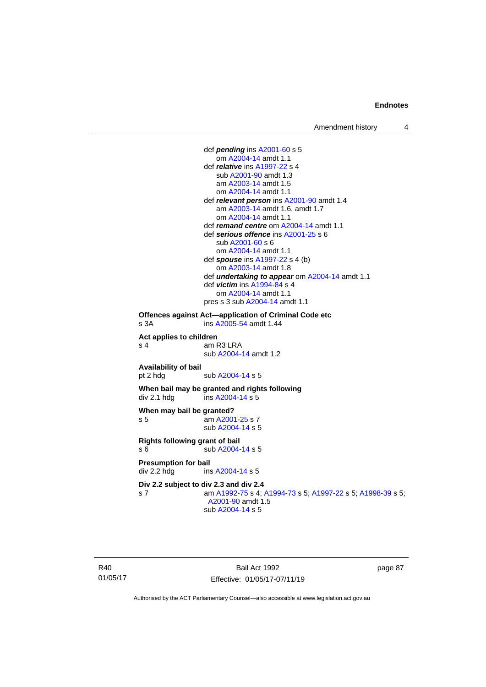```
def pending ins A2001-60 s 5
                    om A2004-14 amdt 1.1
                 def relative ins A1997-22 s 4
                    sub A2001-90 amdt 1.3
                    am A2003-14 amdt 1.5
                    om A2004-14 amdt 1.1
                 def relevant person ins A2001-90 amdt 1.4
                    am A2003-14 amdt 1.6, amdt 1.7
                    om A2004-14 amdt 1.1
                 def remand centre om A2004-14 amdt 1.1
                 def serious offence ins A2001-25 s 6
                    sub A2001-60 s 6
                    om A2004-14 amdt 1.1
                 def spouse ins A1997-22 s 4 (b)
                    om A2003-14 amdt 1.8
                 def undertaking to appear om A2004-14 amdt 1.1
                 def victim ins A1994-84 s 4
                    om A2004-14 amdt 1.1
                 pres s 3 sub A2004-14 amdt 1.1
Offences against Act—application of Criminal Code etc
s 3A  A2005-54 amdt 1.44
Act applies to children
s 4 am R3 LRA
                 sub A2004-14 amdt 1.2
Availability of bail
                  A2004-14 s 5
When bail may be granted and rights following
div 2.1 hdg ins A2004-14 s 5When may bail be granted?
 A2001-25 s 7
                sub A2004-14 s 5
Rights following grant of bail
s 6 sub A2004-14 s 5
Presumption for bail
 A2004-14 s 5
Div 2.2 subject to div 2.3 and div 2.4
s 7 am A1992-75 s 4; A1994-73 s 5; A1997-22 s 5; A1998-39 s 5; 
                 A2001-90 amdt 1.5
                 sub A2004-14 s 5
```
R40 01/05/17

Bail Act 1992 Effective: 01/05/17-07/11/19 page 87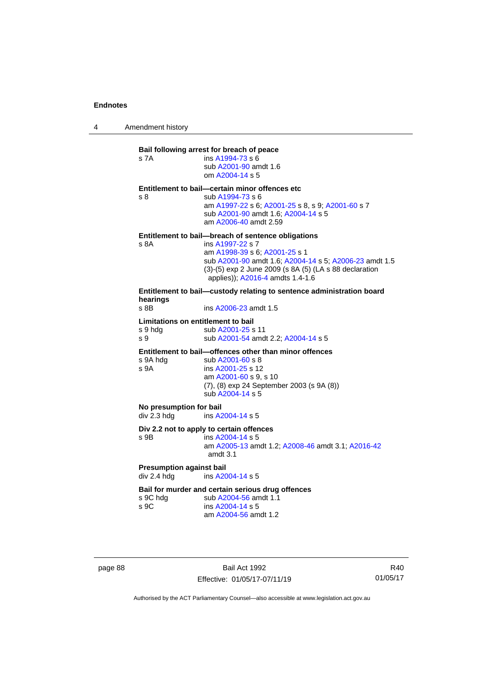4 Amendment history

# **Bail following arrest for breach of peace** s 7A ins [A1994-73](http://www.legislation.act.gov.au/a/1994-73) s 6 sub [A2001-90](http://www.legislation.act.gov.au/a/2001-90) amdt 1.6 om [A2004-14](http://www.legislation.act.gov.au/a/2004-14) s 5 **Entitlement to bail—certain minor offences etc** s 8 sub [A1994-73](http://www.legislation.act.gov.au/a/1994-73) s 6 am [A1997-22](http://www.legislation.act.gov.au/a/1997-22) s 6[; A2001-25](http://www.legislation.act.gov.au/a/2001-25) s 8, s 9; [A2001-60](http://www.legislation.act.gov.au/a/2001-60) s 7 sub [A2001-90](http://www.legislation.act.gov.au/a/2001-90) amdt 1.6[; A2004-14](http://www.legislation.act.gov.au/a/2004-14) s 5 am [A2006-40](http://www.legislation.act.gov.au/a/2006-40) amdt 2.59 **Entitlement to bail—breach of sentence obligations** s 8A ins [A1997-22](http://www.legislation.act.gov.au/a/1997-22) s 7 am [A1998-39](http://www.legislation.act.gov.au/a/1998-39) s 6[; A2001-25](http://www.legislation.act.gov.au/a/2001-25) s 1 sub [A2001-90](http://www.legislation.act.gov.au/a/2001-90) amdt 1.6[; A2004-14](http://www.legislation.act.gov.au/a/2004-14) s 5; [A2006-23](http://www.legislation.act.gov.au/a/2006-23) amdt 1.5 (3)-(5) exp 2 June 2009 (s 8A (5) (LA s 88 declaration applies)); [A2016-4](http://www.legislation.act.gov.au/a/2016-4/default.asp) amdts 1.4-1.6 **Entitlement to bail—custody relating to sentence administration board hearings** ins [A2006-23](http://www.legislation.act.gov.au/a/2006-23) amdt 1.5 **Limitations on entitlement to bail** s 9 hdg sub [A2001-25](http://www.legislation.act.gov.au/a/2001-25) s 11 s 9 sub [A2001-54](http://www.legislation.act.gov.au/a/2001-54) amdt 2.2[; A2004-14](http://www.legislation.act.gov.au/a/2004-14) s 5 **Entitlement to bail—offences other than minor offences**<br>s 9A hdg sub A2001-60 s 8 sub [A2001-60](http://www.legislation.act.gov.au/a/2001-60) s 8 s 9A ins [A2001-25](http://www.legislation.act.gov.au/a/2001-25) s 12 am [A2001-60](http://www.legislation.act.gov.au/a/2001-60) s 9, s 10 (7), (8) exp 24 September 2003 (s 9A (8)) sub [A2004-14](http://www.legislation.act.gov.au/a/2004-14) s 5 **No presumption for bail** div 2.3 hdg ins [A2004-14](http://www.legislation.act.gov.au/a/2004-14) s 5 **Div 2.2 not to apply to certain offences** s 9B ins [A2004-14](http://www.legislation.act.gov.au/a/2004-14) s 5 am [A2005-13](http://www.legislation.act.gov.au/a/2005-13) amdt 1.2[; A2008-46](http://www.legislation.act.gov.au/a/2008-46) amdt 3.1; [A2016-42](http://www.legislation.act.gov.au/a/2016-42/default.asp) amdt 3.1 **Presumption against bail** div 2.4 hdg ins [A2004-14](http://www.legislation.act.gov.au/a/2004-14) s 5 **Bail for murder and certain serious drug offences**<br>s 9C hdg sub A2004-56 amdt 1.1 s 9C hdg sub [A2004-56](http://www.legislation.act.gov.au/a/2004-56) amdt 1.1<br>s 9C ins A2004-14 s 5  $ins A2004-14 s 5$  $ins A2004-14 s 5$  $ins A2004-14 s 5$ am [A2004-56](http://www.legislation.act.gov.au/a/2004-56) amdt 1.2

page 88 Bail Act 1992 Effective: 01/05/17-07/11/19

R40 01/05/17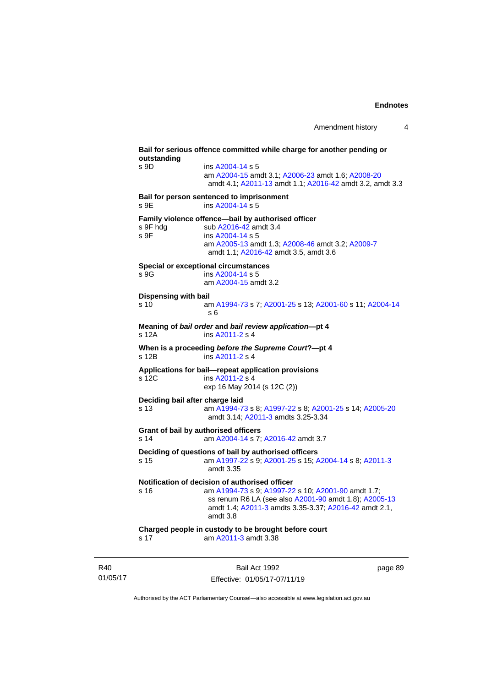**Bail for serious offence committed while charge for another pending or outstanding** s 9D ins [A2004-14](http://www.legislation.act.gov.au/a/2004-14) s 5 am [A2004-15](http://www.legislation.act.gov.au/a/2004-15) amdt 3.1[; A2006-23](http://www.legislation.act.gov.au/a/2006-23) amdt 1.6; [A2008-20](http://www.legislation.act.gov.au/a/2008-20) amdt 4.1; [A2011-13](http://www.legislation.act.gov.au/a/2011-13) amdt 1.1[; A2016-42](http://www.legislation.act.gov.au/a/2016-42/default.asp) amdt 3.2, amdt 3.3 **Bail for person sentenced to imprisonment** s 9E ins [A2004-14](http://www.legislation.act.gov.au/a/2004-14) s 5 **Family violence offence—bail by authorised officer**<br>s 9F hdg sub A2016-42 amdt 3.4 sub [A2016-42](http://www.legislation.act.gov.au/a/2016-42/default.asp) amdt 3.4 s 9F ins [A2004-14](http://www.legislation.act.gov.au/a/2004-14) s 5 am [A2005-13](http://www.legislation.act.gov.au/a/2005-13) amdt 1.3[; A2008-46](http://www.legislation.act.gov.au/a/2008-46) amdt 3.2; [A2009-7](http://www.legislation.act.gov.au/a/2009-7) amdt 1.1; [A2016-42](http://www.legislation.act.gov.au/a/2016-42/default.asp) amdt 3.5, amdt 3.6 **Special or exceptional circumstances** s 9G ins [A2004-14](http://www.legislation.act.gov.au/a/2004-14) s 5 am [A2004-15](http://www.legislation.act.gov.au/a/2004-15) amdt 3.2 **Dispensing with bail** s 10 am [A1994-73](http://www.legislation.act.gov.au/a/1994-73) s 7[; A2001-25](http://www.legislation.act.gov.au/a/2001-25) s 13; [A2001-60](http://www.legislation.act.gov.au/a/2001-60) s 11[; A2004-14](http://www.legislation.act.gov.au/a/2004-14) s 6 **Meaning of** *bail order* **and** *bail review application***—pt 4** s 12A ins [A2011-2](http://www.legislation.act.gov.au/a/2011-2) s 4 **When is a proceeding** *before the Supreme Court***?—pt 4** s 12B ins [A2011-2](http://www.legislation.act.gov.au/a/2011-2) s 4 **Applications for bail—repeat application provisions** ins [A2011-2](http://www.legislation.act.gov.au/a/2011-2) s 4 exp 16 May 2014 (s 12C (2)) **Deciding bail after charge laid** s 13 am [A1994-73](http://www.legislation.act.gov.au/a/1994-73) s 8[; A1997-22](http://www.legislation.act.gov.au/a/1997-22) s 8; [A2001-25](http://www.legislation.act.gov.au/a/2001-25) s 14[; A2005-20](http://www.legislation.act.gov.au/a/2005-20) amdt 3.14; [A2011-3](http://www.legislation.act.gov.au/a/2011-3) amdts 3.25-3.34 **Grant of bail by authorised officers** s 14 am [A2004-14](http://www.legislation.act.gov.au/a/2004-14) s 7[; A2016-42](http://www.legislation.act.gov.au/a/2016-42/default.asp) amdt 3.7 **Deciding of questions of bail by authorised officers** s 15 am [A1997-22](http://www.legislation.act.gov.au/a/1997-22) s 9[; A2001-25](http://www.legislation.act.gov.au/a/2001-25) s 15; [A2004-14](http://www.legislation.act.gov.au/a/2004-14) s 8[; A2011-3](http://www.legislation.act.gov.au/a/2011-3) amdt 3.35 **Notification of decision of authorised officer** s 16 am [A1994-73](http://www.legislation.act.gov.au/a/1994-73) s 9[; A1997-22](http://www.legislation.act.gov.au/a/1997-22) s 10; [A2001-90](http://www.legislation.act.gov.au/a/2001-90) amdt 1.7; ss renum R6 LA (see also [A2001-90](http://www.legislation.act.gov.au/a/2001-90) amdt 1.8)[; A2005-13](http://www.legislation.act.gov.au/a/2005-13) amdt 1.4; [A2011-3](http://www.legislation.act.gov.au/a/2011-3) amdts 3.35-3.37[; A2016-42](http://www.legislation.act.gov.au/a/2016-42/default.asp) amdt 2.1, amdt 3.8 **Charged people in custody to be brought before court** s 17 am [A2011-3](http://www.legislation.act.gov.au/a/2011-3) amdt 3.38

R40 01/05/17

Bail Act 1992 Effective: 01/05/17-07/11/19 page 89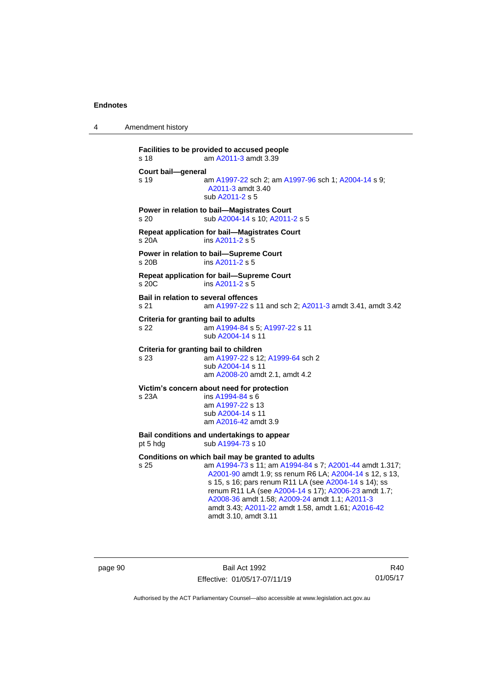4 Amendment history

```
Facilities to be provided to accused people
s 18 am A2011-3 amdt 3.39
Court bail—general
s 19 am A1997-22 sch 2; am A1997-96 sch 1; A2004-14 s 9; 
                 A2011-3 amdt 3.40
                 sub A2011-2 s 5
Power in relation to bail—Magistrates Court
s 20 sub A2004-14 s 10; A2011-2 s 5
Repeat application for bail—Magistrates Court
s 20A ins A2011-2 s 5
Power in relation to bail—Supreme Court
s 20B ins A2011-2 s 5
Repeat application for bail—Supreme Court
s 20C ins A2011-2 s 5
Bail in relation to several offences
s 21 am A1997-22 s 11 and sch 2; A2011-3 amdt 3.41, amdt 3.42
Criteria for granting bail to adults
s 22 am A1994-84 s 5; A1997-22 s 11
                 sub A2004-14 s 11
Criteria for granting bail to children
s 23 am A1997-22 s 12; A1999-64 sch 2
                 sub A2004-14 s 11
                 am A2008-20 amdt 2.1, amdt 4.2
Victim's concern about need for protection<br>s 23A ins A1994-84 s 6
                  A1994-84 s 6am A1997-22 s 13
                 sub A2004-14 s 11
                am A2016-42 amdt 3.9
Bail conditions and undertakings to appear
 A1994-73 s 10
Conditions on which bail may be granted to adults
s 25 am A1994-73 s 11; am A1994-84 s 7; A2001-44 amdt 1.317; 
                  A2001-90 amdt 1.9; ss renum R6 LA; A2004-14 s 12, s 13, 
                  s 15, s 16; pars renum R11 LA (see A2004-14 s 14); ss 
                  renum R11 LA (see A2004-14 s 17); A2006-23 amdt 1.7; 
                  A2008-36 amdt 1.58; A2009-24 amdt 1.1; A2011-3
```
page 90 Bail Act 1992 Effective: 01/05/17-07/11/19

amdt 3.10, amdt 3.11

R40 01/05/17

Authorised by the ACT Parliamentary Counsel—also accessible at www.legislation.act.gov.au

amdt 3.43; [A2011-22](http://www.legislation.act.gov.au/a/2011-22) amdt 1.58, amdt 1.61[; A2016-42](http://www.legislation.act.gov.au/a/2016-42/default.asp)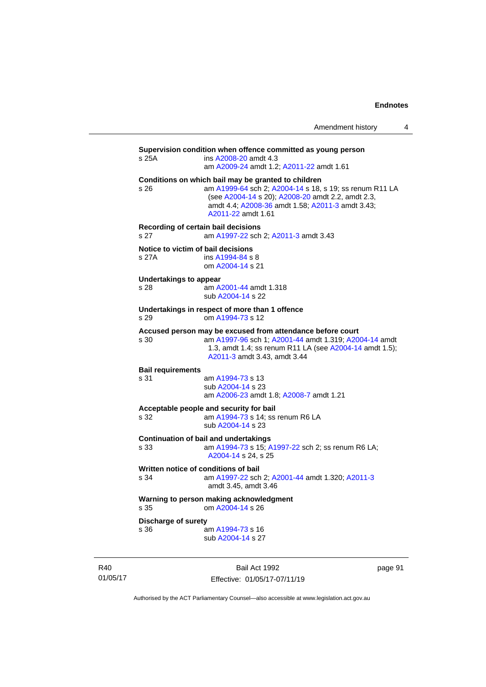|                                                                            | Amendment history                                                                                                                                                                                                                             | 4 |  |  |
|----------------------------------------------------------------------------|-----------------------------------------------------------------------------------------------------------------------------------------------------------------------------------------------------------------------------------------------|---|--|--|
| s 25A                                                                      | Supervision condition when offence committed as young person<br>ins A2008-20 amdt 4.3<br>am A2009-24 amdt 1.2; A2011-22 amdt 1.61                                                                                                             |   |  |  |
| s <sub>26</sub>                                                            | Conditions on which bail may be granted to children<br>am A1999-64 sch 2; A2004-14 s 18, s 19; ss renum R11 LA<br>(see A2004-14 s 20); A2008-20 amdt 2.2, amdt 2.3,<br>amdt 4.4; A2008-36 amdt 1.58; A2011-3 amdt 3.43;<br>A2011-22 amdt 1.61 |   |  |  |
| s 27                                                                       | Recording of certain bail decisions<br>am A1997-22 sch 2; A2011-3 amdt 3.43                                                                                                                                                                   |   |  |  |
| Notice to victim of bail decisions<br>s 27A                                | ins A1994-84 s 8<br>om A2004-14 s 21                                                                                                                                                                                                          |   |  |  |
| Undertakings to appear<br>s 28                                             | am A2001-44 amdt 1.318<br>sub A2004-14 s 22                                                                                                                                                                                                   |   |  |  |
| Undertakings in respect of more than 1 offence<br>om A1994-73 s 12<br>s 29 |                                                                                                                                                                                                                                               |   |  |  |
| s 30                                                                       | Accused person may be excused from attendance before court<br>am A1997-96 sch 1; A2001-44 amdt 1.319; A2004-14 amdt<br>1.3, amdt 1.4; ss renum R11 LA (see A2004-14 amdt 1.5);<br>A2011-3 amdt 3.43, amdt 3.44                                |   |  |  |
| <b>Bail requirements</b><br>s 31                                           | am A1994-73 s 13<br>sub A2004-14 s 23<br>am A2006-23 amdt 1.8; A2008-7 amdt 1.21                                                                                                                                                              |   |  |  |

**Acceptable people and security for bail** am [A1994-73](http://www.legislation.act.gov.au/a/1994-73) s 14; ss renum R6 LA sub [A2004-14](http://www.legislation.act.gov.au/a/2004-14) s 23

**Continuation of bail and undertakings** s 33 am [A1994-73](http://www.legislation.act.gov.au/a/1994-73) s 15[; A1997-22](http://www.legislation.act.gov.au/a/1997-22) sch 2; ss renum R6 LA; [A2004-14](http://www.legislation.act.gov.au/a/2004-14) s 24, s 25

**Written notice of conditions of bail** s 34 am [A1997-22](http://www.legislation.act.gov.au/a/1997-22) sch 2; [A2001-44](http://www.legislation.act.gov.au/a/2001-44) amdt 1.320[; A2011-3](http://www.legislation.act.gov.au/a/2011-3) amdt 3.45, amdt 3.46

**Warning to person making acknowledgment**

s 35 om [A2004-14](http://www.legislation.act.gov.au/a/2004-14) s 26

**Discharge of surety**

s 36 am [A1994-73](http://www.legislation.act.gov.au/a/1994-73) s 16 sub [A2004-14](http://www.legislation.act.gov.au/a/2004-14) s 27

R40 01/05/17

Bail Act 1992 Effective: 01/05/17-07/11/19 page 91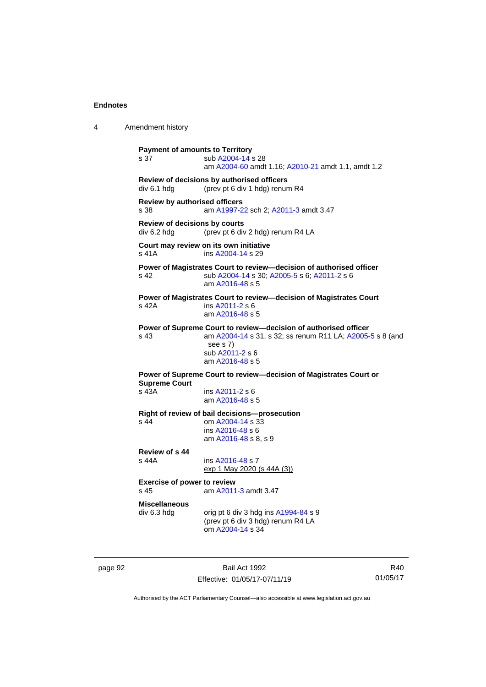```
4 Amendment history
           Payment of amounts to Territory
            A2004-14 s 28
                           am A2004-60 amdt 1.16; A2010-21 amdt 1.1, amdt 1.2
           Review of decisions by authorised officers
           div 6.1 hdg (prev pt 6 div 1 hdg) renum R4
           Review by authorised officers
           s 38 am A1997-22 sch 2; A2011-3 amdt 3.47
           Review of decisions by courts
           div 6.2 hdg (prev pt 6 div 2 hdg) renum R4 LA
           Court may review on its own initiative
           s 41A  A2004-14 s 29
           Power of Magistrates Court to review—decision of authorised officer
           s 42 sub A2004-14 s 30; A2005-5 s 6; A2011-2 s 6
                            am A2016-48 s 5
           Power of Magistrates Court to review—decision of Magistrates Court
           s 42A ins A2011-2 s 6
                           am A2016-48 s 5
           Power of Supreme Court to review—decision of authorised officer
           s 43 am A2004-14 s 31, s 32; ss renum R11 LA; A2005-5 s 8 (and 
                            see s 7)
                            sub A2011-2 s 6
                           am A2016-48 s 5
           Power of Supreme Court to review—decision of Magistrates Court or 
           Supreme Court<br>s 43A
                             A2011-2 s 6
                           am A2016-48 s 5
           Right of review of bail decisions—prosecution
           s 44 om A2004-14 s 33
                            ins A2016-48 s 6
                            am A2016-48 s 8, s 9
           Review of s 44
                             A2016-48 s 7
                           exp 1 May 2020 (s 44A (3))
           Exercise of power to review
           s 45 am A2011-3 amdt 3.47
           Miscellaneous
           div 6.3 hdg orig pt 6 div 3 hdg ins A1994-84 s 9(prev pt 6 div 3 hdg) renum R4 LA
                            om A2004-14 s 34
```
page 92 Bail Act 1992 Effective: 01/05/17-07/11/19

R40 01/05/17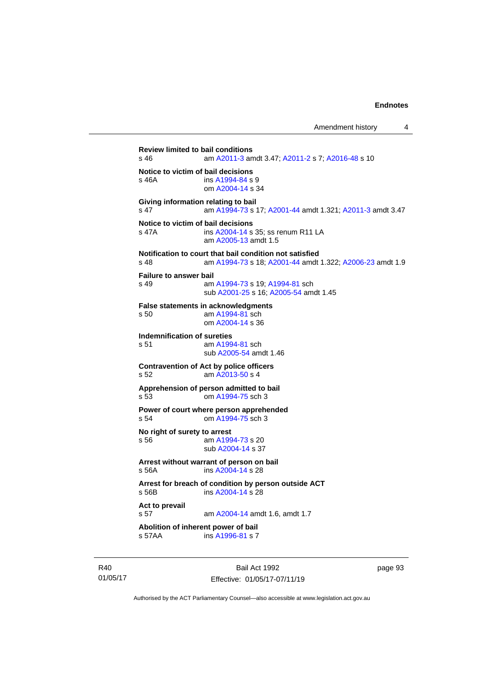Amendment history 4

**Review limited to bail conditions**<br>s 46 am A2011-3 am am [A2011-3](http://www.legislation.act.gov.au/a/2011-3) amdt 3.47[; A2011-2](http://www.legislation.act.gov.au/a/2011-2) s 7; [A2016-48](http://www.legislation.act.gov.au/a/2016-48/default.asp) s 10 **Notice to victim of bail decisions** s 46A ins [A1994-84](http://www.legislation.act.gov.au/a/1994-84) s 9 om [A2004-14](http://www.legislation.act.gov.au/a/2004-14) s 34 **Giving information relating to bail** s 47 am [A1994-73](http://www.legislation.act.gov.au/a/1994-73) s 17[; A2001-44](http://www.legislation.act.gov.au/a/2001-44) amdt 1.321; [A2011-3](http://www.legislation.act.gov.au/a/2011-3) amdt 3.47 **Notice to victim of bail decisions** s 47A **ins [A2004-14](http://www.legislation.act.gov.au/a/2004-14) s 35; ss renum R11 LA** am [A2005-13](http://www.legislation.act.gov.au/a/2005-13) amdt 1.5 **Notification to court that bail condition not satisfied** s 48 am [A1994-73](http://www.legislation.act.gov.au/a/1994-73) s 18[; A2001-44](http://www.legislation.act.gov.au/a/2001-44) amdt 1.322; [A2006-23](http://www.legislation.act.gov.au/a/2006-23) amdt 1.9 **Failure to answer bail** s 49 am [A1994-73](http://www.legislation.act.gov.au/a/1994-73) s 19[; A1994-81](http://www.legislation.act.gov.au/a/1994-81) sch sub [A2001-25](http://www.legislation.act.gov.au/a/2001-25) s 16[; A2005-54](http://www.legislation.act.gov.au/a/2005-54) amdt 1.45 **False statements in acknowledgments** s 50 am [A1994-81](http://www.legislation.act.gov.au/a/1994-81) sch om [A2004-14](http://www.legislation.act.gov.au/a/2004-14) s 36 **Indemnification of sureties** s 51 am [A1994-81](http://www.legislation.act.gov.au/a/1994-81) sch sub [A2005-54](http://www.legislation.act.gov.au/a/2005-54) amdt 1.46 **Contravention of Act by police officers** s 52 am [A2013-50](http://www.legislation.act.gov.au/a/2013-50) s 4 **Apprehension of person admitted to bail**<br>s 53 com A1994-75 sch 3 om [A1994-75](http://www.legislation.act.gov.au/a/1994-75) sch 3 **Power of court where person apprehended** s 54 om [A1994-75](http://www.legislation.act.gov.au/a/1994-75) sch 3 **No right of surety to arrest** s 56 am [A1994-73](http://www.legislation.act.gov.au/a/1994-73) s 20 sub [A2004-14](http://www.legislation.act.gov.au/a/2004-14) s 37 **Arrest without warrant of person on bail** s 56A ins [A2004-14](http://www.legislation.act.gov.au/a/2004-14) s 28 **Arrest for breach of condition by person outside ACT** s 56B ins [A2004-14](http://www.legislation.act.gov.au/a/2004-14) s 28 **Act to prevail** s 57 **am [A2004-14](http://www.legislation.act.gov.au/a/2004-14) amdt 1.6, amdt 1.7 Abolition of inherent power of bail** s 57AA ins [A1996-81](http://www.legislation.act.gov.au/a/1996-81) s 7

R40 01/05/17

Bail Act 1992 Effective: 01/05/17-07/11/19 page 93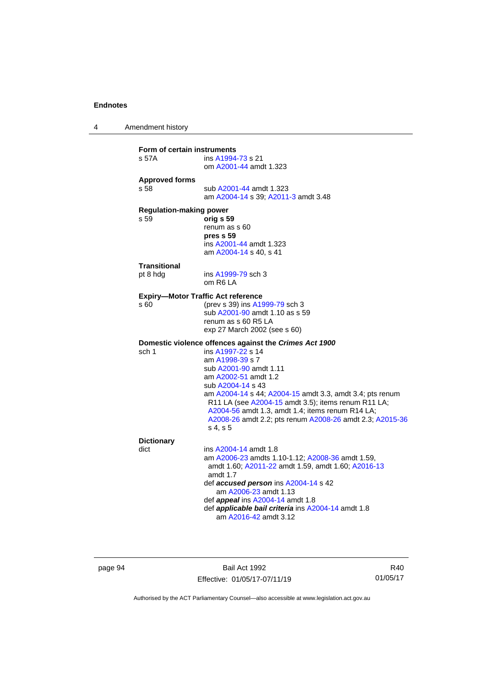4 Amendment history **Form of certain instruments** s 57A ins [A1994-73](http://www.legislation.act.gov.au/a/1994-73) s 21 om [A2001-44](http://www.legislation.act.gov.au/a/2001-44) amdt 1.323 **Approved forms** sub [A2001-44](http://www.legislation.act.gov.au/a/2001-44) amdt 1.323 am [A2004-14](http://www.legislation.act.gov.au/a/2004-14) s 39[; A2011-3](http://www.legislation.act.gov.au/a/2011-3) amdt 3.48 **Regulation-making power** s 59 **orig s 59** renum as s 60 **pres s 59** ins [A2001-44](http://www.legislation.act.gov.au/a/2001-44) amdt 1.323 am [A2004-14](http://www.legislation.act.gov.au/a/2004-14) s 40, s 41 **Transitional** pt 8 hdg ins [A1999-79](http://www.legislation.act.gov.au/a/1999-79) sch 3 om R6 LA **Expiry—Motor Traffic Act reference** s 60 (prev s 39) ins [A1999-79](http://www.legislation.act.gov.au/a/1999-79) sch 3 sub [A2001-90](http://www.legislation.act.gov.au/a/2001-90) amdt 1.10 as s 59 renum as s 60 R5 LA exp 27 March 2002 (see s 60) **Domestic violence offences against the** *Crimes Act 1900* sch 1 ins [A1997-22](http://www.legislation.act.gov.au/a/1997-22) s 14 am [A1998-39](http://www.legislation.act.gov.au/a/1998-39) s 7 sub [A2001-90](http://www.legislation.act.gov.au/a/2001-90) amdt 1.11 am [A2002-51](http://www.legislation.act.gov.au/a/2002-51) amdt 1.2 sub [A2004-14](http://www.legislation.act.gov.au/a/2004-14) s 43 am [A2004-14](http://www.legislation.act.gov.au/a/2004-14) s 44[; A2004-15](http://www.legislation.act.gov.au/a/2004-15) amdt 3.3, amdt 3.4; pts renum R11 LA (see [A2004-15](http://www.legislation.act.gov.au/a/2004-15) amdt 3.5); items renum R11 LA; [A2004-56](http://www.legislation.act.gov.au/a/2004-56) amdt 1.3, amdt 1.4; items renum R14 LA; [A2008-26](http://www.legislation.act.gov.au/a/2008-26) amdt 2.2; pts renum [A2008-26](http://www.legislation.act.gov.au/a/2008-26) amdt 2.3[; A2015-36](http://www.legislation.act.gov.au/a/2015-36) s 4, s 5 **Dictionary** dict ins [A2004-14](http://www.legislation.act.gov.au/a/2004-14) amdt 1.8 am [A2006-23](http://www.legislation.act.gov.au/a/2006-23) amdts 1.10-1.12[; A2008-36](http://www.legislation.act.gov.au/a/2008-36) amdt 1.59, amdt 1.60; [A2011-22](http://www.legislation.act.gov.au/a/2011-22) amdt 1.59, amdt 1.60; [A2016-13](http://www.legislation.act.gov.au/a/2016-13) amdt 1.7 def *accused person* ins [A2004-14](http://www.legislation.act.gov.au/a/2004-14) s 42 am [A2006-23](http://www.legislation.act.gov.au/a/2006-23) amdt 1.13 def *appeal* ins [A2004-14](http://www.legislation.act.gov.au/a/2004-14) amdt 1.8 def *applicable bail criteria* ins [A2004-14](http://www.legislation.act.gov.au/a/2004-14) amdt 1.8 am [A2016-42](http://www.legislation.act.gov.au/a/2016-42/default.asp) amdt 3.12

page 94 Bail Act 1992 Effective: 01/05/17-07/11/19

R40 01/05/17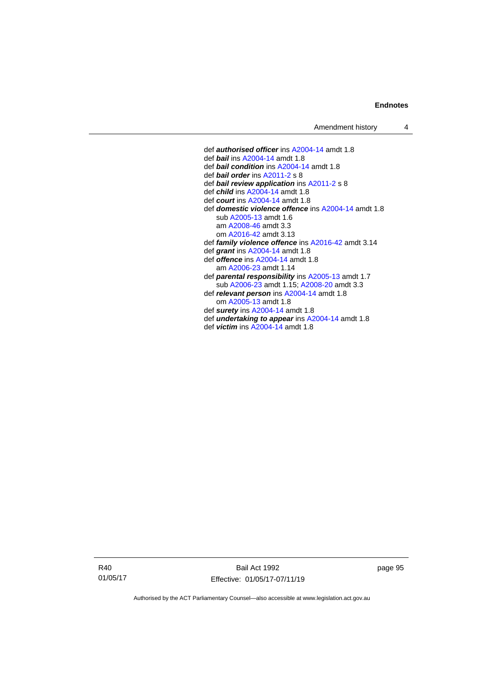def *authorised officer* in[s A2004-14](http://www.legislation.act.gov.au/a/2004-14) amdt 1.8 def *bail* ins [A2004-14](http://www.legislation.act.gov.au/a/2004-14) amdt 1.8 def *bail condition* ins [A2004-14](http://www.legislation.act.gov.au/a/2004-14) amdt 1.8 def *bail order* in[s A2011-2](http://www.legislation.act.gov.au/a/2011-2) s 8 def *bail review application* in[s A2011-2](http://www.legislation.act.gov.au/a/2011-2) s 8 def *child* in[s A2004-14](http://www.legislation.act.gov.au/a/2004-14) amdt 1.8 def *court* ins [A2004-14](http://www.legislation.act.gov.au/a/2004-14) amdt 1.8 def *domestic violence offence* ins [A2004-14](http://www.legislation.act.gov.au/a/2004-14) amdt 1.8 sub [A2005-13](http://www.legislation.act.gov.au/a/2005-13) amdt 1.6 am [A2008-46](http://www.legislation.act.gov.au/a/2008-46) amdt 3.3 om [A2016-42](http://www.legislation.act.gov.au/a/2016-42/default.asp) amdt 3.13 def *family violence offence* in[s A2016-42](http://www.legislation.act.gov.au/a/2016-42/default.asp) amdt 3.14 def *grant* ins [A2004-14](http://www.legislation.act.gov.au/a/2004-14) amdt 1.8 def *offence* ins [A2004-14](http://www.legislation.act.gov.au/a/2004-14) amdt 1.8 am [A2006-23](http://www.legislation.act.gov.au/a/2006-23) amdt 1.14 def *parental responsibility* in[s A2005-13](http://www.legislation.act.gov.au/a/2005-13) amdt 1.7 sub [A2006-23](http://www.legislation.act.gov.au/a/2006-23) amdt 1.15[; A2008-20](http://www.legislation.act.gov.au/a/2008-20) amdt 3.3 def *relevant person* in[s A2004-14](http://www.legislation.act.gov.au/a/2004-14) amdt 1.8 om [A2005-13](http://www.legislation.act.gov.au/a/2005-13) amdt 1.8 def *surety* in[s A2004-14](http://www.legislation.act.gov.au/a/2004-14) amdt 1.8 def *undertaking to appear* ins [A2004-14](http://www.legislation.act.gov.au/a/2004-14) amdt 1.8 def *victim* ins [A2004-14](http://www.legislation.act.gov.au/a/2004-14) amdt 1.8

R40 01/05/17

Bail Act 1992 Effective: 01/05/17-07/11/19 page 95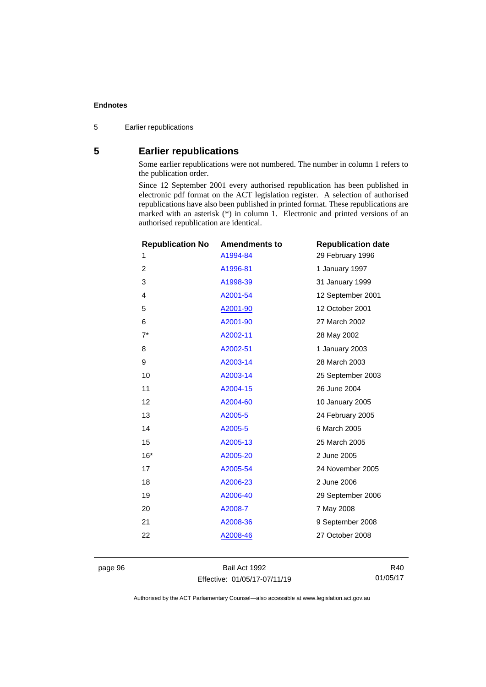5 Earlier republications

# **5 Earlier republications**

Some earlier republications were not numbered. The number in column 1 refers to the publication order.

Since 12 September 2001 every authorised republication has been published in electronic pdf format on the ACT legislation register. A selection of authorised republications have also been published in printed format. These republications are marked with an asterisk (\*) in column 1. Electronic and printed versions of an authorised republication are identical.

| <b>Republication No</b> | <b>Amendments to</b> | <b>Republication date</b> |
|-------------------------|----------------------|---------------------------|
| 1                       | A1994-84             | 29 February 1996          |
| $\overline{2}$          | A1996-81             | 1 January 1997            |
| 3                       | A1998-39             | 31 January 1999           |
| 4                       | A2001-54             | 12 September 2001         |
| 5                       | A2001-90             | 12 October 2001           |
| 6                       | A2001-90             | 27 March 2002             |
| $7^*$                   | A2002-11             | 28 May 2002               |
| 8                       | A2002-51             | 1 January 2003            |
| 9                       | A2003-14             | 28 March 2003             |
| 10                      | A2003-14             | 25 September 2003         |
| 11                      | A2004-15             | 26 June 2004              |
| 12                      | A2004-60             | 10 January 2005           |
| 13                      | A2005-5              | 24 February 2005          |
| 14                      | A2005-5              | 6 March 2005              |
| 15                      | A2005-13             | 25 March 2005             |
| $16*$                   | A2005-20             | 2 June 2005               |
| 17                      | A2005-54             | 24 November 2005          |
| 18                      | A2006-23             | 2 June 2006               |
| 19                      | A2006-40             | 29 September 2006         |
| 20                      | A2008-7              | 7 May 2008                |
| 21                      | A2008-36             | 9 September 2008          |
| 22                      | A2008-46             | 27 October 2008           |
|                         |                      |                           |

page 96 Bail Act 1992 Effective: 01/05/17-07/11/19

R40 01/05/17